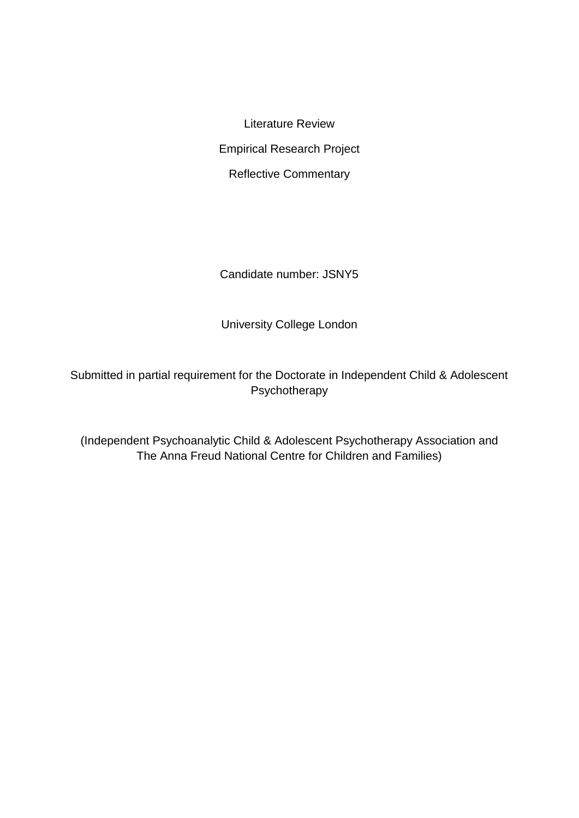Literature Review Empirical Research Project Reflective Commentary

Candidate number: JSNY5

University College London

Submitted in partial requirement for the Doctorate in Independent Child & Adolescent Psychotherapy

(Independent Psychoanalytic Child & Adolescent Psychotherapy Association and The Anna Freud National Centre for Children and Families)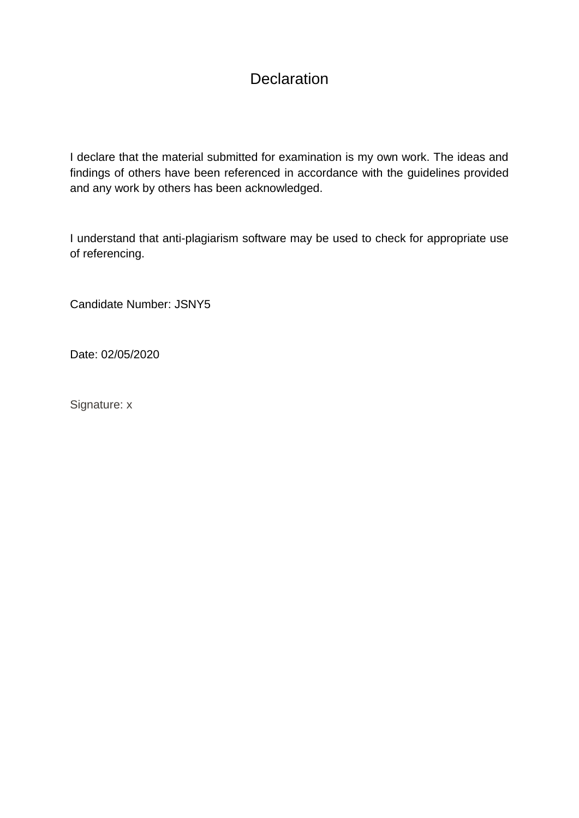# **Declaration**

I declare that the material submitted for examination is my own work. The ideas and findings of others have been referenced in accordance with the guidelines provided and any work by others has been acknowledged.

I understand that anti-plagiarism software may be used to check for appropriate use of referencing.

Candidate Number: JSNY5

Date: 02/05/2020

Signature: x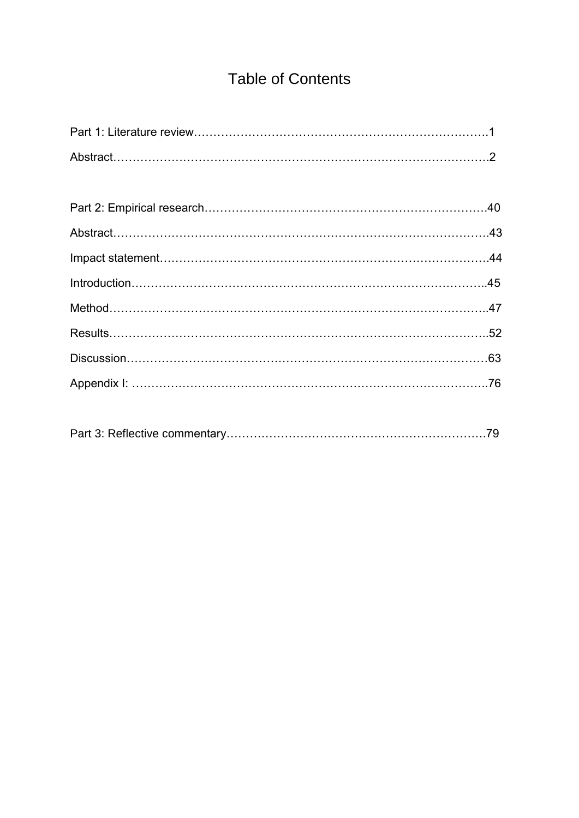# Table of Contents

|--|--|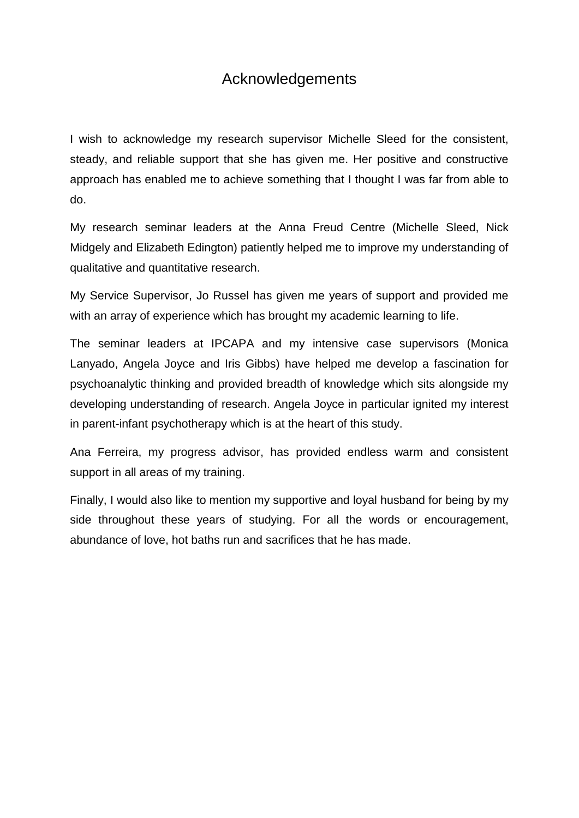# Acknowledgements

I wish to acknowledge my research supervisor Michelle Sleed for the consistent, steady, and reliable support that she has given me. Her positive and constructive approach has enabled me to achieve something that I thought I was far from able to do.

My research seminar leaders at the Anna Freud Centre (Michelle Sleed, Nick Midgely and Elizabeth Edington) patiently helped me to improve my understanding of qualitative and quantitative research.

My Service Supervisor, Jo Russel has given me years of support and provided me with an array of experience which has brought my academic learning to life.

The seminar leaders at IPCAPA and my intensive case supervisors (Monica Lanyado, Angela Joyce and Iris Gibbs) have helped me develop a fascination for psychoanalytic thinking and provided breadth of knowledge which sits alongside my developing understanding of research. Angela Joyce in particular ignited my interest in parent-infant psychotherapy which is at the heart of this study.

Ana Ferreira, my progress advisor, has provided endless warm and consistent support in all areas of my training.

Finally, I would also like to mention my supportive and loyal husband for being by my side throughout these years of studying. For all the words or encouragement, abundance of love, hot baths run and sacrifices that he has made.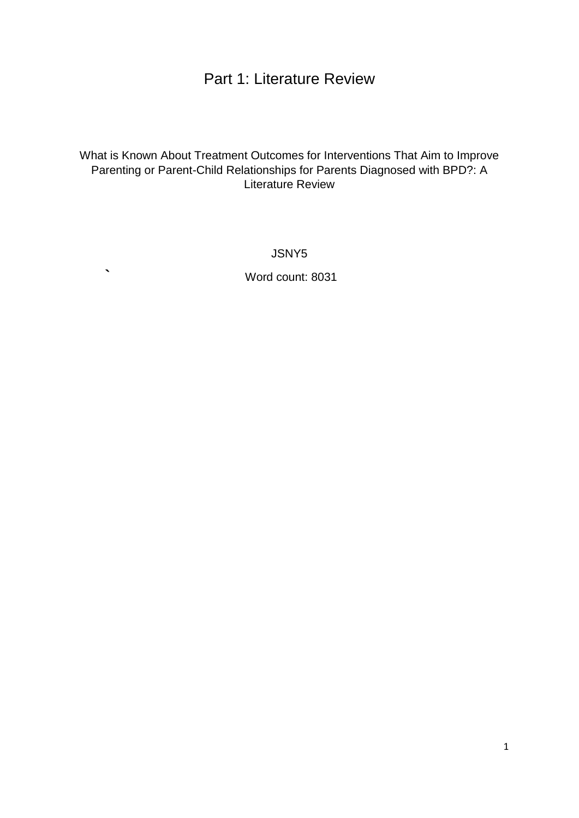# Part 1: Literature Review

## What is Known About Treatment Outcomes for Interventions That Aim to Improve Parenting or Parent-Child Relationships for Parents Diagnosed with BPD?: A Literature Review

JSNY5

**`** Word count: 8031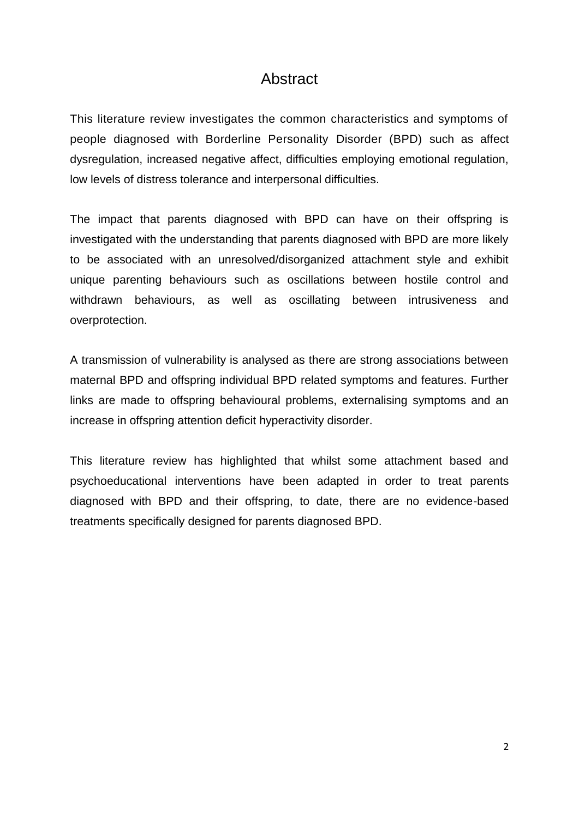## Abstract

This literature review investigates the common characteristics and symptoms of people diagnosed with Borderline Personality Disorder (BPD) such as affect dysregulation, increased negative affect, difficulties employing emotional regulation, low levels of distress tolerance and interpersonal difficulties.

The impact that parents diagnosed with BPD can have on their offspring is investigated with the understanding that parents diagnosed with BPD are more likely to be associated with an unresolved/disorganized attachment style and exhibit unique parenting behaviours such as oscillations between hostile control and withdrawn behaviours, as well as oscillating between intrusiveness and overprotection.

A transmission of vulnerability is analysed as there are strong associations between maternal BPD and offspring individual BPD related symptoms and features. Further links are made to offspring behavioural problems, externalising symptoms and an increase in offspring attention deficit hyperactivity disorder.

This literature review has highlighted that whilst some attachment based and psychoeducational interventions have been adapted in order to treat parents diagnosed with BPD and their offspring, to date, there are no evidence-based treatments specifically designed for parents diagnosed BPD.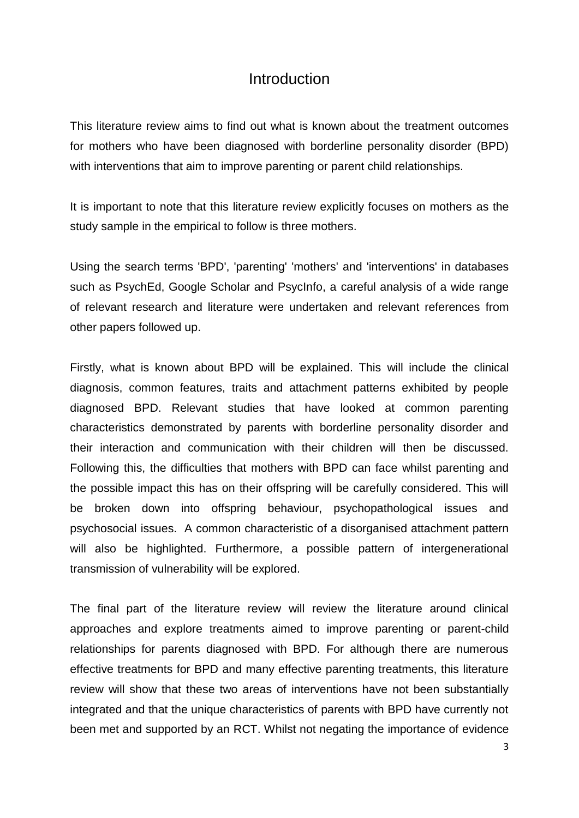## Introduction

This literature review aims to find out what is known about the treatment outcomes for mothers who have been diagnosed with borderline personality disorder (BPD) with interventions that aim to improve parenting or parent child relationships.

It is important to note that this literature review explicitly focuses on mothers as the study sample in the empirical to follow is three mothers.

Using the search terms 'BPD', 'parenting' 'mothers' and 'interventions' in databases such as PsychEd, Google Scholar and PsycInfo, a careful analysis of a wide range of relevant research and literature were undertaken and relevant references from other papers followed up.

Firstly, what is known about BPD will be explained. This will include the clinical diagnosis, common features, traits and attachment patterns exhibited by people diagnosed BPD. Relevant studies that have looked at common parenting characteristics demonstrated by parents with borderline personality disorder and their interaction and communication with their children will then be discussed. Following this, the difficulties that mothers with BPD can face whilst parenting and the possible impact this has on their offspring will be carefully considered. This will be broken down into offspring behaviour, psychopathological issues and psychosocial issues. A common characteristic of a disorganised attachment pattern will also be highlighted. Furthermore, a possible pattern of intergenerational transmission of vulnerability will be explored.

The final part of the literature review will review the literature around clinical approaches and explore treatments aimed to improve parenting or parent-child relationships for parents diagnosed with BPD. For although there are numerous effective treatments for BPD and many effective parenting treatments, this literature review will show that these two areas of interventions have not been substantially integrated and that the unique characteristics of parents with BPD have currently not been met and supported by an RCT. Whilst not negating the importance of evidence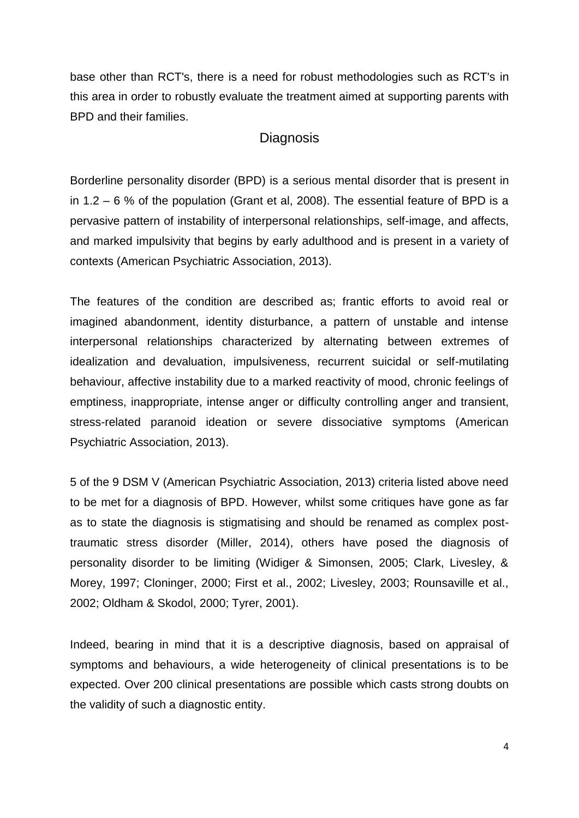base other than RCT's, there is a need for robust methodologies such as RCT's in this area in order to robustly evaluate the treatment aimed at supporting parents with BPD and their families.

## **Diagnosis**

Borderline personality disorder (BPD) is a serious mental disorder that is present in in 1.2 – 6 % of the population (Grant et al, 2008). The essential feature of BPD is a pervasive pattern of instability of interpersonal relationships, self-image, and affects, and marked impulsivity that begins by early adulthood and is present in a variety of contexts (American Psychiatric Association, 2013).

The features of the condition are described as; frantic efforts to avoid real or imagined abandonment, identity disturbance, a pattern of unstable and intense interpersonal relationships characterized by alternating between extremes of idealization and devaluation, impulsiveness, recurrent suicidal or self-mutilating behaviour, affective instability due to a marked reactivity of mood, chronic feelings of emptiness, inappropriate, intense anger or difficulty controlling anger and transient, stress-related paranoid ideation or severe dissociative symptoms (American Psychiatric Association, 2013).

5 of the 9 DSM V (American Psychiatric Association, 2013) criteria listed above need to be met for a diagnosis of BPD. However, whilst some critiques have gone as far as to state the diagnosis is stigmatising and should be renamed as complex posttraumatic stress disorder (Miller, 2014), others have posed the diagnosis of personality disorder to be limiting (Widiger & Simonsen, 2005; Clark, Livesley, & Morey, 1997; Cloninger, 2000; First et al., 2002; Livesley, 2003; Rounsaville et al., 2002; Oldham & Skodol, 2000; Tyrer, 2001).

Indeed, bearing in mind that it is a descriptive diagnosis, based on appraisal of symptoms and behaviours, a wide heterogeneity of clinical presentations is to be expected. Over 200 clinical presentations are possible which casts strong doubts on the validity of such a diagnostic entity.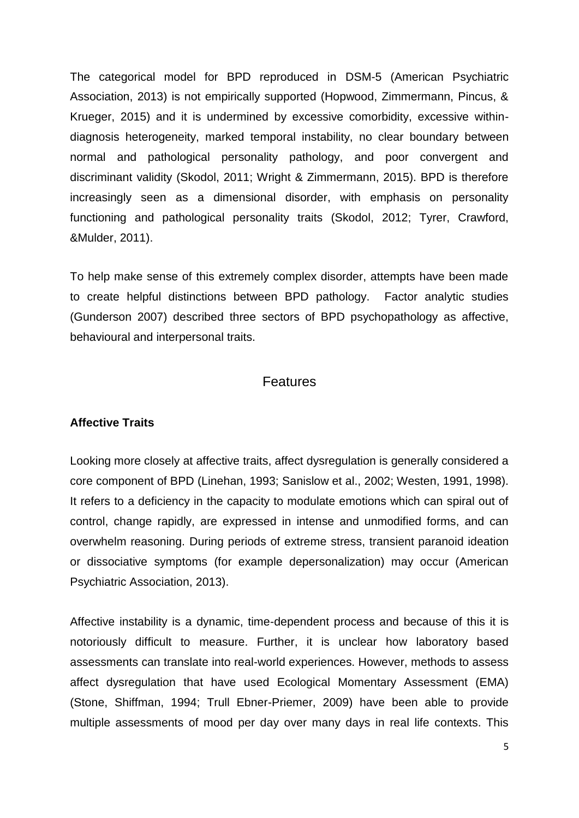The categorical model for BPD reproduced in DSM-5 (American Psychiatric Association, 2013) is not empirically supported (Hopwood, Zimmermann, Pincus, & Krueger, 2015) and it is undermined by excessive comorbidity, excessive withindiagnosis heterogeneity, marked temporal instability, no clear boundary between normal and pathological personality pathology, and poor convergent and discriminant validity (Skodol, 2011; Wright & Zimmermann, 2015). BPD is therefore increasingly seen as a dimensional disorder, with emphasis on personality functioning and pathological personality traits (Skodol, 2012; Tyrer, Crawford, &Mulder, 2011).

To help make sense of this extremely complex disorder, attempts have been made to create helpful distinctions between BPD pathology. Factor analytic studies (Gunderson 2007) described three sectors of BPD psychopathology as affective, behavioural and interpersonal traits.

## **Features**

#### **Affective Traits**

Looking more closely at affective traits, affect dysregulation is generally considered a core component of BPD (Linehan, 1993; Sanislow et al., 2002; Westen, 1991, 1998). It refers to a deficiency in the capacity to modulate emotions which can spiral out of control, change rapidly, are expressed in intense and unmodified forms, and can overwhelm reasoning. During periods of extreme stress, transient paranoid ideation or dissociative symptoms (for example depersonalization) may occur (American Psychiatric Association, 2013).

Affective instability is a dynamic, time-dependent process and because of this it is notoriously difficult to measure. Further, it is unclear how laboratory based assessments can translate into real-world experiences. However, methods to assess affect dysregulation that have used Ecological Momentary Assessment (EMA) (Stone, Shiffman, 1994; Trull Ebner-Priemer, 2009) have been able to provide multiple assessments of mood per day over many days in real life contexts. This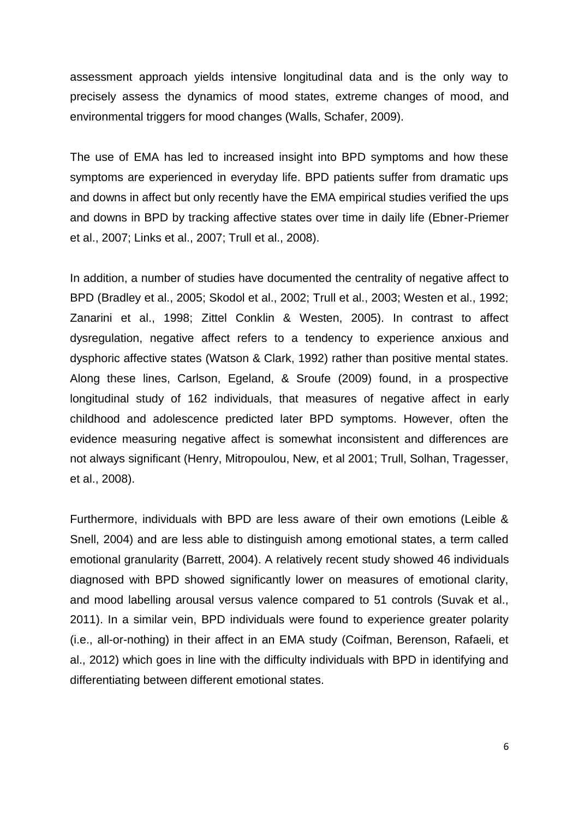assessment approach yields intensive longitudinal data and is the only way to precisely assess the dynamics of mood states, extreme changes of mood, and environmental triggers for mood changes (Walls, Schafer, 2009).

The use of EMA has led to increased insight into BPD symptoms and how these symptoms are experienced in everyday life. BPD patients suffer from dramatic ups and downs in affect but only recently have the EMA empirical studies verified the ups and downs in BPD by tracking affective states over time in daily life (Ebner-Priemer et al., 2007; Links et al., 2007; Trull et al., 2008).

In addition, a number of studies have documented the centrality of negative affect to BPD (Bradley et al., 2005; Skodol et al., 2002; Trull et al., 2003; Westen et al., 1992; Zanarini et al., 1998; Zittel Conklin & Westen, 2005). In contrast to affect dysregulation, negative affect refers to a tendency to experience anxious and dysphoric affective states (Watson & Clark, 1992) rather than positive mental states. Along these lines, Carlson, Egeland, & Sroufe (2009) found, in a prospective longitudinal study of 162 individuals, that measures of negative affect in early childhood and adolescence predicted later BPD symptoms. However, often the evidence measuring negative affect is somewhat inconsistent and differences are not always significant (Henry, Mitropoulou, New, et al 2001; Trull, Solhan, Tragesser, et al., 2008).

Furthermore, individuals with BPD are less aware of their own emotions (Leible & Snell, 2004) and are less able to distinguish among emotional states, a term called emotional granularity (Barrett, 2004). A relatively recent study showed 46 individuals diagnosed with BPD showed significantly lower on measures of emotional clarity, and mood labelling arousal versus valence compared to 51 controls (Suvak et al., 2011). In a similar vein, BPD individuals were found to experience greater polarity (i.e., all-or-nothing) in their affect in an EMA study (Coifman, Berenson, Rafaeli, et al., 2012) which goes in line with the difficulty individuals with BPD in identifying and differentiating between different emotional states.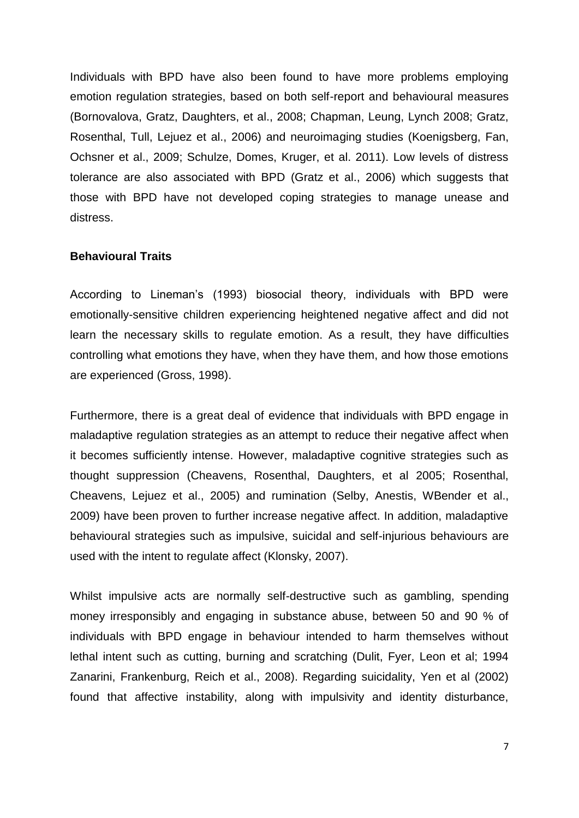Individuals with BPD have also been found to have more problems employing emotion regulation strategies, based on both self-report and behavioural measures (Bornovalova, Gratz, Daughters, et al., 2008; Chapman, Leung, Lynch 2008; Gratz, Rosenthal, Tull, Lejuez et al., 2006) and neuroimaging studies (Koenigsberg, Fan, Ochsner et al., 2009; Schulze, Domes, Kruger, et al. 2011). Low levels of distress tolerance are also associated with BPD (Gratz et al., 2006) which suggests that those with BPD have not developed coping strategies to manage unease and distress.

#### **Behavioural Traits**

According to Lineman's (1993) biosocial theory, individuals with BPD were emotionally-sensitive children experiencing heightened negative affect and did not learn the necessary skills to regulate emotion. As a result, they have difficulties controlling what emotions they have, when they have them, and how those emotions are experienced (Gross, 1998).

Furthermore, there is a great deal of evidence that individuals with BPD engage in maladaptive regulation strategies as an attempt to reduce their negative affect when it becomes sufficiently intense. However, maladaptive cognitive strategies such as thought suppression (Cheavens, Rosenthal, Daughters, et al 2005; Rosenthal, Cheavens, Lejuez et al., 2005) and rumination (Selby, Anestis, WBender et al., 2009) have been proven to further increase negative affect. In addition, maladaptive behavioural strategies such as impulsive, suicidal and self-injurious behaviours are used with the intent to regulate affect (Klonsky, 2007).

Whilst impulsive acts are normally self-destructive such as gambling, spending money irresponsibly and engaging in substance abuse, between 50 and 90 % of individuals with BPD engage in behaviour intended to harm themselves without lethal intent such as cutting, burning and scratching (Dulit, Fyer, Leon et al; 1994 Zanarini, Frankenburg, Reich et al., 2008). Regarding suicidality, Yen et al (2002) found that affective instability, along with impulsivity and identity disturbance,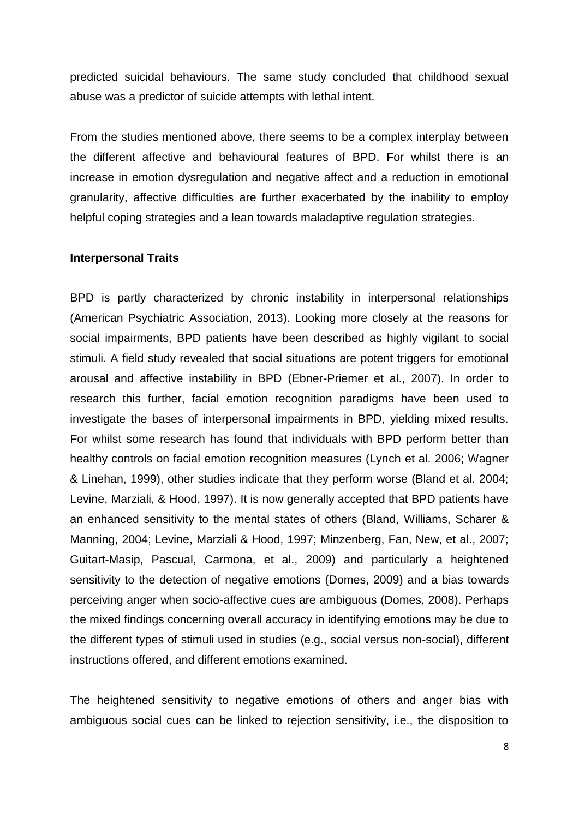predicted suicidal behaviours. The same study concluded that childhood sexual abuse was a predictor of suicide attempts with lethal intent.

From the studies mentioned above, there seems to be a complex interplay between the different affective and behavioural features of BPD. For whilst there is an increase in emotion dysregulation and negative affect and a reduction in emotional granularity, affective difficulties are further exacerbated by the inability to employ helpful coping strategies and a lean towards maladaptive regulation strategies.

#### **Interpersonal Traits**

BPD is partly characterized by chronic instability in interpersonal relationships (American Psychiatric Association, 2013). Looking more closely at the reasons for social impairments, BPD patients have been described as highly vigilant to social stimuli. A field study revealed that social situations are potent triggers for emotional arousal and affective instability in BPD (Ebner-Priemer et al., 2007). In order to research this further, facial emotion recognition paradigms have been used to investigate the bases of interpersonal impairments in BPD, yielding mixed results. For whilst some research has found that individuals with BPD perform better than healthy controls on facial emotion recognition measures (Lynch et al. 2006; Wagner & Linehan, 1999), other studies indicate that they perform worse (Bland et al. 2004; Levine, Marziali, & Hood, 1997). It is now generally accepted that BPD patients have an enhanced sensitivity to the mental states of others (Bland, Williams, Scharer & Manning, 2004; Levine, Marziali & Hood, 1997; Minzenberg, Fan, New, et al., 2007; Guitart-Masip, Pascual, Carmona, et al., 2009) and particularly a heightened sensitivity to the detection of negative emotions (Domes, 2009) and a bias towards perceiving anger when socio-affective cues are ambiguous (Domes, 2008). Perhaps the mixed findings concerning overall accuracy in identifying emotions may be due to the different types of stimuli used in studies (e.g., social versus non-social), different instructions offered, and different emotions examined.

The heightened sensitivity to negative emotions of others and anger bias with ambiguous social cues can be linked to rejection sensitivity, i.e., the disposition to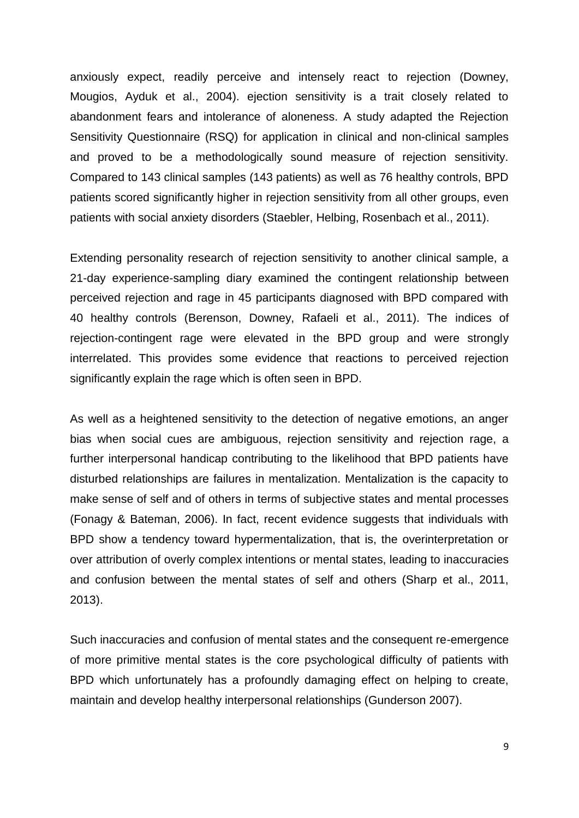anxiously expect, readily perceive and intensely react to rejection (Downey, Mougios, Ayduk et al., 2004). ejection sensitivity is a trait closely related to abandonment fears and intolerance of aloneness. A study adapted the Rejection Sensitivity Questionnaire (RSQ) for application in clinical and non-clinical samples and proved to be a methodologically sound measure of rejection sensitivity. Compared to 143 clinical samples (143 patients) as well as 76 healthy controls, BPD patients scored significantly higher in rejection sensitivity from all other groups, even patients with social anxiety disorders (Staebler, Helbing, Rosenbach et al., 2011).

Extending personality research of rejection sensitivity to another clinical sample, a 21-day experience-sampling diary examined the contingent relationship between perceived rejection and rage in 45 participants diagnosed with BPD compared with 40 healthy controls (Berenson, Downey, Rafaeli et al., 2011). The indices of rejection-contingent rage were elevated in the BPD group and were strongly interrelated. This provides some evidence that reactions to perceived rejection significantly explain the rage which is often seen in BPD.

As well as a heightened sensitivity to the detection of negative emotions, an anger bias when social cues are ambiguous, rejection sensitivity and rejection rage, a further interpersonal handicap contributing to the likelihood that BPD patients have disturbed relationships are failures in mentalization. Mentalization is the capacity to make sense of self and of others in terms of subjective states and mental processes (Fonagy & Bateman, 2006). In fact, recent evidence suggests that individuals with BPD show a tendency toward hypermentalization, that is, the overinterpretation or over attribution of overly complex intentions or mental states, leading to inaccuracies and confusion between the mental states of self and others (Sharp et al., 2011, 2013).

Such inaccuracies and confusion of mental states and the consequent re-emergence of more primitive mental states is the core psychological difficulty of patients with BPD which unfortunately has a profoundly damaging effect on helping to create, maintain and develop healthy interpersonal relationships (Gunderson 2007).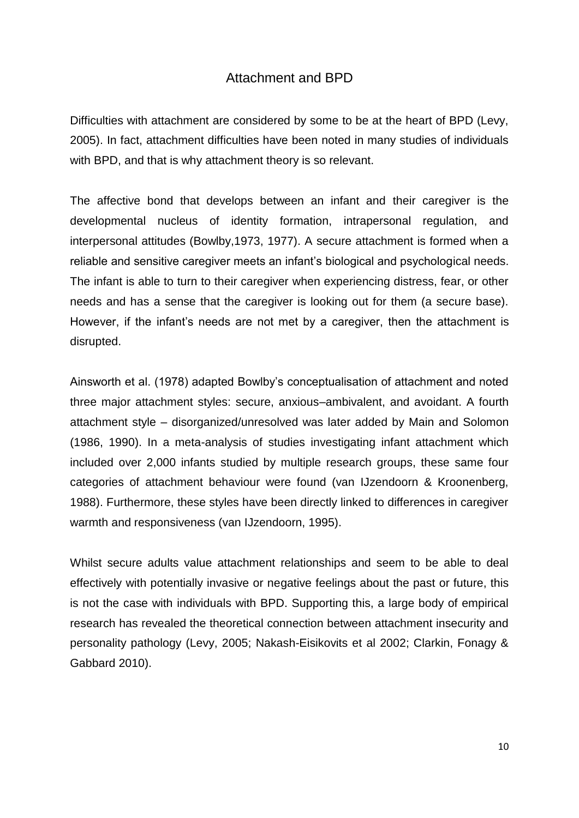## Attachment and BPD

Difficulties with attachment are considered by some to be at the heart of BPD (Levy, 2005). In fact, attachment difficulties have been noted in many studies of individuals with BPD, and that is why attachment theory is so relevant.

The affective bond that develops between an infant and their caregiver is the developmental nucleus of identity formation, intrapersonal regulation, and interpersonal attitudes (Bowlby,1973, 1977). A secure attachment is formed when a reliable and sensitive caregiver meets an infant's biological and psychological needs. The infant is able to turn to their caregiver when experiencing distress, fear, or other needs and has a sense that the caregiver is looking out for them (a secure base). However, if the infant's needs are not met by a caregiver, then the attachment is disrupted.

Ainsworth et al. (1978) adapted Bowlby's conceptualisation of attachment and noted three major attachment styles: secure, anxious–ambivalent, and avoidant. A fourth attachment style – disorganized/unresolved was later added by Main and Solomon (1986, 1990). In a meta-analysis of studies investigating infant attachment which included over 2,000 infants studied by multiple research groups, these same four categories of attachment behaviour were found (van IJzendoorn & Kroonenberg, 1988). Furthermore, these styles have been directly linked to differences in caregiver warmth and responsiveness (van IJzendoorn, 1995).

Whilst secure adults value attachment relationships and seem to be able to deal effectively with potentially invasive or negative feelings about the past or future, this is not the case with individuals with BPD. Supporting this, a large body of empirical research has revealed the theoretical connection between attachment insecurity and personality pathology (Levy, 2005; Nakash-Eisikovits et al 2002; Clarkin, Fonagy & Gabbard 2010).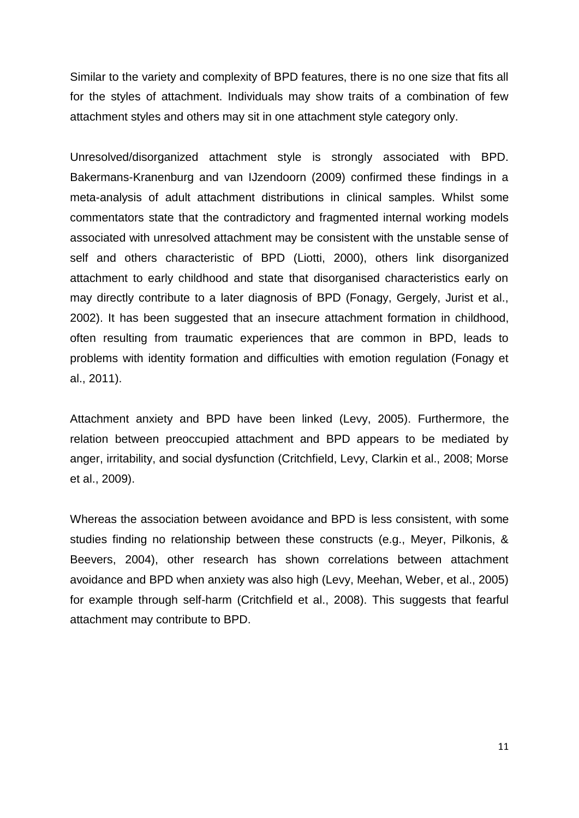Similar to the variety and complexity of BPD features, there is no one size that fits all for the styles of attachment. Individuals may show traits of a combination of few attachment styles and others may sit in one attachment style category only.

Unresolved/disorganized attachment style is strongly associated with BPD. Bakermans-Kranenburg and van IJzendoorn (2009) confirmed these findings in a meta-analysis of adult attachment distributions in clinical samples. Whilst some commentators state that the contradictory and fragmented internal working models associated with unresolved attachment may be consistent with the unstable sense of self and others characteristic of BPD (Liotti, 2000), others link disorganized attachment to early childhood and state that disorganised characteristics early on may directly contribute to a later diagnosis of BPD (Fonagy, Gergely, Jurist et al., 2002). It has been suggested that an insecure attachment formation in childhood, often resulting from traumatic experiences that are common in BPD, leads to problems with identity formation and difficulties with emotion regulation (Fonagy et al., 2011).

Attachment anxiety and BPD have been linked (Levy, 2005). Furthermore, the relation between preoccupied attachment and BPD appears to be mediated by anger, irritability, and social dysfunction (Critchfield, Levy, Clarkin et al., 2008; Morse et al., 2009).

Whereas the association between avoidance and BPD is less consistent, with some studies finding no relationship between these constructs (e.g., Meyer, Pilkonis, & Beevers, 2004), other research has shown correlations between attachment avoidance and BPD when anxiety was also high (Levy, Meehan, Weber, et al., 2005) for example through self-harm (Critchfield et al., 2008). This suggests that fearful attachment may contribute to BPD.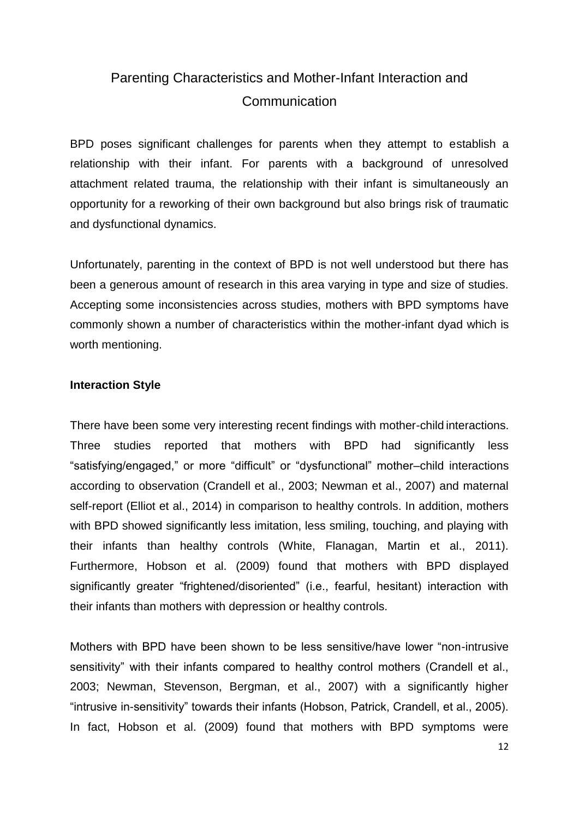# Parenting Characteristics and Mother-Infant Interaction and **Communication**

BPD poses significant challenges for parents when they attempt to establish a relationship with their infant. For parents with a background of unresolved attachment related trauma, the relationship with their infant is simultaneously an opportunity for a reworking of their own background but also brings risk of traumatic and dysfunctional dynamics.

Unfortunately, parenting in the context of BPD is not well understood but there has been a generous amount of research in this area varying in type and size of studies. Accepting some inconsistencies across studies, mothers with BPD symptoms have commonly shown a number of characteristics within the mother-infant dyad which is worth mentioning.

## **Interaction Style**

There have been some very interesting recent findings with mother-child interactions. Three studies reported that mothers with BPD had significantly less "satisfying/engaged," or more "difficult" or "dysfunctional" mother–child interactions according to observation (Crandell et al., 2003; Newman et al., 2007) and maternal self-report (Elliot et al., 2014) in comparison to healthy controls. In addition, mothers with BPD showed significantly less imitation, less smiling, touching, and playing with their infants than healthy controls (White, Flanagan, Martin et al., 2011). Furthermore, Hobson et al. (2009) found that mothers with BPD displayed significantly greater "frightened/disoriented" (i.e., fearful, hesitant) interaction with their infants than mothers with depression or healthy controls.

Mothers with BPD have been shown to be less sensitive/have lower "non-intrusive sensitivity" with their infants compared to healthy control mothers (Crandell et al., 2003; Newman, Stevenson, Bergman, et al., 2007) with a significantly higher "intrusive in-sensitivity" towards their infants (Hobson, Patrick, Crandell, et al., 2005). In fact, Hobson et al. (2009) found that mothers with BPD symptoms were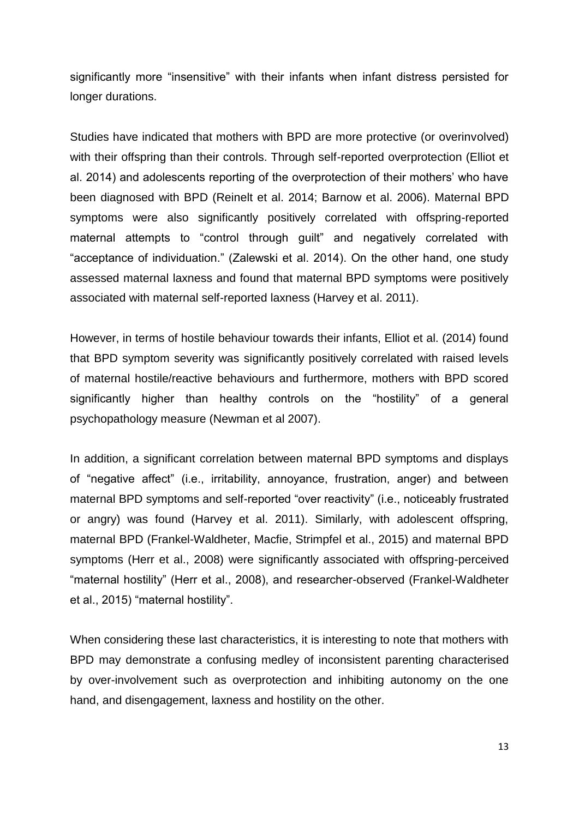significantly more "insensitive" with their infants when infant distress persisted for longer durations.

Studies have indicated that mothers with BPD are more protective (or overinvolved) with their offspring than their controls. Through self-reported overprotection (Elliot et al. 2014) and adolescents reporting of the overprotection of their mothers' who have been diagnosed with BPD (Reinelt et al. 2014; Barnow et al. 2006). Maternal BPD symptoms were also significantly positively correlated with offspring-reported maternal attempts to "control through guilt" and negatively correlated with "acceptance of individuation." (Zalewski et al. 2014). On the other hand, one study assessed maternal laxness and found that maternal BPD symptoms were positively associated with maternal self-reported laxness (Harvey et al. 2011).

However, in terms of hostile behaviour towards their infants, Elliot et al. (2014) found that BPD symptom severity was significantly positively correlated with raised levels of maternal hostile/reactive behaviours and furthermore, mothers with BPD scored significantly higher than healthy controls on the "hostility" of a general psychopathology measure (Newman et al 2007).

In addition, a significant correlation between maternal BPD symptoms and displays of "negative affect" (i.e., irritability, annoyance, frustration, anger) and between maternal BPD symptoms and self-reported "over reactivity" (i.e., noticeably frustrated or angry) was found (Harvey et al. 2011). Similarly, with adolescent offspring, maternal BPD (Frankel-Waldheter, Macfie, Strimpfel et al., 2015) and maternal BPD symptoms (Herr et al., 2008) were significantly associated with offspring-perceived "maternal hostility" (Herr et al., 2008), and researcher-observed (Frankel-Waldheter et al., 2015) "maternal hostility".

When considering these last characteristics, it is interesting to note that mothers with BPD may demonstrate a confusing medley of inconsistent parenting characterised by over-involvement such as overprotection and inhibiting autonomy on the one hand, and disengagement, laxness and hostility on the other.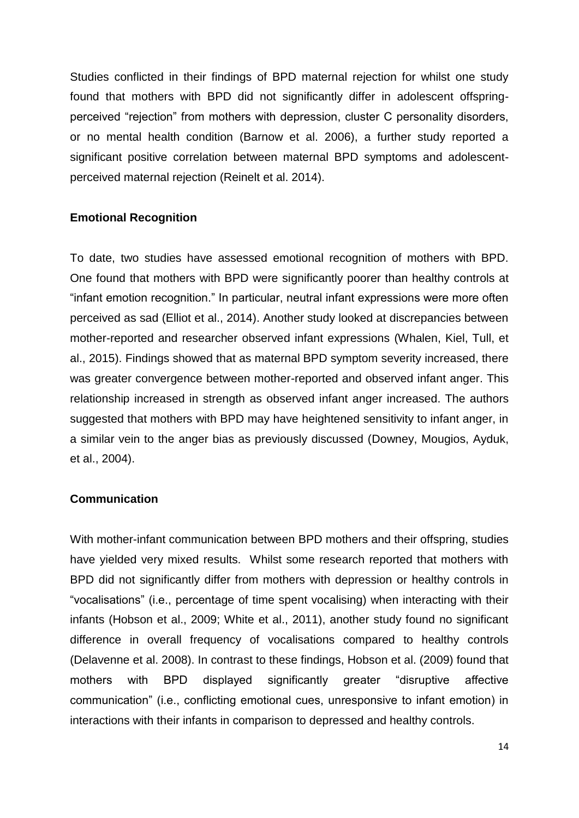Studies conflicted in their findings of BPD maternal rejection for whilst one study found that mothers with BPD did not significantly differ in adolescent offspringperceived "rejection" from mothers with depression, cluster C personality disorders, or no mental health condition (Barnow et al. 2006), a further study reported a significant positive correlation between maternal BPD symptoms and adolescentperceived maternal rejection (Reinelt et al. 2014).

### **Emotional Recognition**

To date, two studies have assessed emotional recognition of mothers with BPD. One found that mothers with BPD were significantly poorer than healthy controls at "infant emotion recognition." In particular, neutral infant expressions were more often perceived as sad (Elliot et al., 2014). Another study looked at discrepancies between mother-reported and researcher observed infant expressions (Whalen, Kiel, Tull, et al., 2015). Findings showed that as maternal BPD symptom severity increased, there was greater convergence between mother-reported and observed infant anger. This relationship increased in strength as observed infant anger increased. The authors suggested that mothers with BPD may have heightened sensitivity to infant anger, in a similar vein to the anger bias as previously discussed (Downey, Mougios, Ayduk, et al., 2004).

#### **Communication**

With mother-infant communication between BPD mothers and their offspring, studies have yielded very mixed results. Whilst some research reported that mothers with BPD did not significantly differ from mothers with depression or healthy controls in "vocalisations" (i.e., percentage of time spent vocalising) when interacting with their infants (Hobson et al., 2009; White et al., 2011), another study found no significant difference in overall frequency of vocalisations compared to healthy controls (Delavenne et al. 2008). In contrast to these findings, Hobson et al. (2009) found that mothers with BPD displayed significantly greater "disruptive affective communication" (i.e., conflicting emotional cues, unresponsive to infant emotion) in interactions with their infants in comparison to depressed and healthy controls.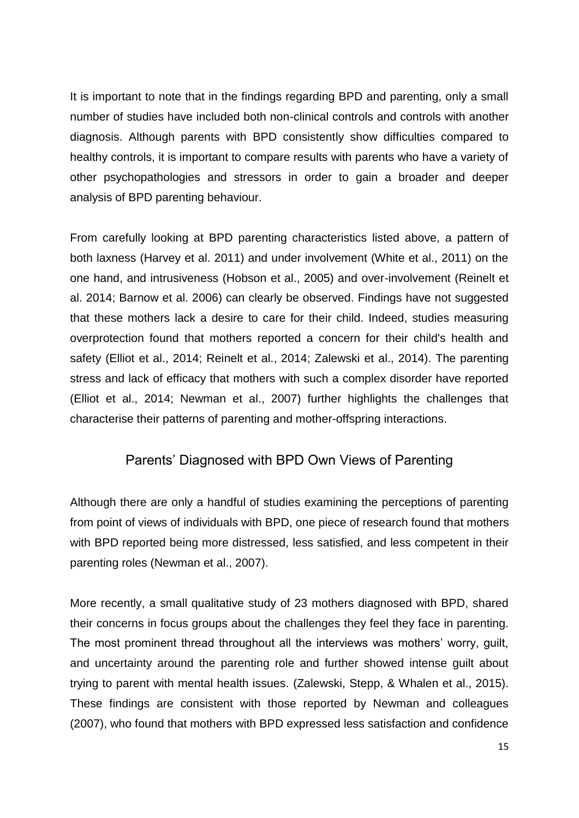It is important to note that in the findings regarding BPD and parenting, only a small number of studies have included both non-clinical controls and controls with another diagnosis. Although parents with BPD consistently show difficulties compared to healthy controls, it is important to compare results with parents who have a variety of other psychopathologies and stressors in order to gain a broader and deeper analysis of BPD parenting behaviour.

From carefully looking at BPD parenting characteristics listed above, a pattern of both laxness (Harvey et al. 2011) and under involvement (White et al., 2011) on the one hand, and intrusiveness (Hobson et al., 2005) and over-involvement (Reinelt et al. 2014; Barnow et al. 2006) can clearly be observed. Findings have not suggested that these mothers lack a desire to care for their child. Indeed, studies measuring overprotection found that mothers reported a concern for their child's health and safety (Elliot et al., 2014; Reinelt et al., 2014; Zalewski et al., 2014). The parenting stress and lack of efficacy that mothers with such a complex disorder have reported (Elliot et al., 2014; Newman et al., 2007) further highlights the challenges that characterise their patterns of parenting and mother-offspring interactions.

## Parents' Diagnosed with BPD Own Views of Parenting

Although there are only a handful of studies examining the perceptions of parenting from point of views of individuals with BPD, one piece of research found that mothers with BPD reported being more distressed, less satisfied, and less competent in their parenting roles (Newman et al., 2007).

More recently, a small qualitative study of 23 mothers diagnosed with BPD, shared their concerns in focus groups about the challenges they feel they face in parenting. The most prominent thread throughout all the interviews was mothers' worry, guilt, and uncertainty around the parenting role and further showed intense guilt about trying to parent with mental health issues. (Zalewski, Stepp, & Whalen et al., 2015). These findings are consistent with those reported by Newman and colleagues (2007), who found that mothers with BPD expressed less satisfaction and confidence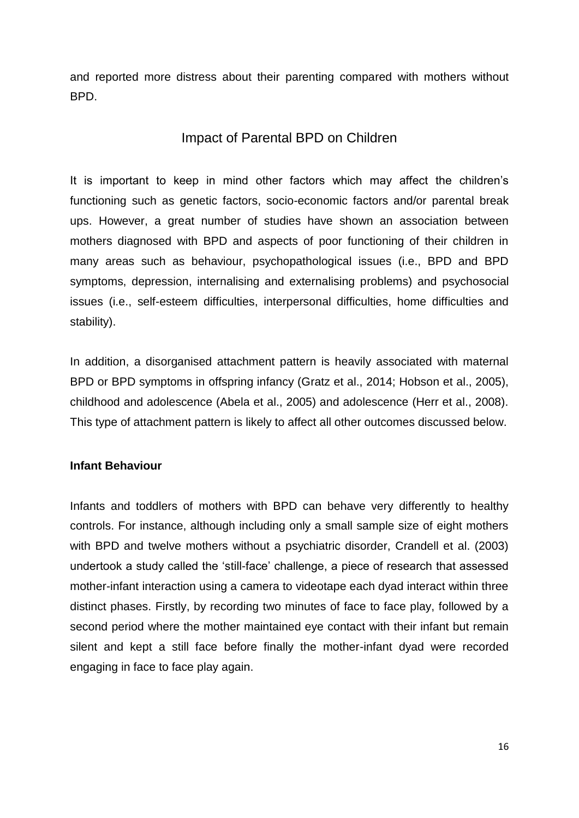and reported more distress about their parenting compared with mothers without BPD.

## Impact of Parental BPD on Children

It is important to keep in mind other factors which may affect the children's functioning such as genetic factors, socio-economic factors and/or parental break ups. However, a great number of studies have shown an association between mothers diagnosed with BPD and aspects of poor functioning of their children in many areas such as behaviour, psychopathological issues (i.e., BPD and BPD symptoms, depression, internalising and externalising problems) and psychosocial issues (i.e., self-esteem difficulties, interpersonal difficulties, home difficulties and stability).

In addition, a disorganised attachment pattern is heavily associated with maternal BPD or BPD symptoms in offspring infancy (Gratz et al., 2014; Hobson et al., 2005), childhood and adolescence (Abela et al., 2005) and adolescence (Herr et al., 2008). This type of attachment pattern is likely to affect all other outcomes discussed below.

## **Infant Behaviour**

Infants and toddlers of mothers with BPD can behave very differently to healthy controls. For instance, although including only a small sample size of eight mothers with BPD and twelve mothers without a psychiatric disorder, Crandell et al. (2003) undertook a study called the 'still-face' challenge, a piece of research that assessed mother-infant interaction using a camera to videotape each dyad interact within three distinct phases. Firstly, by recording two minutes of face to face play, followed by a second period where the mother maintained eye contact with their infant but remain silent and kept a still face before finally the mother-infant dyad were recorded engaging in face to face play again.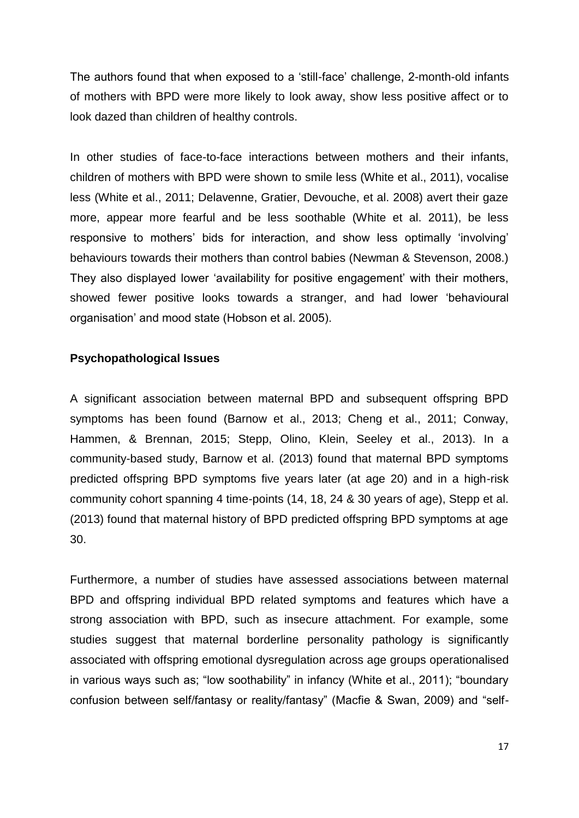The authors found that when exposed to a 'still-face' challenge, 2-month-old infants of mothers with BPD were more likely to look away, show less positive affect or to look dazed than children of healthy controls.

In other studies of face-to-face interactions between mothers and their infants, children of mothers with BPD were shown to smile less (White et al., 2011), vocalise less (White et al., 2011; Delavenne, Gratier, Devouche, et al. 2008) avert their gaze more, appear more fearful and be less soothable (White et al. 2011), be less responsive to mothers' bids for interaction, and show less optimally 'involving' behaviours towards their mothers than control babies (Newman & Stevenson, 2008.) They also displayed lower 'availability for positive engagement' with their mothers, showed fewer positive looks towards a stranger, and had lower 'behavioural organisation' and mood state (Hobson et al. 2005).

### **Psychopathological Issues**

A significant association between maternal BPD and subsequent offspring BPD symptoms has been found (Barnow et al., 2013; Cheng et al., 2011; Conway, Hammen, & Brennan, 2015; Stepp, Olino, Klein, Seeley et al., 2013). In a community-based study, Barnow et al. (2013) found that maternal BPD symptoms predicted offspring BPD symptoms five years later (at age 20) and in a high-risk community cohort spanning 4 time-points (14, 18, 24 & 30 years of age), Stepp et al. (2013) found that maternal history of BPD predicted offspring BPD symptoms at age 30.

Furthermore, a number of studies have assessed associations between maternal BPD and offspring individual BPD related symptoms and features which have a strong association with BPD, such as insecure attachment. For example, some studies suggest that maternal borderline personality pathology is significantly associated with offspring emotional dysregulation across age groups operationalised in various ways such as; "low soothability" in infancy (White et al., 2011); "boundary confusion between self/fantasy or reality/fantasy" (Macfie & Swan, 2009) and "self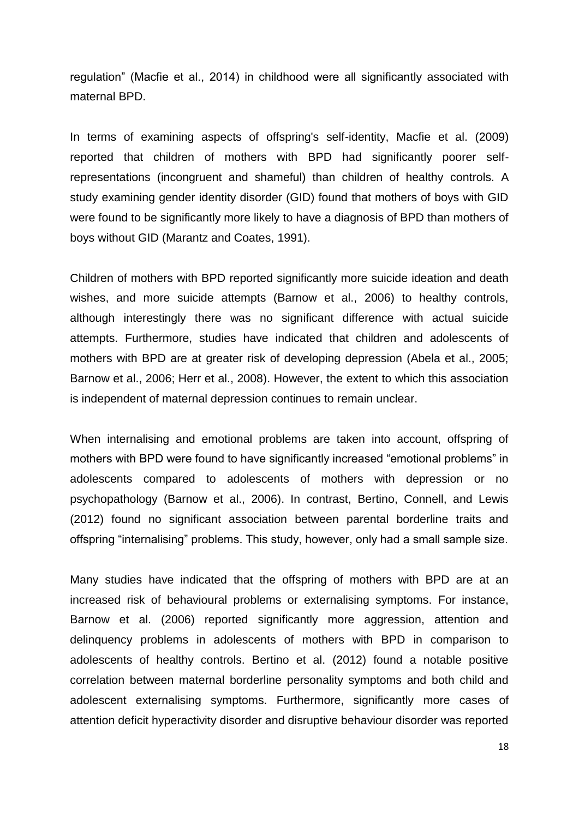regulation" (Macfie et al., 2014) in childhood were all significantly associated with maternal BPD.

In terms of examining aspects of offspring's self-identity, Macfie et al. (2009) reported that children of mothers with BPD had significantly poorer selfrepresentations (incongruent and shameful) than children of healthy controls. A study examining gender identity disorder (GID) found that mothers of boys with GID were found to be significantly more likely to have a diagnosis of BPD than mothers of boys without GID (Marantz and Coates, 1991).

Children of mothers with BPD reported significantly more suicide ideation and death wishes, and more suicide attempts (Barnow et al., 2006) to healthy controls, although interestingly there was no significant difference with actual suicide attempts. Furthermore, studies have indicated that children and adolescents of mothers with BPD are at greater risk of developing depression (Abela et al., 2005; Barnow et al., 2006; Herr et al., 2008). However, the extent to which this association is independent of maternal depression continues to remain unclear.

When internalising and emotional problems are taken into account, offspring of mothers with BPD were found to have significantly increased "emotional problems" in adolescents compared to adolescents of mothers with depression or no psychopathology (Barnow et al., 2006). In contrast, Bertino, Connell, and Lewis (2012) found no significant association between parental borderline traits and offspring "internalising" problems. This study, however, only had a small sample size.

Many studies have indicated that the offspring of mothers with BPD are at an increased risk of behavioural problems or externalising symptoms. For instance, Barnow et al. (2006) reported significantly more aggression, attention and delinquency problems in adolescents of mothers with BPD in comparison to adolescents of healthy controls. Bertino et al. (2012) found a notable positive correlation between maternal borderline personality symptoms and both child and adolescent externalising symptoms. Furthermore, significantly more cases of attention deficit hyperactivity disorder and disruptive behaviour disorder was reported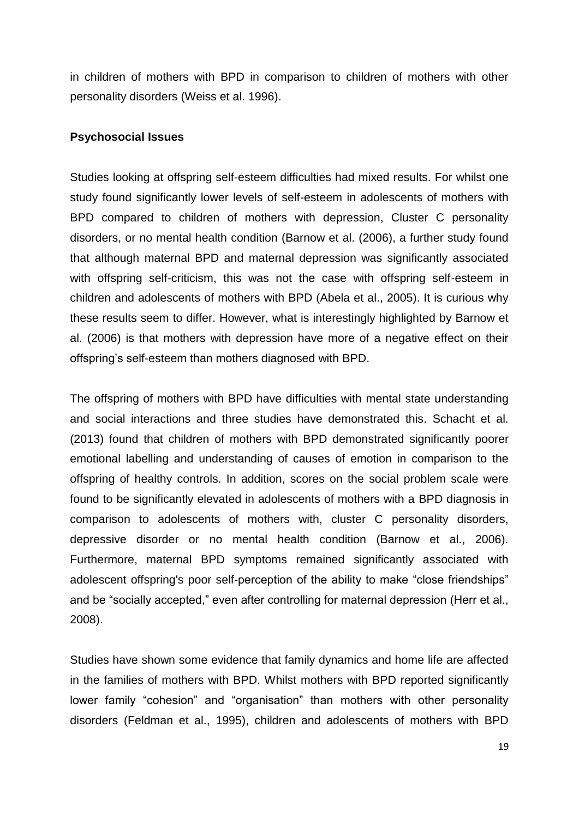in children of mothers with BPD in comparison to children of mothers with other personality disorders (Weiss et al. 1996).

#### **Psychosocial Issues**

Studies looking at offspring self-esteem difficulties had mixed results. For whilst one study found significantly lower levels of self-esteem in adolescents of mothers with BPD compared to children of mothers with depression, Cluster C personality disorders, or no mental health condition (Barnow et al. (2006), a further study found that although maternal BPD and maternal depression was significantly associated with offspring self-criticism, this was not the case with offspring self-esteem in children and adolescents of mothers with BPD (Abela et al., 2005). It is curious why these results seem to differ. However, what is interestingly highlighted by Barnow et al. (2006) is that mothers with depression have more of a negative effect on their offspring's self-esteem than mothers diagnosed with BPD.

The offspring of mothers with BPD have difficulties with mental state understanding and social interactions and three studies have demonstrated this. Schacht et al. (2013) found that children of mothers with BPD demonstrated significantly poorer emotional labelling and understanding of causes of emotion in comparison to the offspring of healthy controls. In addition, scores on the social problem scale were found to be significantly elevated in adolescents of mothers with a BPD diagnosis in comparison to adolescents of mothers with, cluster C personality disorders, depressive disorder or no mental health condition (Barnow et al., 2006). Furthermore, maternal BPD symptoms remained significantly associated with adolescent offspring's poor self-perception of the ability to make "close friendships" and be "socially accepted," even after controlling for maternal depression (Herr et al., 2008).

Studies have shown some evidence that family dynamics and home life are affected in the families of mothers with BPD. Whilst mothers with BPD reported significantly lower family "cohesion" and "organisation" than mothers with other personality disorders (Feldman et al., 1995), children and adolescents of mothers with BPD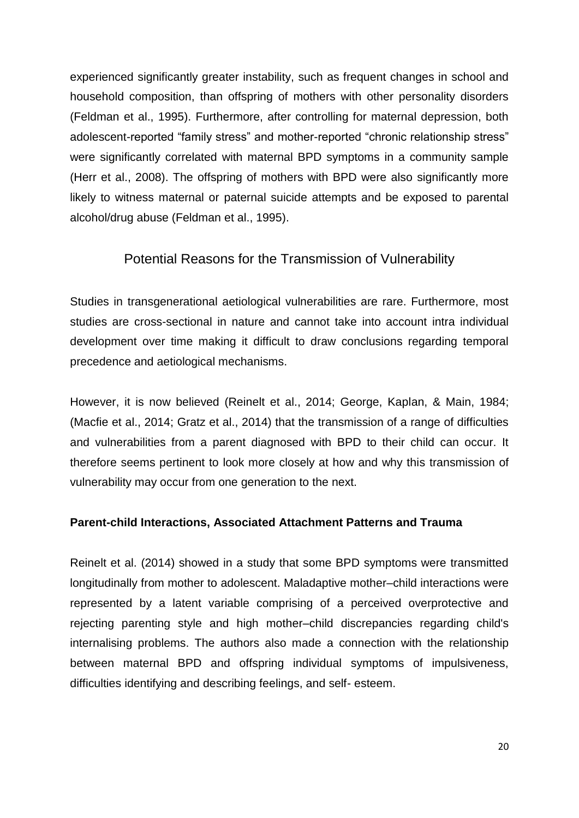experienced significantly greater instability, such as frequent changes in school and household composition, than offspring of mothers with other personality disorders (Feldman et al., 1995). Furthermore, after controlling for maternal depression, both adolescent-reported "family stress" and mother-reported "chronic relationship stress" were significantly correlated with maternal BPD symptoms in a community sample (Herr et al., 2008). The offspring of mothers with BPD were also significantly more likely to witness maternal or paternal suicide attempts and be exposed to parental alcohol/drug abuse (Feldman et al., 1995).

## Potential Reasons for the Transmission of Vulnerability

Studies in transgenerational aetiological vulnerabilities are rare. Furthermore, most studies are cross-sectional in nature and cannot take into account intra individual development over time making it difficult to draw conclusions regarding temporal precedence and aetiological mechanisms.

However, it is now believed (Reinelt et al., 2014; George, Kaplan, & Main, 1984; (Macfie et al., 2014; Gratz et al., 2014) that the transmission of a range of difficulties and vulnerabilities from a parent diagnosed with BPD to their child can occur. It therefore seems pertinent to look more closely at how and why this transmission of vulnerability may occur from one generation to the next.

### **Parent-child Interactions, Associated Attachment Patterns and Trauma**

Reinelt et al. (2014) showed in a study that some BPD symptoms were transmitted longitudinally from mother to adolescent. Maladaptive mother–child interactions were represented by a latent variable comprising of a perceived overprotective and rejecting parenting style and high mother–child discrepancies regarding child's internalising problems. The authors also made a connection with the relationship between maternal BPD and offspring individual symptoms of impulsiveness, difficulties identifying and describing feelings, and self- esteem.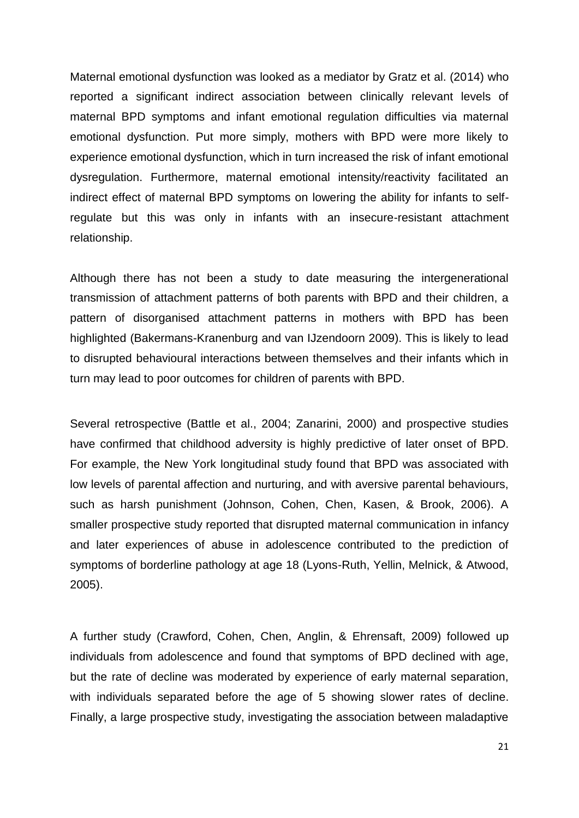Maternal emotional dysfunction was looked as a mediator by Gratz et al. (2014) who reported a significant indirect association between clinically relevant levels of maternal BPD symptoms and infant emotional regulation difficulties via maternal emotional dysfunction. Put more simply, mothers with BPD were more likely to experience emotional dysfunction, which in turn increased the risk of infant emotional dysregulation. Furthermore, maternal emotional intensity/reactivity facilitated an indirect effect of maternal BPD symptoms on lowering the ability for infants to selfregulate but this was only in infants with an insecure-resistant attachment relationship.

Although there has not been a study to date measuring the intergenerational transmission of attachment patterns of both parents with BPD and their children, a pattern of disorganised attachment patterns in mothers with BPD has been highlighted (Bakermans-Kranenburg and van IJzendoorn 2009). This is likely to lead to disrupted behavioural interactions between themselves and their infants which in turn may lead to poor outcomes for children of parents with BPD.

Several retrospective (Battle et al., 2004; Zanarini, 2000) and prospective studies have confirmed that childhood adversity is highly predictive of later onset of BPD. For example, the New York longitudinal study found that BPD was associated with low levels of parental affection and nurturing, and with aversive parental behaviours, such as harsh punishment (Johnson, Cohen, Chen, Kasen, & Brook, 2006). A smaller prospective study reported that disrupted maternal communication in infancy and later experiences of abuse in adolescence contributed to the prediction of symptoms of borderline pathology at age 18 (Lyons-Ruth, Yellin, Melnick, & Atwood, 2005).

A further study (Crawford, Cohen, Chen, Anglin, & Ehrensaft, 2009) followed up individuals from adolescence and found that symptoms of BPD declined with age, but the rate of decline was moderated by experience of early maternal separation, with individuals separated before the age of 5 showing slower rates of decline. Finally, a large prospective study, investigating the association between maladaptive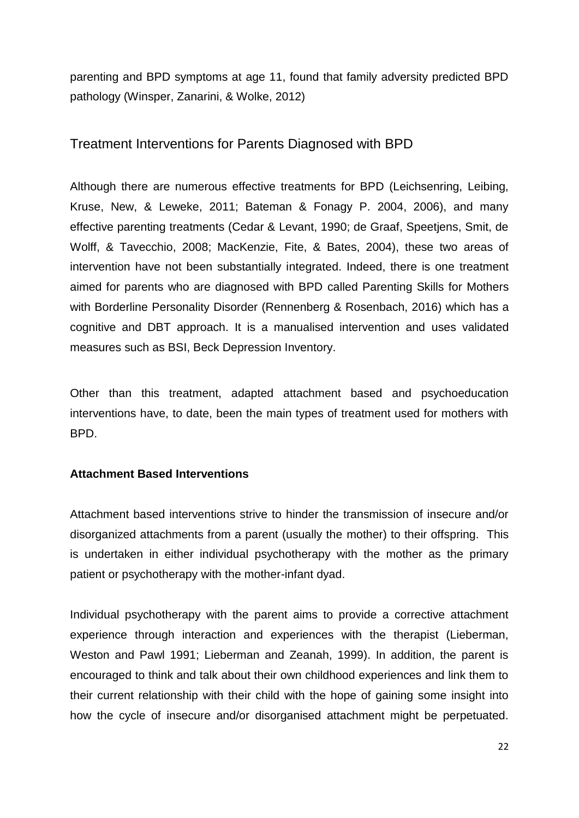parenting and BPD symptoms at age 11, found that family adversity predicted BPD pathology (Winsper, Zanarini, & Wolke, 2012)

## Treatment Interventions for Parents Diagnosed with BPD

Although there are numerous effective treatments for BPD (Leichsenring, Leibing, Kruse, New, & Leweke, 2011; Bateman & Fonagy P. 2004, 2006), and many effective parenting treatments (Cedar & Levant, 1990; de Graaf, Speetjens, Smit, de Wolff, & Tavecchio, 2008; MacKenzie, Fite, & Bates, 2004), these two areas of intervention have not been substantially integrated. Indeed, there is one treatment aimed for parents who are diagnosed with BPD called Parenting Skills for Mothers with Borderline Personality Disorder (Rennenberg & Rosenbach, 2016) which has a cognitive and DBT approach. It is a manualised intervention and uses validated measures such as BSI, Beck Depression Inventory.

Other than this treatment, adapted attachment based and psychoeducation interventions have, to date, been the main types of treatment used for mothers with BPD.

## **Attachment Based Interventions**

Attachment based interventions strive to hinder the transmission of insecure and/or disorganized attachments from a parent (usually the mother) to their offspring. This is undertaken in either individual psychotherapy with the mother as the primary patient or psychotherapy with the mother-infant dyad.

Individual psychotherapy with the parent aims to provide a corrective attachment experience through interaction and experiences with the therapist (Lieberman, Weston and Pawl 1991; Lieberman and Zeanah, 1999). In addition, the parent is encouraged to think and talk about their own childhood experiences and link them to their current relationship with their child with the hope of gaining some insight into how the cycle of insecure and/or disorganised attachment might be perpetuated.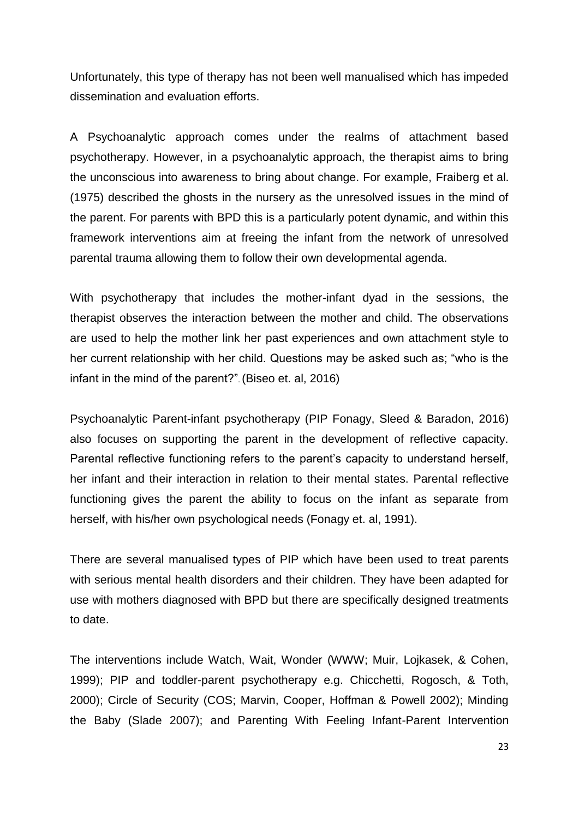Unfortunately, this type of therapy has not been well manualised which has impeded dissemination and evaluation efforts.

A Psychoanalytic approach comes under the realms of attachment based psychotherapy. However, in a psychoanalytic approach, the therapist aims to bring the unconscious into awareness to bring about change. For example, Fraiberg et al. (1975) described the ghosts in the nursery as the unresolved issues in the mind of the parent. For parents with BPD this is a particularly potent dynamic, and within this framework interventions aim at freeing the infant from the network of unresolved parental trauma allowing them to follow their own developmental agenda.

With psychotherapy that includes the mother-infant dyad in the sessions, the therapist observes the interaction between the mother and child. The observations are used to help the mother link her past experiences and own attachment style to her current relationship with her child. Questions may be asked such as; "who is the infant in the mind of the parent?". (Biseo et. al, 2016)

Psychoanalytic Parent-infant psychotherapy (PIP Fonagy, Sleed & Baradon, 2016) also focuses on supporting the parent in the development of reflective capacity. Parental reflective functioning refers to the parent's capacity to understand herself, her infant and their interaction in relation to their mental states. Parental reflective functioning gives the parent the ability to focus on the infant as separate from herself, with his/her own psychological needs (Fonagy et. al, 1991).

There are several manualised types of PIP which have been used to treat parents with serious mental health disorders and their children. They have been adapted for use with mothers diagnosed with BPD but there are specifically designed treatments to date.

The interventions include Watch, Wait, Wonder (WWW; Muir, Lojkasek, & Cohen, 1999); PIP and toddler-parent psychotherapy e.g. Chicchetti, Rogosch, & Toth, 2000); Circle of Security (COS; Marvin, Cooper, Hoffman & Powell 2002); Minding the Baby (Slade 2007); and Parenting With Feeling Infant-Parent Intervention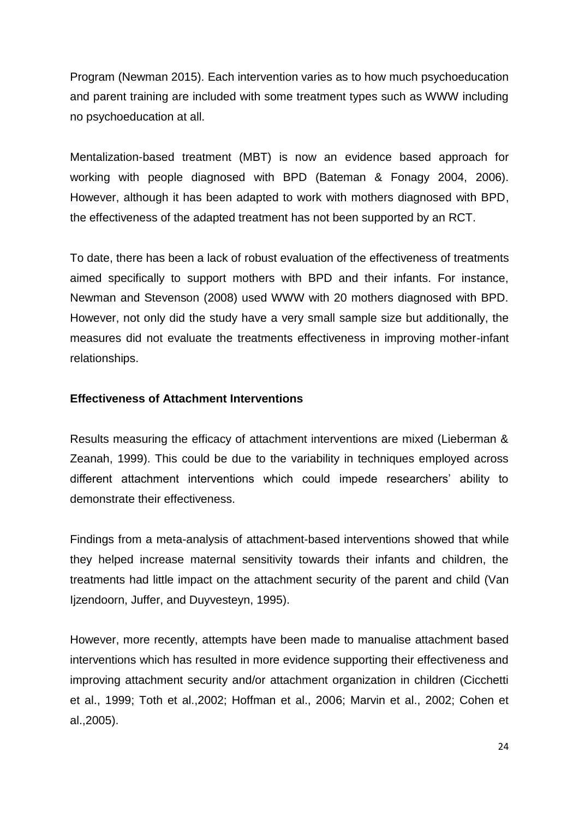Program (Newman 2015). Each intervention varies as to how much psychoeducation and parent training are included with some treatment types such as WWW including no psychoeducation at all.

Mentalization-based treatment (MBT) is now an evidence based approach for working with people diagnosed with BPD (Bateman & Fonagy 2004, 2006). However, although it has been adapted to work with mothers diagnosed with BPD, the effectiveness of the adapted treatment has not been supported by an RCT.

To date, there has been a lack of robust evaluation of the effectiveness of treatments aimed specifically to support mothers with BPD and their infants. For instance, Newman and Stevenson (2008) used WWW with 20 mothers diagnosed with BPD. However, not only did the study have a very small sample size but additionally, the measures did not evaluate the treatments effectiveness in improving mother-infant relationships.

### **Effectiveness of Attachment Interventions**

Results measuring the efficacy of attachment interventions are mixed (Lieberman & Zeanah, 1999). This could be due to the variability in techniques employed across different attachment interventions which could impede researchers' ability to demonstrate their effectiveness.

Findings from a meta-analysis of attachment-based interventions showed that while they helped increase maternal sensitivity towards their infants and children, the treatments had little impact on the attachment security of the parent and child (Van Ijzendoorn, Juffer, and Duyvesteyn, 1995).

However, more recently, attempts have been made to manualise attachment based interventions which has resulted in more evidence supporting their effectiveness and improving attachment security and/or attachment organization in children (Cicchetti et al., 1999; Toth et al.,2002; Hoffman et al., 2006; Marvin et al., 2002; Cohen et al.,2005).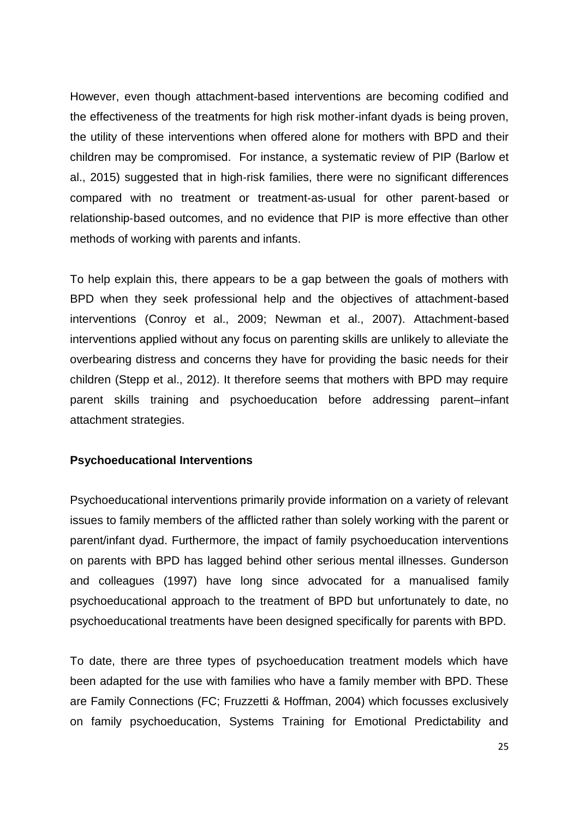However, even though attachment-based interventions are becoming codified and the effectiveness of the treatments for high risk mother-infant dyads is being proven, the utility of these interventions when offered alone for mothers with BPD and their children may be compromised. For instance, a systematic review of PIP (Barlow et al., 2015) suggested that in high‐risk families, there were no significant differences compared with no treatment or treatment‐as‐usual for other parent‐based or relationship‐based outcomes, and no evidence that PIP is more effective than other methods of working with parents and infants.

To help explain this, there appears to be a gap between the goals of mothers with BPD when they seek professional help and the objectives of attachment-based interventions (Conroy et al., 2009; Newman et al., 2007). Attachment-based interventions applied without any focus on parenting skills are unlikely to alleviate the overbearing distress and concerns they have for providing the basic needs for their children (Stepp et al., 2012). It therefore seems that mothers with BPD may require parent skills training and psychoeducation before addressing parent–infant attachment strategies.

#### **Psychoeducational Interventions**

Psychoeducational interventions primarily provide information on a variety of relevant issues to family members of the afflicted rather than solely working with the parent or parent/infant dyad. Furthermore, the impact of family psychoeducation interventions on parents with BPD has lagged behind other serious mental illnesses. Gunderson and colleagues (1997) have long since advocated for a manualised family psychoeducational approach to the treatment of BPD but unfortunately to date, no psychoeducational treatments have been designed specifically for parents with BPD.

To date, there are three types of psychoeducation treatment models which have been adapted for the use with families who have a family member with BPD. These are Family Connections (FC; Fruzzetti & Hoffman, 2004) which focusses exclusively on family psychoeducation, Systems Training for Emotional Predictability and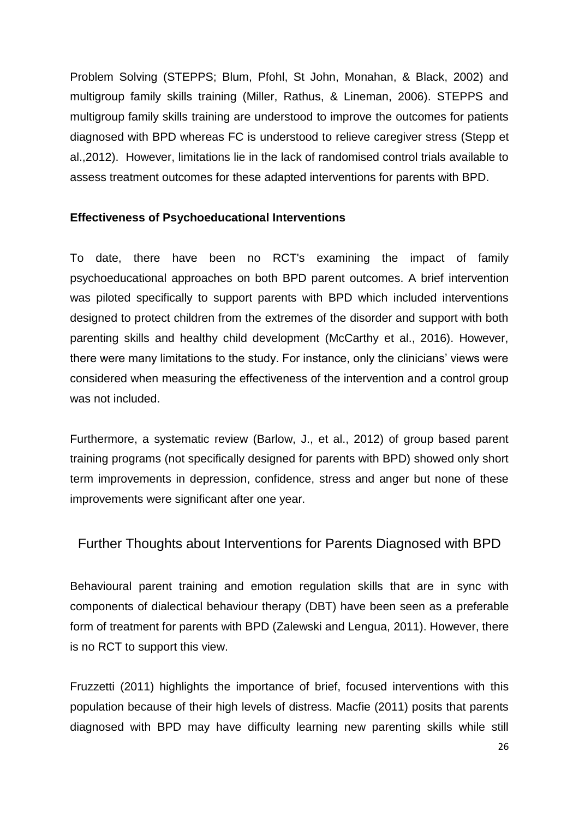Problem Solving (STEPPS; Blum, Pfohl, St John, Monahan, & Black, 2002) and multigroup family skills training (Miller, Rathus, & Lineman, 2006). STEPPS and multigroup family skills training are understood to improve the outcomes for patients diagnosed with BPD whereas FC is understood to relieve caregiver stress (Stepp et al.,2012). However, limitations lie in the lack of randomised control trials available to assess treatment outcomes for these adapted interventions for parents with BPD.

## **Effectiveness of Psychoeducational Interventions**

To date, there have been no RCT's examining the impact of family psychoeducational approaches on both BPD parent outcomes. A brief intervention was piloted specifically to support parents with BPD which included interventions designed to protect children from the extremes of the disorder and support with both parenting skills and healthy child development (McCarthy et al., 2016). However, there were many limitations to the study. For instance, only the clinicians' views were considered when measuring the effectiveness of the intervention and a control group was not included.

Furthermore, a systematic review (Barlow, J., et al., 2012) of group based parent training programs (not specifically designed for parents with BPD) showed only short term improvements in depression, confidence, stress and anger but none of these improvements were significant after one year.

## Further Thoughts about Interventions for Parents Diagnosed with BPD

Behavioural parent training and emotion regulation skills that are in sync with components of dialectical behaviour therapy (DBT) have been seen as a preferable form of treatment for parents with BPD (Zalewski and Lengua, 2011). However, there is no RCT to support this view.

Fruzzetti (2011) highlights the importance of brief, focused interventions with this population because of their high levels of distress. Macfie (2011) posits that parents diagnosed with BPD may have difficulty learning new parenting skills while still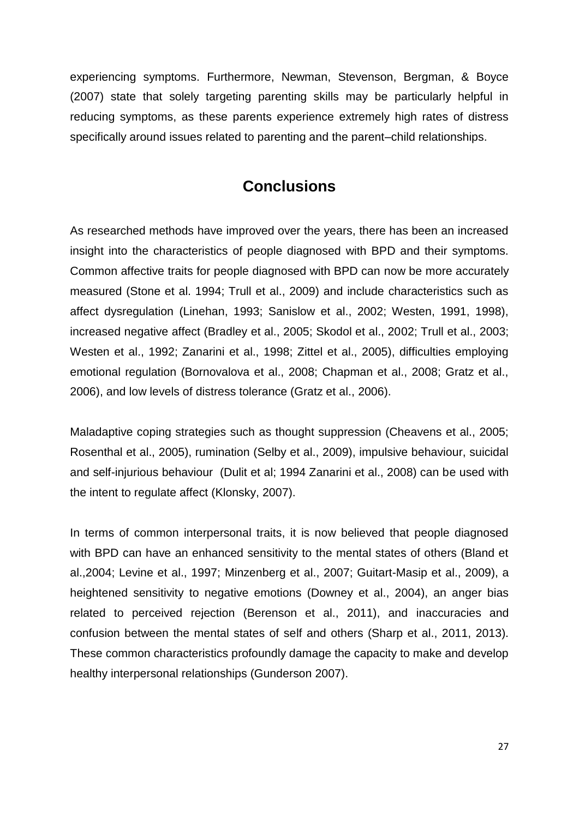experiencing symptoms. Furthermore, Newman, Stevenson, Bergman, & Boyce (2007) state that solely targeting parenting skills may be particularly helpful in reducing symptoms, as these parents experience extremely high rates of distress specifically around issues related to parenting and the parent–child relationships.

## **Conclusions**

As researched methods have improved over the years, there has been an increased insight into the characteristics of people diagnosed with BPD and their symptoms. Common affective traits for people diagnosed with BPD can now be more accurately measured (Stone et al. 1994; Trull et al., 2009) and include characteristics such as affect dysregulation (Linehan, 1993; Sanislow et al., 2002; Westen, 1991, 1998), increased negative affect (Bradley et al., 2005; Skodol et al., 2002; Trull et al., 2003; Westen et al., 1992; Zanarini et al., 1998; Zittel et al., 2005), difficulties employing emotional regulation (Bornovalova et al., 2008; Chapman et al., 2008; Gratz et al., 2006), and low levels of distress tolerance (Gratz et al., 2006).

Maladaptive coping strategies such as thought suppression (Cheavens et al., 2005; Rosenthal et al., 2005), rumination (Selby et al., 2009), impulsive behaviour, suicidal and self-injurious behaviour (Dulit et al; 1994 Zanarini et al., 2008) can be used with the intent to regulate affect (Klonsky, 2007).

In terms of common interpersonal traits, it is now believed that people diagnosed with BPD can have an enhanced sensitivity to the mental states of others (Bland et al.,2004; Levine et al., 1997; Minzenberg et al., 2007; Guitart-Masip et al., 2009), a heightened sensitivity to negative emotions (Downey et al., 2004), an anger bias related to perceived rejection (Berenson et al., 2011), and inaccuracies and confusion between the mental states of self and others (Sharp et al., 2011, 2013). These common characteristics profoundly damage the capacity to make and develop healthy interpersonal relationships (Gunderson 2007).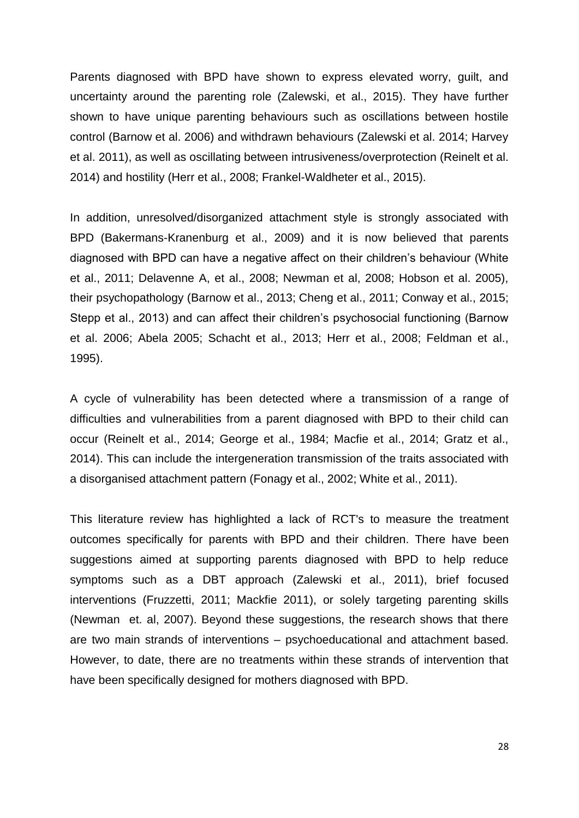Parents diagnosed with BPD have shown to express elevated worry, guilt, and uncertainty around the parenting role (Zalewski, et al., 2015). They have further shown to have unique parenting behaviours such as oscillations between hostile control (Barnow et al. 2006) and withdrawn behaviours (Zalewski et al. 2014; Harvey et al. 2011), as well as oscillating between intrusiveness/overprotection (Reinelt et al. 2014) and hostility (Herr et al., 2008; Frankel-Waldheter et al., 2015).

In addition, unresolved/disorganized attachment style is strongly associated with BPD (Bakermans-Kranenburg et al., 2009) and it is now believed that parents diagnosed with BPD can have a negative affect on their children's behaviour (White et al., 2011; Delavenne A, et al., 2008; Newman et al, 2008; Hobson et al. 2005), their psychopathology (Barnow et al., 2013; Cheng et al., 2011; Conway et al., 2015; Stepp et al., 2013) and can affect their children's psychosocial functioning (Barnow et al. 2006; Abela 2005; Schacht et al., 2013; Herr et al., 2008; Feldman et al., 1995).

A cycle of vulnerability has been detected where a transmission of a range of difficulties and vulnerabilities from a parent diagnosed with BPD to their child can occur (Reinelt et al., 2014; George et al., 1984; Macfie et al., 2014; Gratz et al., 2014). This can include the intergeneration transmission of the traits associated with a disorganised attachment pattern (Fonagy et al., 2002; White et al., 2011).

This literature review has highlighted a lack of RCT's to measure the treatment outcomes specifically for parents with BPD and their children. There have been suggestions aimed at supporting parents diagnosed with BPD to help reduce symptoms such as a DBT approach (Zalewski et al., 2011), brief focused interventions (Fruzzetti, 2011; Mackfie 2011), or solely targeting parenting skills (Newman et. al, 2007). Beyond these suggestions, the research shows that there are two main strands of interventions – psychoeducational and attachment based. However, to date, there are no treatments within these strands of intervention that have been specifically designed for mothers diagnosed with BPD.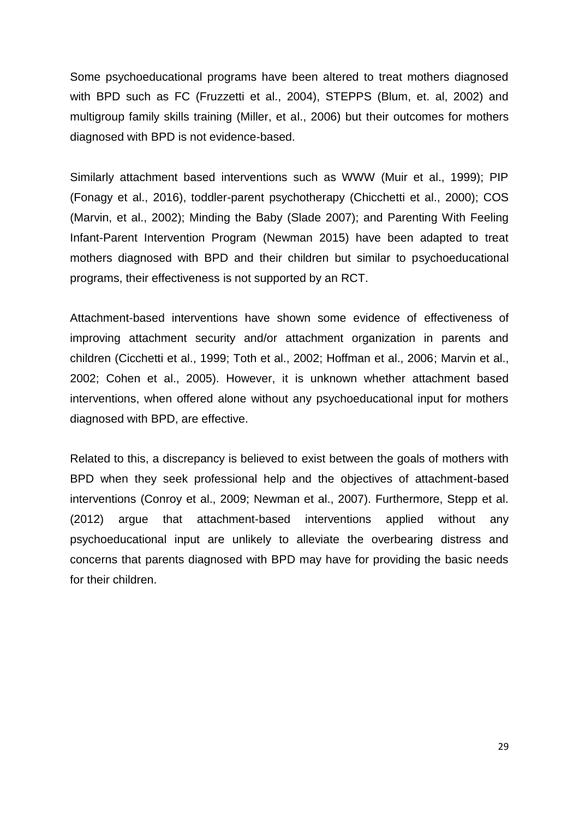Some psychoeducational programs have been altered to treat mothers diagnosed with BPD such as FC (Fruzzetti et al., 2004), STEPPS (Blum, et. al, 2002) and multigroup family skills training (Miller, et al., 2006) but their outcomes for mothers diagnosed with BPD is not evidence-based.

Similarly attachment based interventions such as WWW (Muir et al., 1999); PIP (Fonagy et al., 2016), toddler-parent psychotherapy (Chicchetti et al., 2000); COS (Marvin, et al., 2002); Minding the Baby (Slade 2007); and Parenting With Feeling Infant-Parent Intervention Program (Newman 2015) have been adapted to treat mothers diagnosed with BPD and their children but similar to psychoeducational programs, their effectiveness is not supported by an RCT.

Attachment-based interventions have shown some evidence of effectiveness of improving attachment security and/or attachment organization in parents and children (Cicchetti et al., 1999; Toth et al., 2002; Hoffman et al., 2006; Marvin et al., 2002; Cohen et al., 2005). However, it is unknown whether attachment based interventions, when offered alone without any psychoeducational input for mothers diagnosed with BPD, are effective.

Related to this, a discrepancy is believed to exist between the goals of mothers with BPD when they seek professional help and the objectives of attachment-based interventions (Conroy et al., 2009; Newman et al., 2007). Furthermore, Stepp et al. (2012) argue that attachment-based interventions applied without any psychoeducational input are unlikely to alleviate the overbearing distress and concerns that parents diagnosed with BPD may have for providing the basic needs for their children.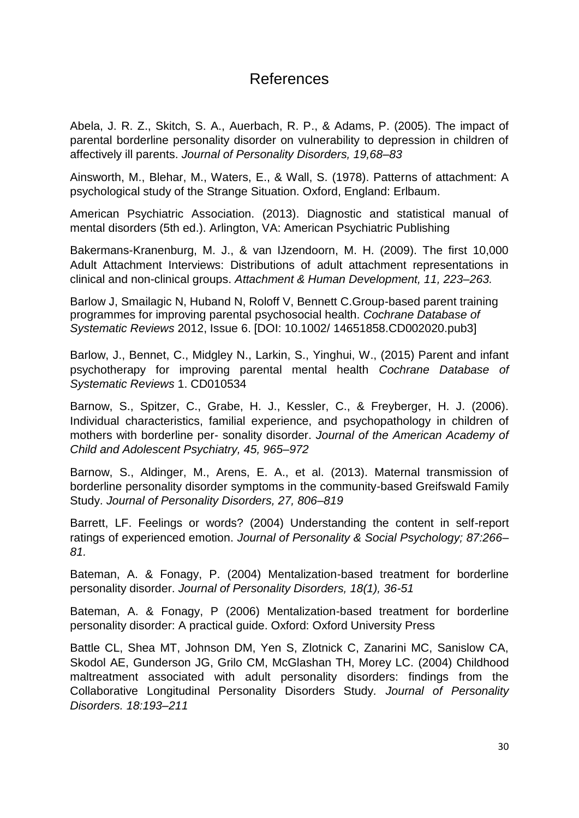## References

Abela, J. R. Z., Skitch, S. A., Auerbach, R. P., & Adams, P. (2005). The impact of parental borderline personality disorder on vulnerability to depression in children of affectively ill parents. *Journal of Personality Disorders, 19,68–83*

Ainsworth, M., Blehar, M., Waters, E., & Wall, S. (1978). Patterns of attachment: A psychological study of the Strange Situation. Oxford, England: Erlbaum.

American Psychiatric Association. (2013). Diagnostic and statistical manual of mental disorders (5th ed.). Arlington, VA: American Psychiatric Publishing

Bakermans-Kranenburg, M. J., & van IJzendoorn, M. H. (2009). The first 10,000 Adult Attachment Interviews: Distributions of adult attachment representations in clinical and non-clinical groups. *Attachment & Human Development, 11, 223–263.*

Barlow J, Smailagic N, Huband N, Roloff V, Bennett C.Group-based parent training programmes for improving parental psychosocial health. *Cochrane Database of Systematic Reviews* 2012, Issue 6. [DOI: 10.1002/ 14651858.CD002020.pub3]

Barlow, J., Bennet, C., Midgley N., Larkin, S., Yinghui, W., (2015) Parent and infant psychotherapy for improving parental mental health *Cochrane Database of Systematic Reviews* 1. CD010534

Barnow, S., Spitzer, C., Grabe, H. J., Kessler, C., & Freyberger, H. J. (2006). Individual characteristics, familial experience, and psychopathology in children of mothers with borderline per- sonality disorder. *Journal of the American Academy of Child and Adolescent Psychiatry, 45, 965–972*

Barnow, S., Aldinger, M., Arens, E. A., et al. (2013). Maternal transmission of borderline personality disorder symptoms in the community-based Greifswald Family Study. *Journal of Personality Disorders, 27, 806–819*

Barrett, LF. Feelings or words? (2004) Understanding the content in self-report ratings of experienced emotion. *Journal of Personality & Social Psychology; 87:266– 81.*

Bateman, A. & Fonagy, P. (2004) Mentalization-based treatment for borderline personality disorder. *Journal of Personality Disorders, 18(1), 36-51*

Bateman, A. & Fonagy, P (2006) Mentalization-based treatment for borderline personality disorder: A practical guide. Oxford: Oxford University Press

Battle CL, Shea MT, Johnson DM, Yen S, Zlotnick C, Zanarini MC, Sanislow CA, Skodol AE, Gunderson JG, Grilo CM, McGlashan TH, Morey LC. (2004) Childhood maltreatment associated with adult personality disorders: findings from the Collaborative Longitudinal Personality Disorders Study*. Journal of Personality Disorders. 18:193–211*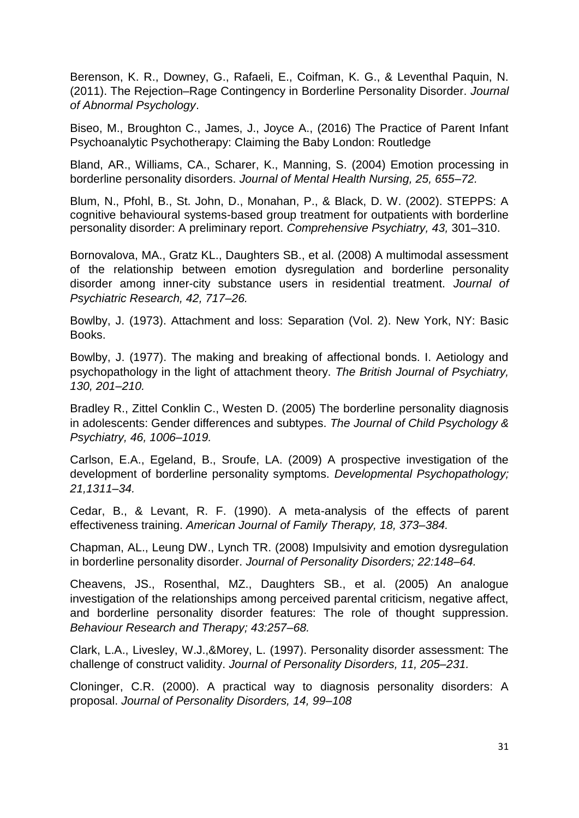Berenson, K. R., Downey, G., Rafaeli, E., Coifman, K. G., & Leventhal Paquin, N. (2011). The Rejection–Rage Contingency in Borderline Personality Disorder. *Journal of Abnormal Psychology*.

Biseo, M., Broughton C., James, J., Joyce A., (2016) The Practice of Parent Infant Psychoanalytic Psychotherapy: Claiming the Baby London: Routledge

Bland, AR., Williams, CA., Scharer, K., Manning, S. (2004) Emotion processing in borderline personality disorders. *Journal of Mental Health Nursing, 25, 655–72.*

Blum, N., Pfohl, B., St. John, D., Monahan, P., & Black, D. W. (2002). STEPPS: A cognitive behavioural systems-based group treatment for outpatients with borderline personality disorder: A preliminary report. *Comprehensive Psychiatry, 43,* 301–310.

Bornovalova, MA., Gratz KL., Daughters SB., et al. (2008) A multimodal assessment of the relationship between emotion dysregulation and borderline personality disorder among inner-city substance users in residential treatment. *Journal of Psychiatric Research, 42, 717–26.*

Bowlby, J. (1973). Attachment and loss: Separation (Vol. 2). New York, NY: Basic Books.

Bowlby, J. (1977). The making and breaking of affectional bonds. I. Aetiology and psychopathology in the light of attachment theory. *The British Journal of Psychiatry, 130, 201–210.*

Bradley R., Zittel Conklin C., Westen D. (2005) The borderline personality diagnosis in adolescents: Gender differences and subtypes. *The Journal of Child Psychology & Psychiatry, 46, 1006–1019.*

Carlson, E.A., Egeland, B., Sroufe, LA. (2009) A prospective investigation of the development of borderline personality symptoms. *Developmental Psychopathology; 21,1311–34.*

Cedar, B., & Levant, R. F. (1990). A meta-analysis of the effects of parent effectiveness training. *American Journal of Family Therapy, 18, 373–384.*

Chapman, AL., Leung DW., Lynch TR. (2008) Impulsivity and emotion dysregulation in borderline personality disorder. *Journal of Personality Disorders; 22:148–64.*

Cheavens, JS., Rosenthal, MZ., Daughters SB., et al. (2005) An analogue investigation of the relationships among perceived parental criticism, negative affect, and borderline personality disorder features: The role of thought suppression. *Behaviour Research and Therapy; 43:257–68.*

Clark, L.A., Livesley, W.J.,&Morey, L. (1997). Personality disorder assessment: The challenge of construct validity. *Journal of Personality Disorders, 11, 205–231.*

Cloninger, C.R. (2000). A practical way to diagnosis personality disorders: A proposal. *Journal of Personality Disorders, 14, 99–108*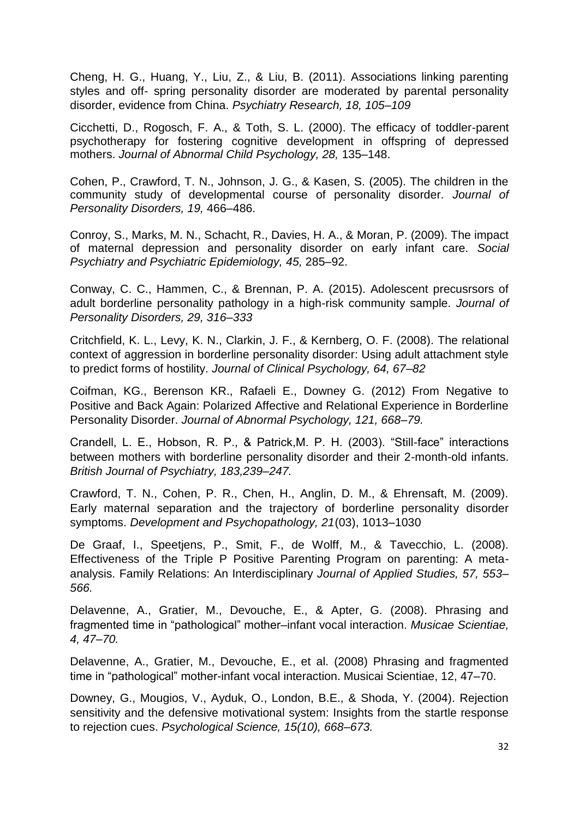Cheng, H. G., Huang, Y., Liu, Z., & Liu, B. (2011). Associations linking parenting styles and off- spring personality disorder are moderated by parental personality disorder, evidence from China. *Psychiatry Research, 18, 105–109*

Cicchetti, D., Rogosch, F. A., & Toth, S. L. (2000). The efficacy of toddler-parent psychotherapy for fostering cognitive development in offspring of depressed mothers. *Journal of Abnormal Child Psychology, 28,* 135–148.

Cohen, P., Crawford, T. N., Johnson, J. G., & Kasen, S. (2005). The children in the community study of developmental course of personality disorder. *Journal of Personality Disorders, 19,* 466–486.

Conroy, S., Marks, M. N., Schacht, R., Davies, H. A., & Moran, P. (2009). The impact of maternal depression and personality disorder on early infant care. *Social Psychiatry and Psychiatric Epidemiology, 45,* 285–92.

Conway, C. C., Hammen, C., & Brennan, P. A. (2015). Adolescent precusrsors of adult borderline personality pathology in a high-risk community sample. *Journal of Personality Disorders, 29, 316–333*

Critchfield, K. L., Levy, K. N., Clarkin, J. F., & Kernberg, O. F. (2008). The relational context of aggression in borderline personality disorder: Using adult attachment style to predict forms of hostility. *Journal of Clinical Psychology, 64, 67–82*

Coifman, KG., Berenson KR., Rafaeli E., Downey G. (2012) From Negative to Positive and Back Again: Polarized Affective and Relational Experience in Borderline Personality Disorder. *Journal of Abnormal Psychology, 121, 668–79.* 

Crandell, L. E., Hobson, R. P., & Patrick,M. P. H. (2003). "Still-face" interactions between mothers with borderline personality disorder and their 2-month-old infants. *British Journal of Psychiatry, 183,239–247.*

Crawford, T. N., Cohen, P. R., Chen, H., Anglin, D. M., & Ehrensaft, M. (2009). Early maternal separation and the trajectory of borderline personality disorder symptoms. *Development and Psychopathology, 21*(03), 1013–1030

De Graaf, I., Speetjens, P., Smit, F., de Wolff, M., & Tavecchio, L. (2008). Effectiveness of the Triple P Positive Parenting Program on parenting: A metaanalysis. Family Relations: An Interdisciplinary *Journal of Applied Studies, 57, 553– 566.* 

Delavenne, A., Gratier, M., Devouche, E., & Apter, G. (2008). Phrasing and fragmented time in "pathological" mother–infant vocal interaction. *Musicae Scientiae, 4, 47–70.*

Delavenne, A., Gratier, M., Devouche, E., et al. (2008) Phrasing and fragmented time in "pathological" mother-infant vocal interaction. Musicai Scientiae, 12, 47–70.

Downey, G., Mougios, V., Ayduk, O., London, B.E., & Shoda, Y. (2004). Rejection sensitivity and the defensive motivational system: Insights from the startle response to rejection cues. *Psychological Science, 15(10), 668–673.*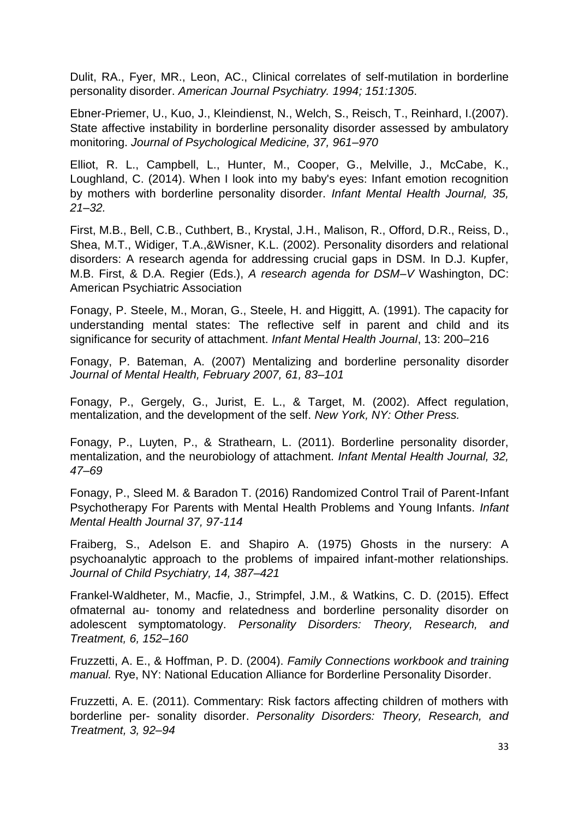Dulit, RA., Fyer, MR., Leon, AC., Clinical correlates of self-mutilation in borderline personality disorder. *American Journal Psychiatry. 1994; 151:1305*.

Ebner-Priemer, U., Kuo, J., Kleindienst, N., Welch, S., Reisch, T., Reinhard, I.(2007). State affective instability in borderline personality disorder assessed by ambulatory monitoring. *Journal of Psychological Medicine, 37, 961–970*

Elliot, R. L., Campbell, L., Hunter, M., Cooper, G., Melville, J., McCabe, K., Loughland, C. (2014). When I look into my baby's eyes: Infant emotion recognition by mothers with borderline personality disorder. *Infant Mental Health Journal, 35, 21–32.*

First, M.B., Bell, C.B., Cuthbert, B., Krystal, J.H., Malison, R., Offord, D.R., Reiss, D., Shea, M.T., Widiger, T.A.,&Wisner, K.L. (2002). Personality disorders and relational disorders: A research agenda for addressing crucial gaps in DSM. In D.J. Kupfer, M.B. First, & D.A. Regier (Eds.), *A research agenda for DSM–V* Washington, DC: American Psychiatric Association

Fonagy, P. Steele, M., Moran, G., Steele, H. and Higgitt, A. (1991). The capacity for understanding mental states: The reflective self in parent and child and its significance for security of attachment. *Infant Mental Health Journal*, 13: 200–216

Fonagy, P. Bateman, A. (2007) Mentalizing and borderline personality disorder *Journal of Mental Health, February 2007, 61, 83–101*

Fonagy, P., Gergely, G., Jurist, E. L., & Target, M. (2002). Affect regulation, mentalization, and the development of the self. *New York, NY: Other Press.*

Fonagy, P., Luyten, P., & Strathearn, L. (2011). Borderline personality disorder, mentalization, and the neurobiology of attachment. *Infant Mental Health Journal, 32, 47–69*

Fonagy, P., Sleed M. & Baradon T. (2016) Randomized Control Trail of Parent-Infant Psychotherapy For Parents with Mental Health Problems and Young Infants. *Infant Mental Health Journal 37, 97-114*

Fraiberg, S., Adelson E. and Shapiro A. (1975) Ghosts in the nursery: A psychoanalytic approach to the problems of impaired infant-mother relationships. *Journal of Child Psychiatry, 14, 387–421*

Frankel-Waldheter, M., Macfie, J., Strimpfel, J.M., & Watkins, C. D. (2015). Effect ofmaternal au- tonomy and relatedness and borderline personality disorder on adolescent symptomatology. *Personality Disorders: Theory, Research, and Treatment, 6, 152–160*

Fruzzetti, A. E., & Hoffman, P. D. (2004). *Family Connections workbook and training manual.* Rye, NY: National Education Alliance for Borderline Personality Disorder.

Fruzzetti, A. E. (2011). Commentary: Risk factors affecting children of mothers with borderline per- sonality disorder. *Personality Disorders: Theory, Research, and Treatment, 3, 92–94*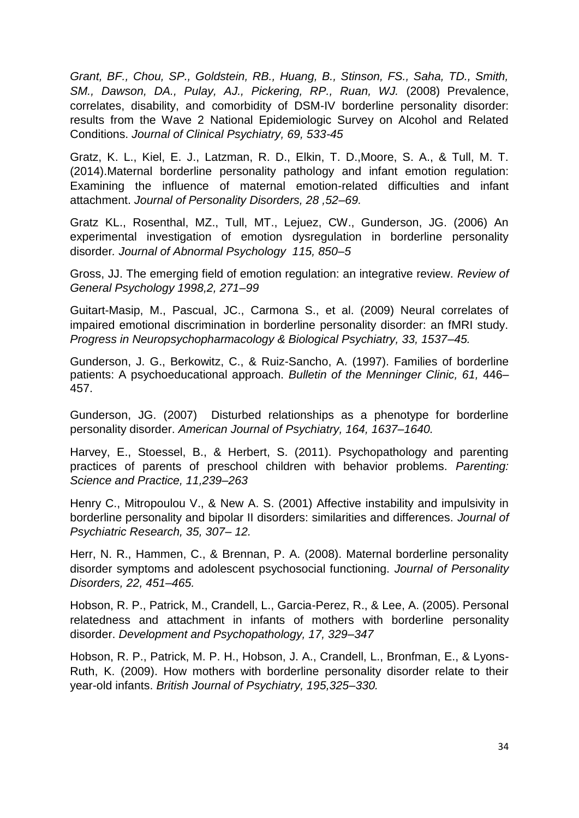*Grant, BF., Chou, SP., Goldstein, RB., Huang, B., Stinson, FS., Saha, TD., Smith, SM., Dawson, DA., Pulay, AJ., Pickering, RP., Ruan, WJ.* (2008) Prevalence, correlates, disability, and comorbidity of DSM-IV borderline personality disorder: results from the Wave 2 National Epidemiologic Survey on Alcohol and Related Conditions. *Journal of Clinical Psychiatry, 69, 533-45*

Gratz, K. L., Kiel, E. J., Latzman, R. D., Elkin, T. D.,Moore, S. A., & Tull, M. T. (2014).Maternal borderline personality pathology and infant emotion regulation: Examining the influence of maternal emotion-related difficulties and infant attachment. *Journal of Personality Disorders, 28 ,52–69.*

Gratz KL., Rosenthal, MZ., Tull, MT., Lejuez, CW., Gunderson, JG. (2006) An experimental investigation of emotion dysregulation in borderline personality disorder*. Journal of Abnormal Psychology 115, 850–5*

Gross, JJ. The emerging field of emotion regulation: an integrative review. *Review of General Psychology 1998,2, 271–99*

Guitart-Masip, M., Pascual, JC., Carmona S., et al. (2009) Neural correlates of impaired emotional discrimination in borderline personality disorder: an fMRI study. *Progress in Neuropsychopharmacology & Biological Psychiatry, 33, 1537–45.*

Gunderson, J. G., Berkowitz, C., & Ruiz-Sancho, A. (1997). Families of borderline patients: A psychoeducational approach. *Bulletin of the Menninger Clinic, 61,* 446– 457.

Gunderson, JG. (2007) Disturbed relationships as a phenotype for borderline personality disorder. *American Journal of Psychiatry, 164, 1637–1640.*

Harvey, E., Stoessel, B., & Herbert, S. (2011). Psychopathology and parenting practices of parents of preschool children with behavior problems. *Parenting: Science and Practice, 11,239–263*

Henry C., Mitropoulou V., & New A. S. (2001) Affective instability and impulsivity in borderline personality and bipolar II disorders: similarities and differences. *Journal of Psychiatric Research, 35, 307– 12.*

Herr, N. R., Hammen, C., & Brennan, P. A. (2008). Maternal borderline personality disorder symptoms and adolescent psychosocial functioning. *Journal of Personality Disorders, 22, 451–465.*

Hobson, R. P., Patrick, M., Crandell, L., Garcia-Perez, R., & Lee, A. (2005). Personal relatedness and attachment in infants of mothers with borderline personality disorder. *Development and Psychopathology, 17, 329–347*

Hobson, R. P., Patrick, M. P. H., Hobson, J. A., Crandell, L., Bronfman, E., & Lyons-Ruth, K. (2009). How mothers with borderline personality disorder relate to their year-old infants. *British Journal of Psychiatry, 195,325–330.*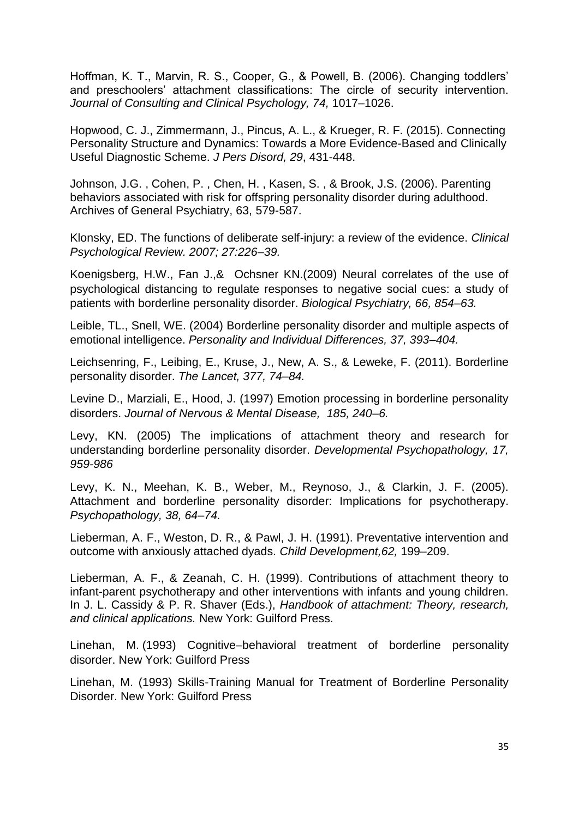Hoffman, K. T., Marvin, R. S., Cooper, G., & Powell, B. (2006). Changing toddlers' and preschoolers' attachment classifications: The circle of security intervention. *Journal of Consulting and Clinical Psychology, 74,* 1017–1026.

Hopwood, C. J., Zimmermann, J., Pincus, A. L., & Krueger, R. F. (2015). Connecting Personality Structure and Dynamics: Towards a More Evidence-Based and Clinically Useful Diagnostic Scheme. *J Pers Disord, 29*, 431-448.

Johnson, J.G. , Cohen, P. , Chen, H. , Kasen, S. , & Brook, J.S. (2006). Parenting behaviors associated with risk for offspring personality disorder during adulthood. Archives of General Psychiatry, 63, 579-587.

Klonsky, ED. The functions of deliberate self-injury: a review of the evidence. *Clinical Psychological Review. 2007; 27:226–39.* 

Koenigsberg, H.W., Fan J.,& Ochsner KN.(2009) Neural correlates of the use of psychological distancing to regulate responses to negative social cues: a study of patients with borderline personality disorder. *Biological Psychiatry, 66, 854–63.*

Leible, TL., Snell, WE. (2004) Borderline personality disorder and multiple aspects of emotional intelligence. *Personality and Individual Differences, 37, 393–404.*

Leichsenring, F., Leibing, E., Kruse, J., New, A. S., & Leweke, F. (2011). Borderline personality disorder. *The Lancet, 377, 74–84.*

Levine D., Marziali, E., Hood, J. (1997) Emotion processing in borderline personality disorders. *Journal of Nervous & Mental Disease, 185, 240–6.* 

Levy, KN. (2005) The implications of attachment theory and research for understanding borderline personality disorder. *Developmental Psychopathology, 17, 959-986*

Levy, K. N., Meehan, K. B., Weber, M., Reynoso, J., & Clarkin, J. F. (2005). Attachment and borderline personality disorder: Implications for psychotherapy. *Psychopathology, 38, 64–74.*

Lieberman, A. F., Weston, D. R., & Pawl, J. H. (1991). Preventative intervention and outcome with anxiously attached dyads. *Child Development,62,* 199–209.

Lieberman, A. F., & Zeanah, C. H. (1999). Contributions of attachment theory to infant-parent psychotherapy and other interventions with infants and young children. In J. L. Cassidy & P. R. Shaver (Eds.), *Handbook of attachment: Theory, research, and clinical applications.* New York: Guilford Press.

Linehan, M. (1993) Cognitive–behavioral treatment of borderline personality disorder. New York: Guilford Press

Linehan, M. (1993) Skills-Training Manual for Treatment of Borderline Personality Disorder. New York: Guilford Press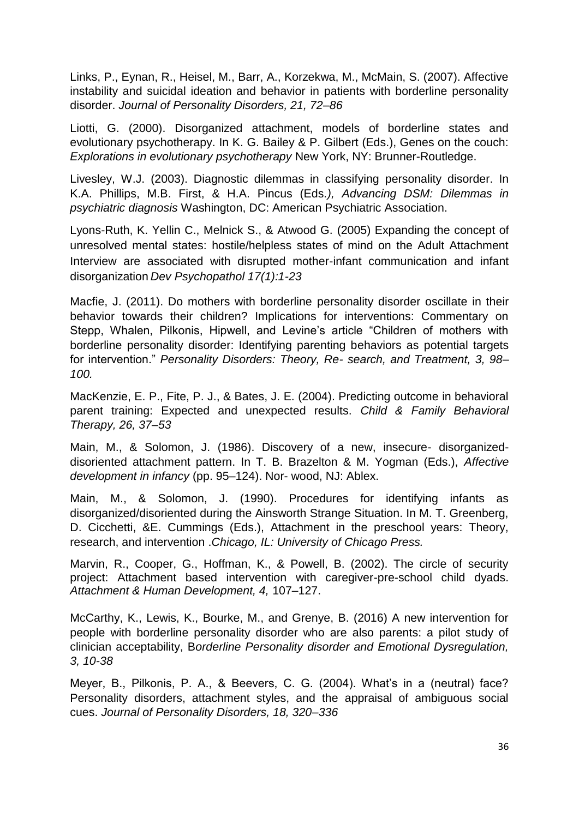Links, P., Eynan, R., Heisel, M., Barr, A., Korzekwa, M., McMain, S. (2007). Affective instability and suicidal ideation and behavior in patients with borderline personality disorder. *Journal of Personality Disorders, 21, 72–86*

Liotti, G. (2000). Disorganized attachment, models of borderline states and evolutionary psychotherapy. In K. G. Bailey & P. Gilbert (Eds.), Genes on the couch: *Explorations in evolutionary psychotherapy* New York, NY: Brunner-Routledge.

Livesley, W.J. (2003). Diagnostic dilemmas in classifying personality disorder. In K.A. Phillips, M.B. First, & H.A. Pincus (Eds*.), Advancing DSM: Dilemmas in psychiatric diagnosis* Washington, DC: American Psychiatric Association.

Lyons-Ruth, K. Yellin C., Melnick S., & Atwood G. (2005) Expanding the concept of unresolved mental states: hostile/helpless states of mind on the Adult Attachment Interview are associated with disrupted mother-infant communication and infant disorganization *Dev Psychopathol 17(1):1-23*

Macfie, J. (2011). Do mothers with borderline personality disorder oscillate in their behavior towards their children? Implications for interventions: Commentary on Stepp, Whalen, Pilkonis, Hipwell, and Levine's article "Children of mothers with borderline personality disorder: Identifying parenting behaviors as potential targets for intervention." *Personality Disorders: Theory, Re- search, and Treatment, 3, 98– 100.*

MacKenzie, E. P., Fite, P. J., & Bates, J. E. (2004). Predicting outcome in behavioral parent training: Expected and unexpected results. *Child & Family Behavioral Therapy, 26, 37–53*

Main, M., & Solomon, J. (1986). Discovery of a new, insecure- disorganizeddisoriented attachment pattern. In T. B. Brazelton & M. Yogman (Eds.), *Affective development in infancy* (pp. 95–124). Nor- wood, NJ: Ablex.

Main, M., & Solomon, J. (1990). Procedures for identifying infants as disorganized/disoriented during the Ainsworth Strange Situation. In M. T. Greenberg, D. Cicchetti, &E. Cummings (Eds.), Attachment in the preschool years: Theory, research, and intervention .*Chicago, IL: University of Chicago Press.*

Marvin, R., Cooper, G., Hoffman, K., & Powell, B. (2002). The circle of security project: Attachment based intervention with caregiver-pre-school child dyads. *Attachment & Human Development, 4,* 107–127.

McCarthy, K., Lewis, K., Bourke, M., and Grenye, B. (2016) A new intervention for people with borderline personality disorder who are also parents: a pilot study of clinician acceptability, B*orderline Personality disorder and Emotional Dysregulation, 3, 10-38*

Meyer, B., Pilkonis, P. A., & Beevers, C. G. (2004). What's in a (neutral) face? Personality disorders, attachment styles, and the appraisal of ambiguous social cues. *Journal of Personality Disorders, 18, 320–336*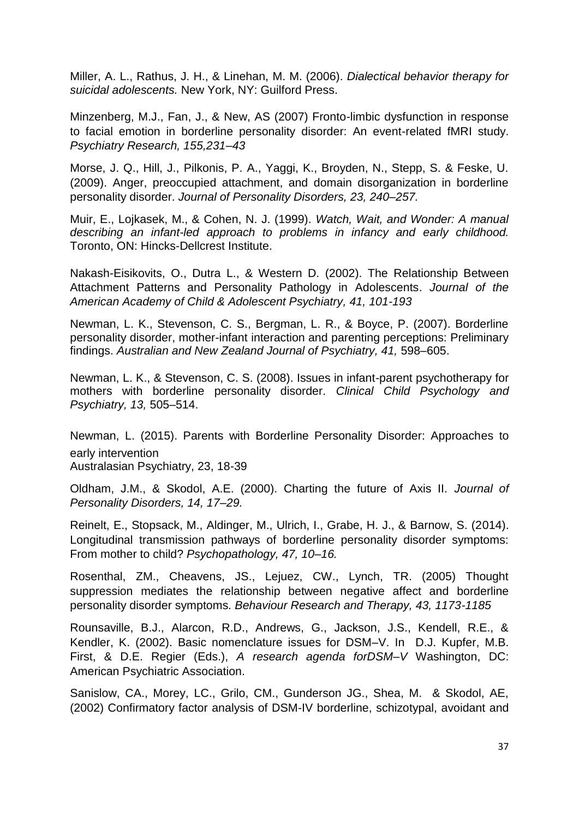Miller, A. L., Rathus, J. H., & Linehan, M. M. (2006). *Dialectical behavior therapy for suicidal adolescents.* New York, NY: Guilford Press.

Minzenberg, M.J., Fan, J., & New, AS (2007) Fronto-limbic dysfunction in response to facial emotion in borderline personality disorder: An event-related fMRI study. *Psychiatry Research, 155,231–43*

Morse, J. Q., Hill, J., Pilkonis, P. A., Yaggi, K., Broyden, N., Stepp, S. & Feske, U. (2009). Anger, preoccupied attachment, and domain disorganization in borderline personality disorder. *Journal of Personality Disorders, 23, 240–257.*

Muir, E., Lojkasek, M., & Cohen, N. J. (1999). *Watch, Wait, and Wonder: A manual describing an infant-led approach to problems in infancy and early childhood.*  Toronto, ON: Hincks-Dellcrest Institute.

Nakash-Eisikovits, O., Dutra L., & Western D. (2002). The [Relationship Between](http://www.sciencedirect.com/science/article/pii/S0890856709609618)  [Attachment Patterns and Personality Pathology in Adolescents.](http://www.sciencedirect.com/science/article/pii/S0890856709609618) *Journal of the American Academy of Child & Adolescent Psychiatry, 41, 101-193*

Newman, L. K., Stevenson, C. S., Bergman, L. R., & Boyce, P. (2007). Borderline personality disorder, mother-infant interaction and parenting perceptions: Preliminary findings. *Australian and New Zealand Journal of Psychiatry, 41,* 598–605.

Newman, L. K., & Stevenson, C. S. (2008). Issues in infant-parent psychotherapy for mothers with borderline personality disorder. *Clinical Child Psychology and Psychiatry, 13,* 505–514.

Newman, L. (2015). Parents with Borderline Personality Disorder: Approaches to early intervention Australasian Psychiatry, 23, 18-39

Oldham, J.M., & Skodol, A.E. (2000). Charting the future of Axis II. *Journal of Personality Disorders, 14, 17–29.*

Reinelt, E., Stopsack, M., Aldinger, M., Ulrich, I., Grabe, H. J., & Barnow, S. (2014). Longitudinal transmission pathways of borderline personality disorder symptoms: From mother to child? *Psychopathology, 47, 10–16.*

Rosenthal, ZM., Cheavens, JS., Lejuez, CW., Lynch, TR. (2005) Thought suppression mediates the relationship between negative affect and borderline personality disorder symptoms. *Behaviour Research and Therapy, 43, 1173-1185*

Rounsaville, B.J., Alarcon, R.D., Andrews, G., Jackson, J.S., Kendell, R.E., & Kendler, K. (2002). Basic nomenclature issues for DSM–V. In D.J. Kupfer, M.B. First, & D.E. Regier (Eds.), *A research agenda forDSM–V* Washington, DC: American Psychiatric Association.

Sanislow, CA., Morey, LC., Grilo, CM., Gunderson JG., Shea, M. & Skodol, AE, (2002) Confirmatory factor analysis of DSM-IV borderline, schizotypal, avoidant and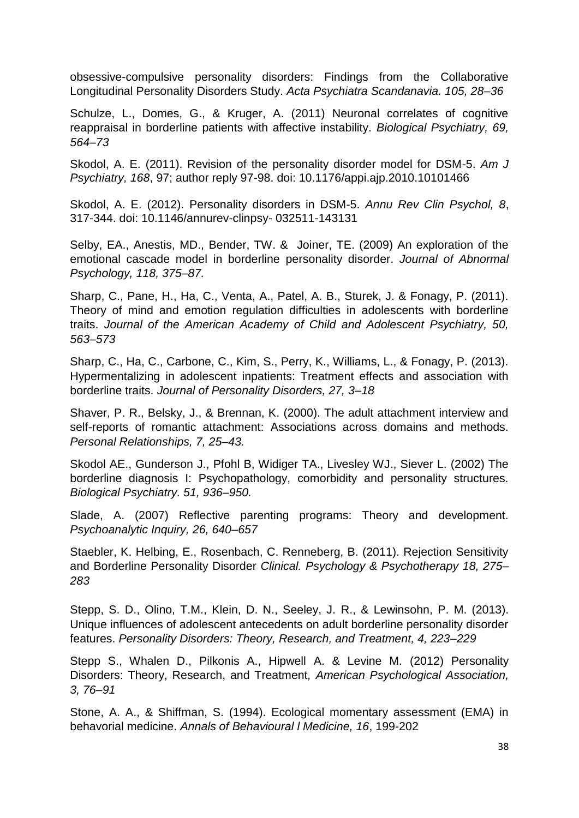obsessive-compulsive personality disorders: Findings from the Collaborative Longitudinal Personality Disorders Study. *Acta Psychiatra Scandanavia. 105, 28–36*

Schulze, L., Domes, G., & Kruger, A. (2011) Neuronal correlates of cognitive reappraisal in borderline patients with affective instability. *Biological Psychiatry, 69, 564–73*

Skodol, A. E. (2011). Revision of the personality disorder model for DSM-5. *Am J Psychiatry, 168*, 97; author reply 97-98. doi: 10.1176/appi.ajp.2010.10101466

Skodol, A. E. (2012). Personality disorders in DSM-5. *Annu Rev Clin Psychol, 8*, 317-344. doi: 10.1146/annurev-clinpsy- 032511-143131

Selby, EA., Anestis, MD., Bender, TW. & Joiner, TE. (2009) An exploration of the emotional cascade model in borderline personality disorder. *Journal of Abnormal Psychology, 118, 375–87.*

Sharp, C., Pane, H., Ha, C., Venta, A., Patel, A. B., Sturek, J. & Fonagy, P. (2011). Theory of mind and emotion regulation difficulties in adolescents with borderline traits. *Journal of the American Academy of Child and Adolescent Psychiatry, 50, 563–573* 

Sharp, C., Ha, C., Carbone, C., Kim, S., Perry, K., Williams, L., & Fonagy, P. (2013). Hypermentalizing in adolescent inpatients: Treatment effects and association with borderline traits. *Journal of Personality Disorders, 27, 3–18*

Shaver, P. R., Belsky, J., & Brennan, K. (2000). The adult attachment interview and self-reports of romantic attachment: Associations across domains and methods. *Personal Relationships, 7, 25–43.*

Skodol AE., Gunderson J., Pfohl B, Widiger TA., Livesley WJ., Siever L. (2002) The borderline diagnosis I: Psychopathology, comorbidity and personality structures. *Biological Psychiatry. 51, 936–950.*

Slade, A. (2007) Reflective parenting programs: Theory and development. *Psychoanalytic Inquiry, 26, 640–657*

Staebler, K. Helbing, E., Rosenbach, C. Renneberg, B. (2011). Rejection Sensitivity and Borderline Personality Disorder *Clinical. Psychology & Psychotherapy 18, 275– 283* 

Stepp, S. D., Olino, T.M., Klein, D. N., Seeley, J. R., & Lewinsohn, P. M. (2013). Unique influences of adolescent antecedents on adult borderline personality disorder features. *Personality Disorders: Theory, Research, and Treatment, 4, 223–229*

Stepp S., Whalen D., Pilkonis A., Hipwell A. & Levine M. (2012) Personality Disorders: Theory, Research, and Treatment*, American Psychological Association, 3, 76–91*

Stone, A. A., & Shiffman, S. (1994). Ecological momentary assessment (EMA) in behavorial medicine. *Annals of Behavioural l Medicine, 16*, 199-202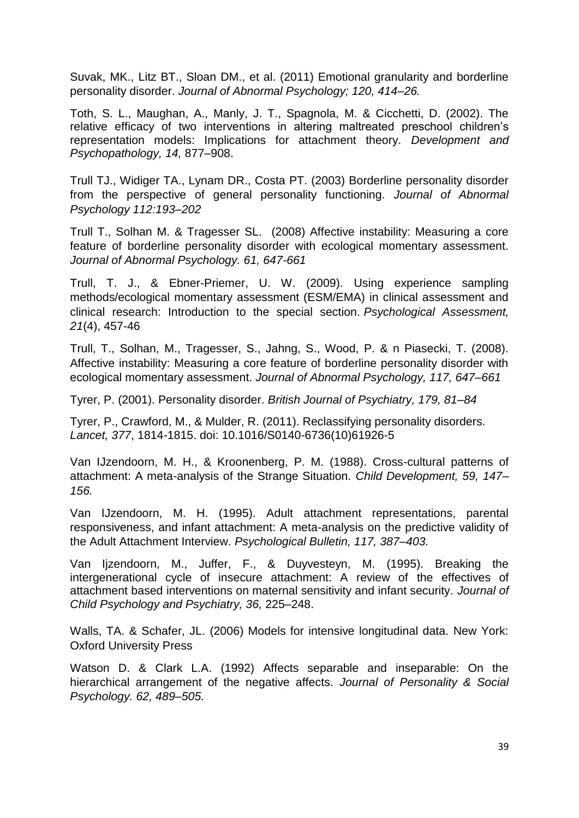Suvak, MK., Litz BT., Sloan DM., et al. (2011) Emotional granularity and borderline personality disorder. *Journal of Abnormal Psychology; 120, 414–26.*

Toth, S. L., Maughan, A., Manly, J. T., Spagnola, M. & Cicchetti, D. (2002). The relative efficacy of two interventions in altering maltreated preschool children's representation models: Implications for attachment theory. *Development and Psychopathology, 14,* 877–908.

Trull TJ., Widiger TA., Lynam DR., Costa PT. (2003) Borderline personality disorder from the perspective of general personality functioning. *Journal of Abnormal Psychology 112:193–202*

Trull T., Solhan M. & Tragesser SL. (2008) Affective instability: Measuring a core feature of borderline personality disorder with ecological momentary assessment*. Journal of Abnormal Psychology. 61, 647-661*

Trull, T. J., & Ebner-Priemer, U. W. (2009). Using experience sampling methods/ecological momentary assessment (ESM/EMA) in clinical assessment and clinical research: Introduction to the special section. *Psychological Assessment, 21*(4), 457-46

Trull, T., Solhan, M., Tragesser, S., Jahng, S., Wood, P. & n Piasecki, T. (2008). Affective instability: Measuring a core feature of borderline personality disorder with ecological momentary assessment. *Journal of Abnormal Psychology, 117, 647–661*

Tyrer, P. (2001). Personality disorder. *British Journal of Psychiatry, 179, 81–84*

Tyrer, P., Crawford, M., & Mulder, R. (2011). Reclassifying personality disorders. *Lancet, 377*, 1814-1815. doi: 10.1016/S0140-6736(10)61926-5

Van IJzendoorn, M. H., & Kroonenberg, P. M. (1988). Cross-cultural patterns of attachment: A meta-analysis of the Strange Situation*. Child Development, 59, 147– 156.*

Van IJzendoorn, M. H. (1995). Adult attachment representations, parental responsiveness, and infant attachment: A meta-analysis on the predictive validity of the Adult Attachment Interview. *Psychological Bulletin, 117, 387–403.*

Van Ijzendoorn, M., Juffer, F., & Duyvesteyn, M. (1995). Breaking the intergenerational cycle of insecure attachment: A review of the effectives of attachment based interventions on maternal sensitivity and infant security. *Journal of Child Psychology and Psychiatry, 36,* 225–248.

Walls, TA. & Schafer, JL. (2006) Models for intensive longitudinal data. New York: Oxford University Press

Watson D. & Clark L.A. (1992) Affects separable and inseparable: On the hierarchical arrangement of the negative affects. *Journal of Personality & Social Psychology. 62, 489–505.*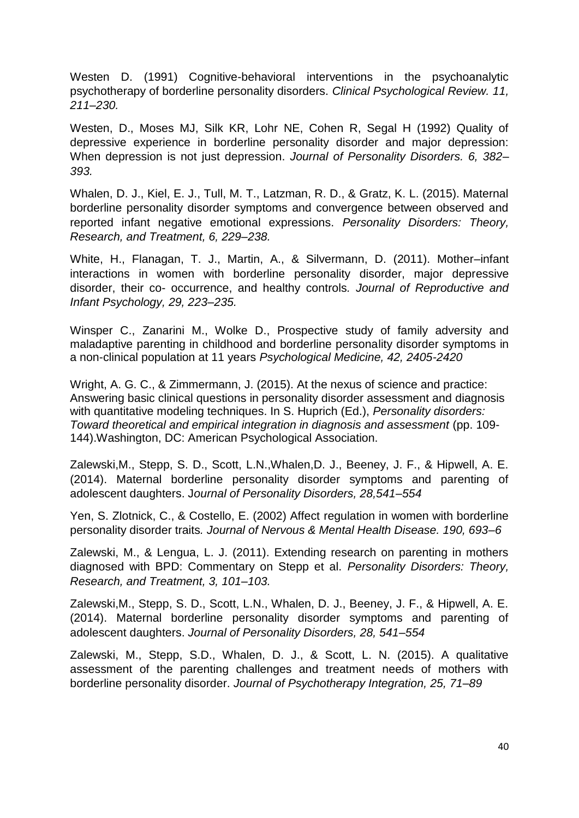Westen D. (1991) Cognitive-behavioral interventions in the psychoanalytic psychotherapy of borderline personality disorders. *Clinical Psychological Review. 11, 211–230.*

Westen, D., Moses MJ, Silk KR, Lohr NE, Cohen R, Segal H (1992) Quality of depressive experience in borderline personality disorder and major depression: When depression is not just depression. *Journal of Personality Disorders. 6, 382– 393.*

Whalen, D. J., Kiel, E. J., Tull, M. T., Latzman, R. D., & Gratz, K. L. (2015). Maternal borderline personality disorder symptoms and convergence between observed and reported infant negative emotional expressions. *Personality Disorders: Theory, Research, and Treatment, 6, 229–238.*

White, H., Flanagan, T. J., Martin, A., & Silvermann, D. (2011). Mother–infant interactions in women with borderline personality disorder, major depressive disorder, their co- occurrence, and healthy controls*. Journal of Reproductive and Infant Psychology, 29, 223–235.*

Winsper C., Zanarini M., Wolke D., Prospective study of family adversity and maladaptive parenting in childhood and borderline personality disorder symptoms in a non-clinical population at 11 years *Psychological Medicine, 42, 2405-2420*

Wright, A. G. C., & Zimmermann, J. (2015). At the nexus of science and practice: Answering basic clinical questions in personality disorder assessment and diagnosis with quantitative modeling techniques. In S. Huprich (Ed.), *Personality disorders: Toward theoretical and empirical integration in diagnosis and assessment* (pp. 109- 144).Washington, DC: American Psychological Association.

Zalewski,M., Stepp, S. D., Scott, L.N.,Whalen,D. J., Beeney, J. F., & Hipwell, A. E. (2014). Maternal borderline personality disorder symptoms and parenting of adolescent daughters. J*ournal of Personality Disorders, 28,541–554*

Yen, S. Zlotnick, C., & Costello, E. (2002) Affect regulation in women with borderline personality disorder traits*. Journal of Nervous & Mental Health Disease. 190, 693–6*

Zalewski, M., & Lengua, L. J. (2011). Extending research on parenting in mothers diagnosed with BPD: Commentary on Stepp et al. *Personality Disorders: Theory, Research, and Treatment, 3, 101–103.*

Zalewski,M., Stepp, S. D., Scott, L.N., Whalen, D. J., Beeney, J. F., & Hipwell, A. E. (2014). Maternal borderline personality disorder symptoms and parenting of adolescent daughters. *Journal of Personality Disorders, 28, 541–554*

Zalewski, M., Stepp, S.D., Whalen, D. J., & Scott, L. N. (2015). A qualitative assessment of the parenting challenges and treatment needs of mothers with borderline personality disorder. *Journal of Psychotherapy Integration, 25, 71–89*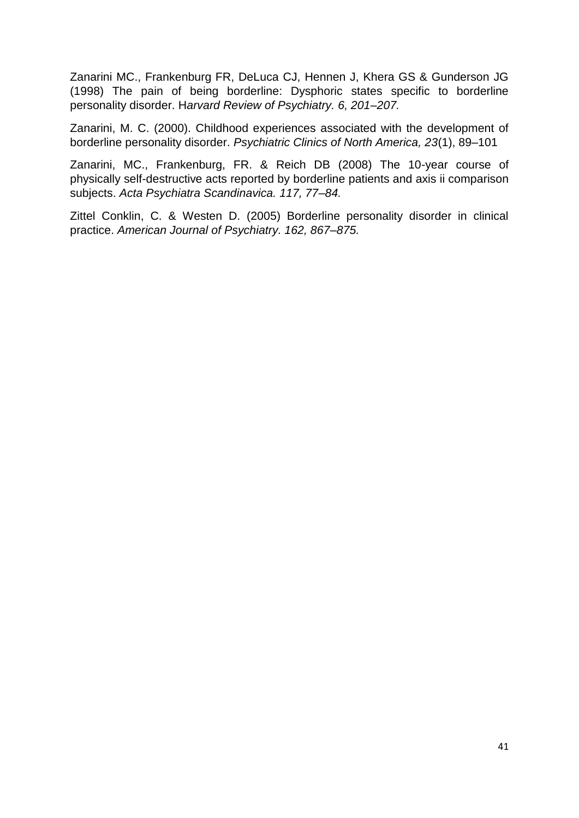Zanarini MC., Frankenburg FR, DeLuca CJ, Hennen J, Khera GS & Gunderson JG (1998) The pain of being borderline: Dysphoric states specific to borderline personality disorder. H*arvard Review of Psychiatry. 6, 201–207.*

Zanarini, M. C. (2000). Childhood experiences associated with the development of borderline personality disorder. *Psychiatric Clinics of North America, 23*(1), 89–101

Zanarini, MC., Frankenburg, FR. & Reich DB (2008) The 10-year course of physically self-destructive acts reported by borderline patients and axis ii comparison subjects. *Acta Psychiatra Scandinavica. 117, 77–84.*

Zittel Conklin, C. & Westen D. (2005) Borderline personality disorder in clinical practice. *American Journal of Psychiatry. 162, 867–875.*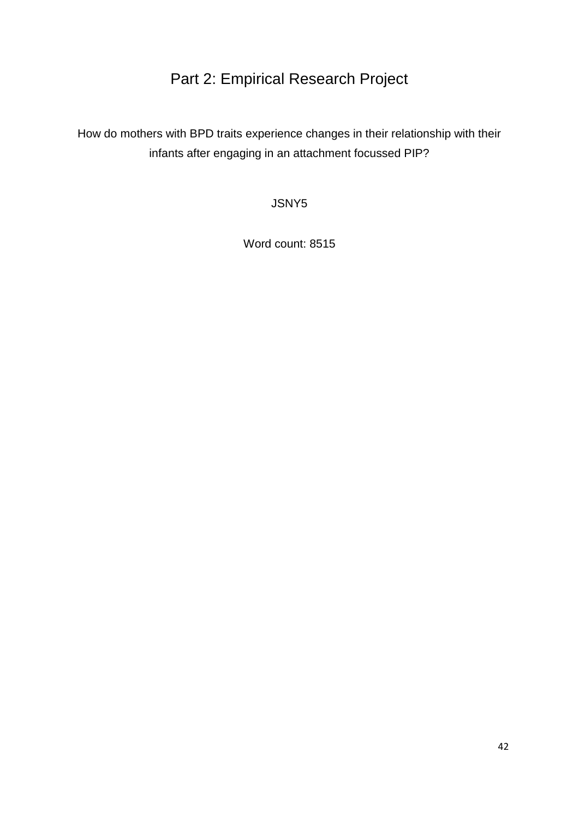# Part 2: Empirical Research Project

How do mothers with BPD traits experience changes in their relationship with their infants after engaging in an attachment focussed PIP?

JSNY5

Word count: 8515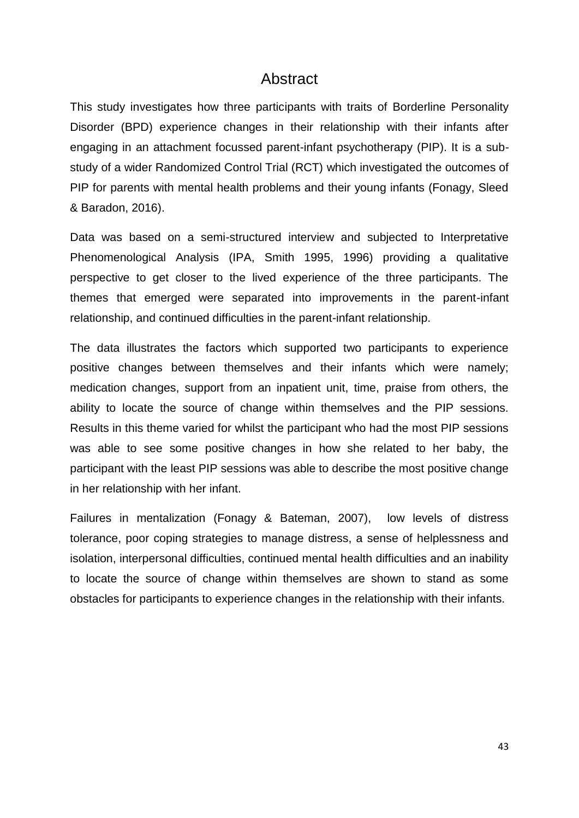# Abstract

This study investigates how three participants with traits of Borderline Personality Disorder (BPD) experience changes in their relationship with their infants after engaging in an attachment focussed parent-infant psychotherapy (PIP). It is a substudy of a wider Randomized Control Trial (RCT) which investigated the outcomes of PIP for parents with mental health problems and their young infants (Fonagy, Sleed & Baradon, 2016).

Data was based on a semi-structured interview and subjected to Interpretative Phenomenological Analysis (IPA, Smith 1995, 1996) providing a qualitative perspective to get closer to the lived experience of the three participants. The themes that emerged were separated into improvements in the parent-infant relationship, and continued difficulties in the parent-infant relationship.

The data illustrates the factors which supported two participants to experience positive changes between themselves and their infants which were namely; medication changes, support from an inpatient unit, time, praise from others, the ability to locate the source of change within themselves and the PIP sessions. Results in this theme varied for whilst the participant who had the most PIP sessions was able to see some positive changes in how she related to her baby, the participant with the least PIP sessions was able to describe the most positive change in her relationship with her infant.

Failures in mentalization (Fonagy & Bateman, 2007), low levels of distress tolerance, poor coping strategies to manage distress, a sense of helplessness and isolation, interpersonal difficulties, continued mental health difficulties and an inability to locate the source of change within themselves are shown to stand as some obstacles for participants to experience changes in the relationship with their infants.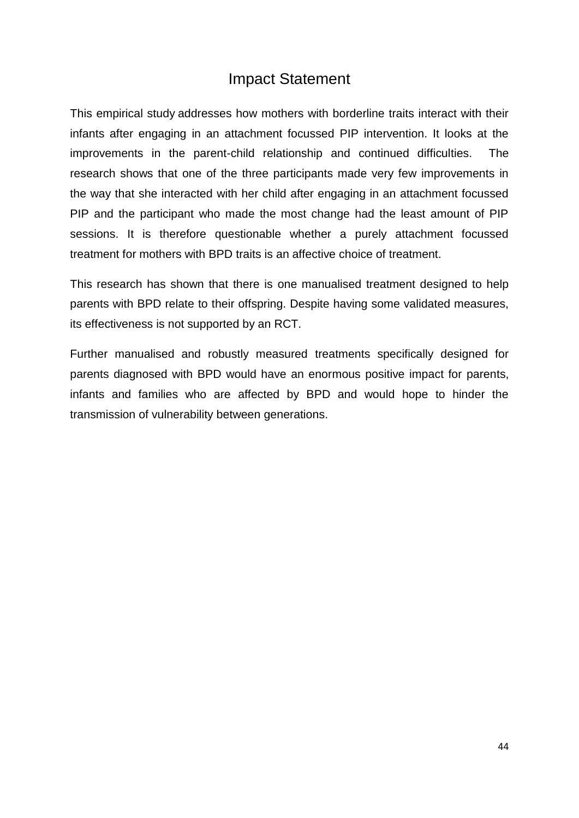# Impact Statement

This empirical study addresses how mothers with borderline traits interact with their infants after engaging in an attachment focussed PIP intervention. It looks at the improvements in the parent-child relationship and continued difficulties. The research shows that one of the three participants made very few improvements in the way that she interacted with her child after engaging in an attachment focussed PIP and the participant who made the most change had the least amount of PIP sessions. It is therefore questionable whether a purely attachment focussed treatment for mothers with BPD traits is an affective choice of treatment.

This research has shown that there is one manualised treatment designed to help parents with BPD relate to their offspring. Despite having some validated measures, its effectiveness is not supported by an RCT.

Further manualised and robustly measured treatments specifically designed for parents diagnosed with BPD would have an enormous positive impact for parents, infants and families who are affected by BPD and would hope to hinder the transmission of vulnerability between generations.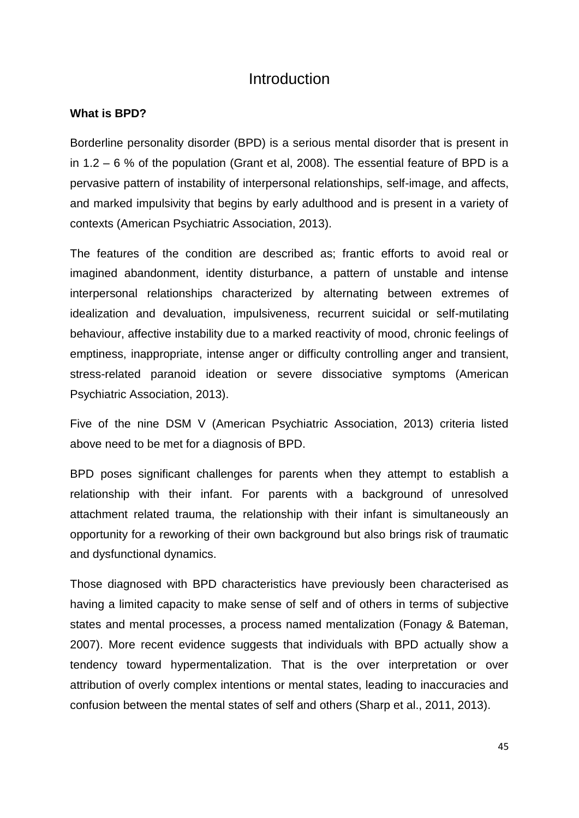# **Introduction**

#### **What is BPD?**

Borderline personality disorder (BPD) is a serious mental disorder that is present in in 1.2 – 6 % of the population (Grant et al, 2008). The essential feature of BPD is a pervasive pattern of instability of interpersonal relationships, self-image, and affects, and marked impulsivity that begins by early adulthood and is present in a variety of contexts (American Psychiatric Association, 2013).

The features of the condition are described as; frantic efforts to avoid real or imagined abandonment, identity disturbance, a pattern of unstable and intense interpersonal relationships characterized by alternating between extremes of idealization and devaluation, impulsiveness, recurrent suicidal or self-mutilating behaviour, affective instability due to a marked reactivity of mood, chronic feelings of emptiness, inappropriate, intense anger or difficulty controlling anger and transient, stress-related paranoid ideation or severe dissociative symptoms (American Psychiatric Association, 2013).

Five of the nine DSM V (American Psychiatric Association, 2013) criteria listed above need to be met for a diagnosis of BPD.

BPD poses significant challenges for parents when they attempt to establish a relationship with their infant. For parents with a background of unresolved attachment related trauma, the relationship with their infant is simultaneously an opportunity for a reworking of their own background but also brings risk of traumatic and dysfunctional dynamics.

Those diagnosed with BPD characteristics have previously been characterised as having a limited capacity to make sense of self and of others in terms of subjective states and mental processes, a process named mentalization (Fonagy & Bateman, 2007). More recent evidence suggests that individuals with BPD actually show a tendency toward hypermentalization. That is the over interpretation or over attribution of overly complex intentions or mental states, leading to inaccuracies and confusion between the mental states of self and others (Sharp et al., 2011, 2013).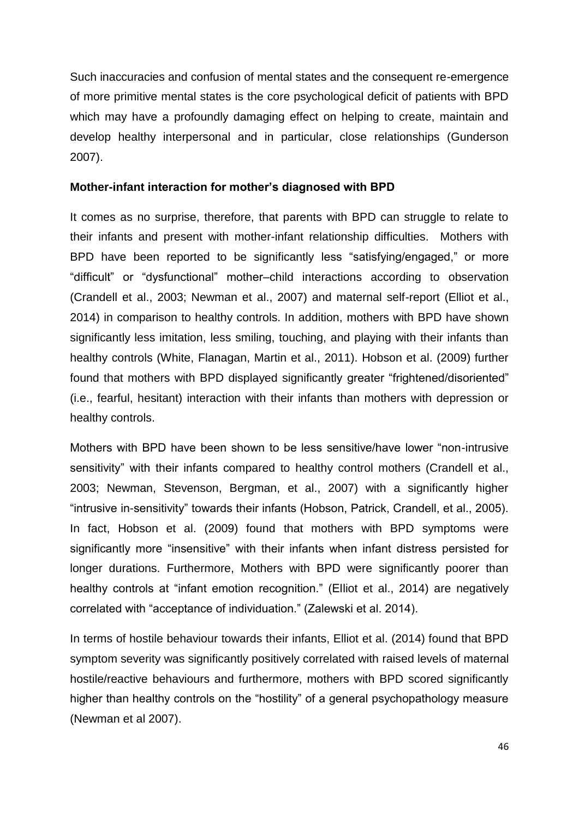Such inaccuracies and confusion of mental states and the consequent re-emergence of more primitive mental states is the core psychological deficit of patients with BPD which may have a profoundly damaging effect on helping to create, maintain and develop healthy interpersonal and in particular, close relationships (Gunderson 2007).

#### **Mother-infant interaction for mother's diagnosed with BPD**

It comes as no surprise, therefore, that parents with BPD can struggle to relate to their infants and present with mother-infant relationship difficulties. Mothers with BPD have been reported to be significantly less "satisfying/engaged," or more "difficult" or "dysfunctional" mother–child interactions according to observation (Crandell et al., 2003; Newman et al., 2007) and maternal self-report (Elliot et al., 2014) in comparison to healthy controls. In addition, mothers with BPD have shown significantly less imitation, less smiling, touching, and playing with their infants than healthy controls (White, Flanagan, Martin et al., 2011). Hobson et al. (2009) further found that mothers with BPD displayed significantly greater "frightened/disoriented" (i.e., fearful, hesitant) interaction with their infants than mothers with depression or healthy controls.

Mothers with BPD have been shown to be less sensitive/have lower "non-intrusive sensitivity" with their infants compared to healthy control mothers (Crandell et al., 2003; Newman, Stevenson, Bergman, et al., 2007) with a significantly higher "intrusive in-sensitivity" towards their infants (Hobson, Patrick, Crandell, et al., 2005). In fact, Hobson et al. (2009) found that mothers with BPD symptoms were significantly more "insensitive" with their infants when infant distress persisted for longer durations. Furthermore, Mothers with BPD were significantly poorer than healthy controls at "infant emotion recognition." (Elliot et al., 2014) are negatively correlated with "acceptance of individuation." (Zalewski et al. 2014).

In terms of hostile behaviour towards their infants, Elliot et al. (2014) found that BPD symptom severity was significantly positively correlated with raised levels of maternal hostile/reactive behaviours and furthermore, mothers with BPD scored significantly higher than healthy controls on the "hostility" of a general psychopathology measure (Newman et al 2007).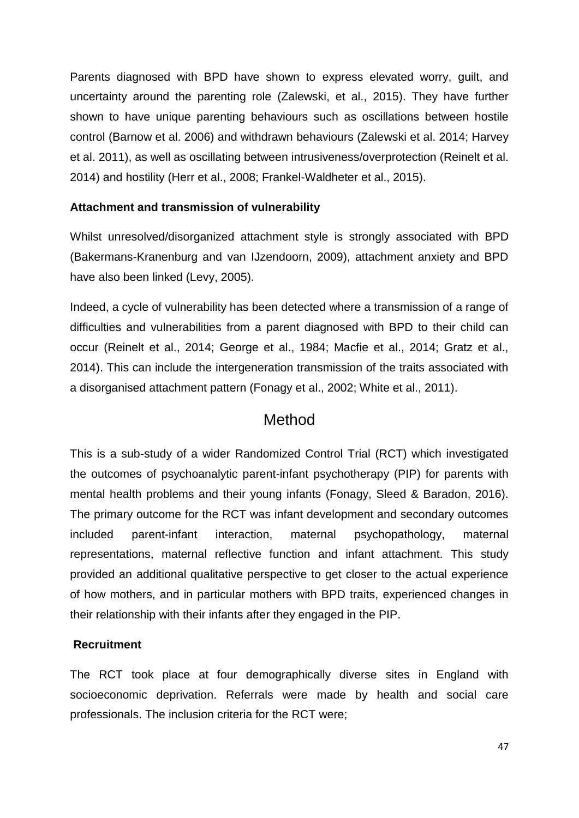Parents diagnosed with BPD have shown to express elevated worry, guilt, and uncertainty around the parenting role (Zalewski, et al., 2015). They have further shown to have unique parenting behaviours such as oscillations between hostile control (Barnow et al. 2006) and withdrawn behaviours (Zalewski et al. 2014; Harvey et al. 2011), as well as oscillating between intrusiveness/overprotection (Reinelt et al. 2014) and hostility (Herr et al., 2008; Frankel-Waldheter et al., 2015).

### **Attachment and transmission of vulnerability**

Whilst unresolved/disorganized attachment style is strongly associated with BPD (Bakermans-Kranenburg and van IJzendoorn, 2009), attachment anxiety and BPD have also been linked (Levy, 2005).

Indeed, a cycle of vulnerability has been detected where a transmission of a range of difficulties and vulnerabilities from a parent diagnosed with BPD to their child can occur (Reinelt et al., 2014; George et al., 1984; Macfie et al., 2014; Gratz et al., 2014). This can include the intergeneration transmission of the traits associated with a disorganised attachment pattern (Fonagy et al., 2002; White et al., 2011).

## Method

This is a sub-study of a wider Randomized Control Trial (RCT) which investigated the outcomes of psychoanalytic parent-infant psychotherapy (PIP) for parents with mental health problems and their young infants (Fonagy, Sleed & Baradon, 2016). The primary outcome for the RCT was infant development and secondary outcomes included parent-infant interaction, maternal psychopathology, maternal representations, maternal reflective function and infant attachment. This study provided an additional qualitative perspective to get closer to the actual experience of how mothers, and in particular mothers with BPD traits, experienced changes in their relationship with their infants after they engaged in the PIP.

### **Recruitment**

The RCT took place at four demographically diverse sites in England with socioeconomic deprivation. Referrals were made by health and social care professionals. The inclusion criteria for the RCT were;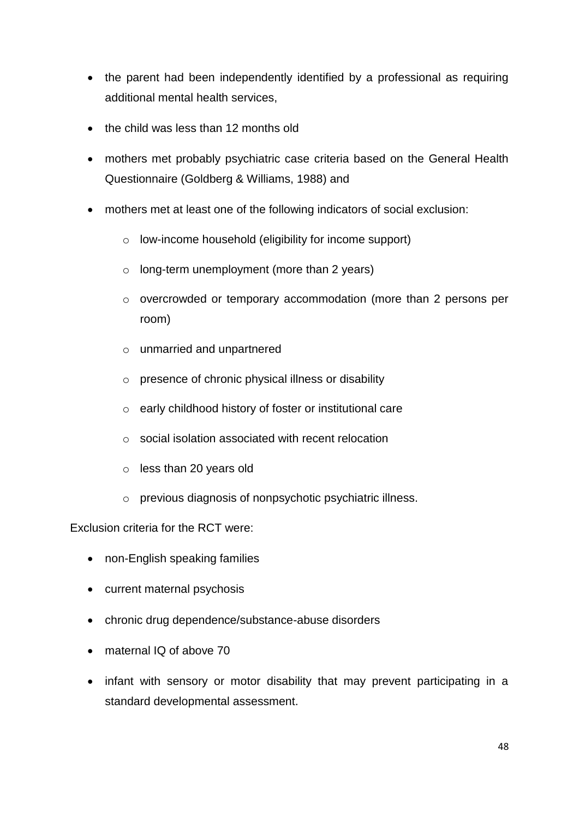- the parent had been independently identified by a professional as requiring additional mental health services,
- the child was less than 12 months old
- mothers met probably psychiatric case criteria based on the General Health Questionnaire (Goldberg & Williams, 1988) and
- mothers met at least one of the following indicators of social exclusion:
	- o low-income household (eligibility for income support)
	- o long-term unemployment (more than 2 years)
	- o overcrowded or temporary accommodation (more than 2 persons per room)
	- o unmarried and unpartnered
	- o presence of chronic physical illness or disability
	- o early childhood history of foster or institutional care
	- o social isolation associated with recent relocation
	- o less than 20 years old
	- o previous diagnosis of nonpsychotic psychiatric illness.

Exclusion criteria for the RCT were:

- non-English speaking families
- current maternal psychosis
- chronic drug dependence/substance-abuse disorders
- maternal IQ of above 70
- infant with sensory or motor disability that may prevent participating in a standard developmental assessment.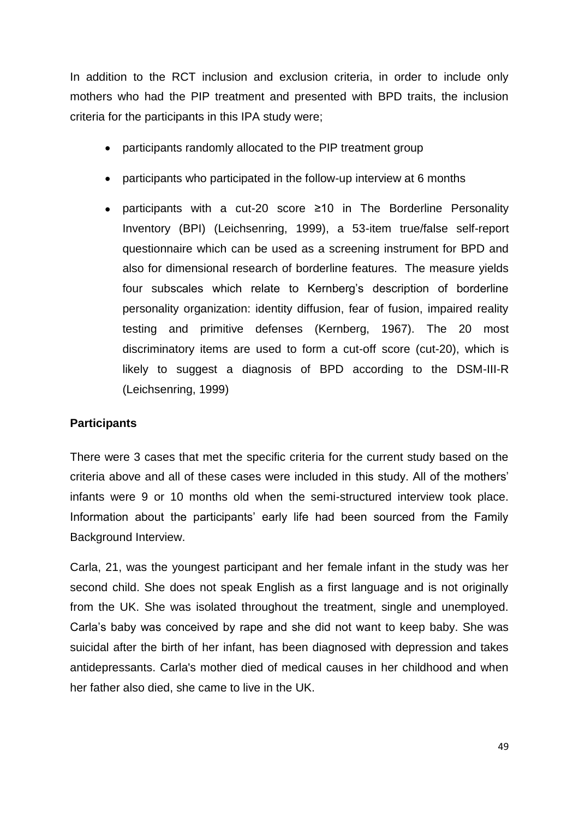In addition to the RCT inclusion and exclusion criteria, in order to include only mothers who had the PIP treatment and presented with BPD traits, the inclusion criteria for the participants in this IPA study were;

- participants randomly allocated to the PIP treatment group
- participants who participated in the follow-up interview at 6 months
- participants with a cut-20 score ≥10 in The Borderline Personality Inventory (BPI) (Leichsenring, 1999), a 53-item true/false self-report questionnaire which can be used as a screening instrument for BPD and also for dimensional research of borderline features. The measure yields four subscales which relate to Kernberg's description of borderline personality organization: identity diffusion, fear of fusion, impaired reality testing and primitive defenses (Kernberg, 1967). The 20 most discriminatory items are used to form a cut-off score (cut-20), which is likely to suggest a diagnosis of BPD according to the DSM-III-R (Leichsenring, 1999)

### **Participants**

There were 3 cases that met the specific criteria for the current study based on the criteria above and all of these cases were included in this study. All of the mothers' infants were 9 or 10 months old when the semi-structured interview took place. Information about the participants' early life had been sourced from the Family Background Interview.

Carla, 21, was the youngest participant and her female infant in the study was her second child. She does not speak English as a first language and is not originally from the UK. She was isolated throughout the treatment, single and unemployed. Carla's baby was conceived by rape and she did not want to keep baby. She was suicidal after the birth of her infant, has been diagnosed with depression and takes antidepressants. Carla's mother died of medical causes in her childhood and when her father also died, she came to live in the UK.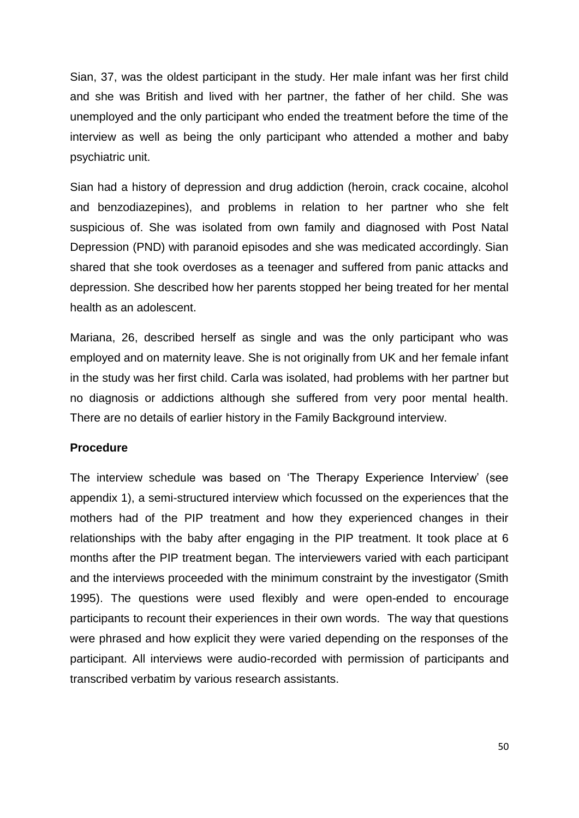Sian, 37, was the oldest participant in the study. Her male infant was her first child and she was British and lived with her partner, the father of her child. She was unemployed and the only participant who ended the treatment before the time of the interview as well as being the only participant who attended a mother and baby psychiatric unit.

Sian had a history of depression and drug addiction (heroin, crack cocaine, alcohol and benzodiazepines), and problems in relation to her partner who she felt suspicious of. She was isolated from own family and diagnosed with Post Natal Depression (PND) with paranoid episodes and she was medicated accordingly. Sian shared that she took overdoses as a teenager and suffered from panic attacks and depression. She described how her parents stopped her being treated for her mental health as an adolescent.

Mariana, 26, described herself as single and was the only participant who was employed and on maternity leave. She is not originally from UK and her female infant in the study was her first child. Carla was isolated, had problems with her partner but no diagnosis or addictions although she suffered from very poor mental health. There are no details of earlier history in the Family Background interview.

#### **Procedure**

The interview schedule was based on 'The Therapy Experience Interview' (see appendix 1), a semi-structured interview which focussed on the experiences that the mothers had of the PIP treatment and how they experienced changes in their relationships with the baby after engaging in the PIP treatment. It took place at 6 months after the PIP treatment began. The interviewers varied with each participant and the interviews proceeded with the minimum constraint by the investigator (Smith 1995). The questions were used flexibly and were open-ended to encourage participants to recount their experiences in their own words. The way that questions were phrased and how explicit they were varied depending on the responses of the participant. All interviews were audio-recorded with permission of participants and transcribed verbatim by various research assistants.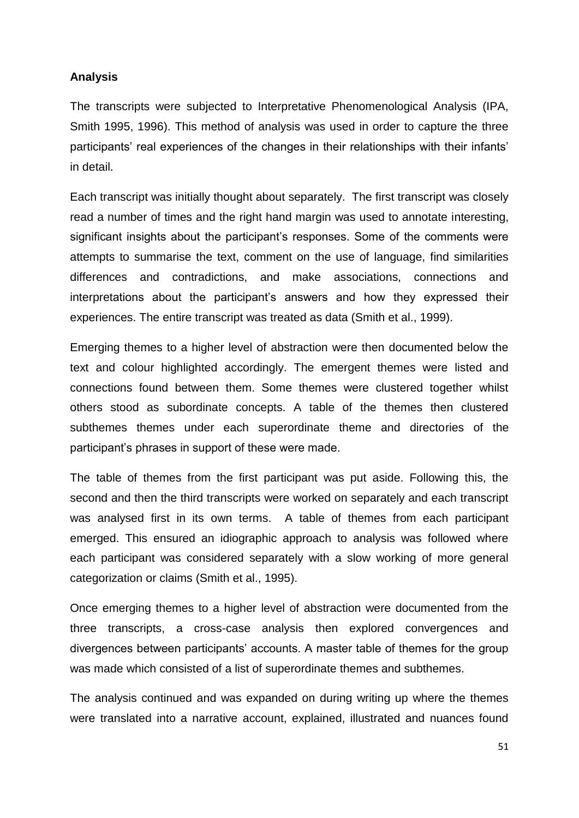### **Analysis**

The transcripts were subjected to Interpretative Phenomenological Analysis (IPA, Smith 1995, 1996). This method of analysis was used in order to capture the three participants' real experiences of the changes in their relationships with their infants' in detail.

Each transcript was initially thought about separately. The first transcript was closely read a number of times and the right hand margin was used to annotate interesting, significant insights about the participant's responses. Some of the comments were attempts to summarise the text, comment on the use of language, find similarities differences and contradictions, and make associations, connections and interpretations about the participant's answers and how they expressed their experiences. The entire transcript was treated as data (Smith et al., 1999).

Emerging themes to a higher level of abstraction were then documented below the text and colour highlighted accordingly. The emergent themes were listed and connections found between them. Some themes were clustered together whilst others stood as subordinate concepts. A table of the themes then clustered subthemes themes under each superordinate theme and directories of the participant's phrases in support of these were made.

The table of themes from the first participant was put aside. Following this, the second and then the third transcripts were worked on separately and each transcript was analysed first in its own terms. A table of themes from each participant emerged. This ensured an idiographic approach to analysis was followed where each participant was considered separately with a slow working of more general categorization or claims (Smith et al., 1995).

Once emerging themes to a higher level of abstraction were documented from the three transcripts, a cross-case analysis then explored convergences and divergences between participants' accounts. A master table of themes for the group was made which consisted of a list of superordinate themes and subthemes.

The analysis continued and was expanded on during writing up where the themes were translated into a narrative account, explained, illustrated and nuances found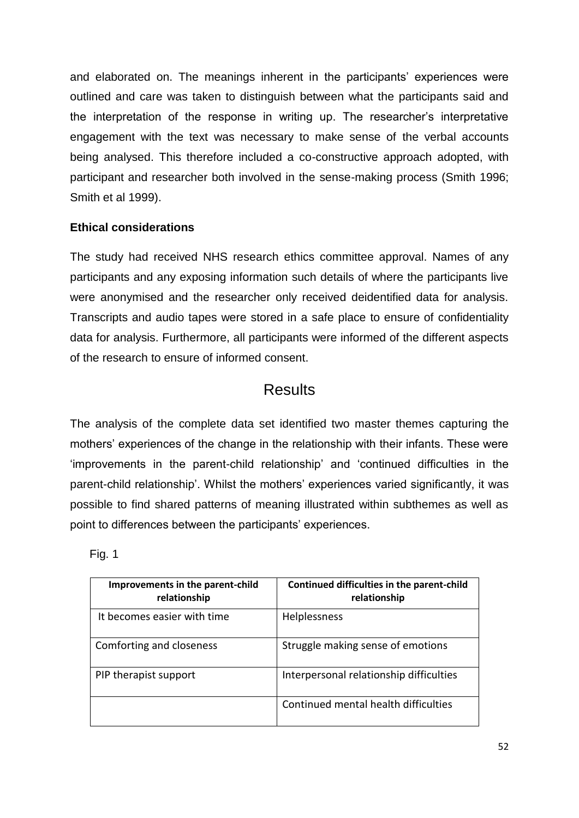and elaborated on. The meanings inherent in the participants' experiences were outlined and care was taken to distinguish between what the participants said and the interpretation of the response in writing up. The researcher's interpretative engagement with the text was necessary to make sense of the verbal accounts being analysed. This therefore included a co-constructive approach adopted, with participant and researcher both involved in the sense-making process (Smith 1996; Smith et al 1999).

### **Ethical considerations**

The study had received NHS research ethics committee approval. Names of any participants and any exposing information such details of where the participants live were anonymised and the researcher only received deidentified data for analysis. Transcripts and audio tapes were stored in a safe place to ensure of confidentiality data for analysis. Furthermore, all participants were informed of the different aspects of the research to ensure of informed consent.

# Results

The analysis of the complete data set identified two master themes capturing the mothers' experiences of the change in the relationship with their infants. These were 'improvements in the parent-child relationship' and 'continued difficulties in the parent-child relationship'. Whilst the mothers' experiences varied significantly, it was possible to find shared patterns of meaning illustrated within subthemes as well as point to differences between the participants' experiences.

| Improvements in the parent-child<br>relationship | Continued difficulties in the parent-child<br>relationship |
|--------------------------------------------------|------------------------------------------------------------|
| It becomes easier with time                      | Helplessness                                               |
| Comforting and closeness                         | Struggle making sense of emotions                          |
| PIP therapist support                            | Interpersonal relationship difficulties                    |
|                                                  | Continued mental health difficulties                       |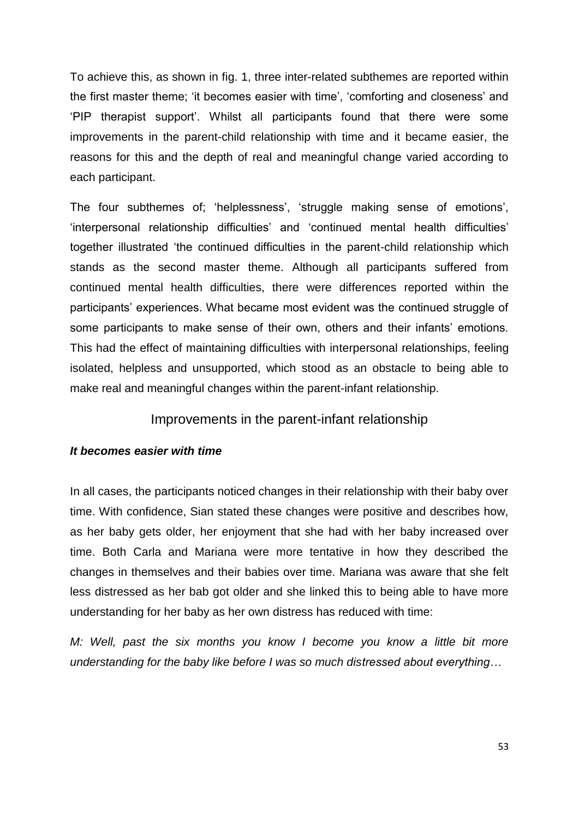To achieve this, as shown in fig. 1, three inter-related subthemes are reported within the first master theme; 'it becomes easier with time', 'comforting and closeness' and 'PIP therapist support'. Whilst all participants found that there were some improvements in the parent-child relationship with time and it became easier, the reasons for this and the depth of real and meaningful change varied according to each participant.

The four subthemes of; 'helplessness', 'struggle making sense of emotions', 'interpersonal relationship difficulties' and 'continued mental health difficulties' together illustrated 'the continued difficulties in the parent-child relationship which stands as the second master theme. Although all participants suffered from continued mental health difficulties, there were differences reported within the participants' experiences. What became most evident was the continued struggle of some participants to make sense of their own, others and their infants' emotions. This had the effect of maintaining difficulties with interpersonal relationships, feeling isolated, helpless and unsupported, which stood as an obstacle to being able to make real and meaningful changes within the parent-infant relationship.

### Improvements in the parent-infant relationship

### *It becomes easier with time*

In all cases, the participants noticed changes in their relationship with their baby over time. With confidence, Sian stated these changes were positive and describes how, as her baby gets older, her enjoyment that she had with her baby increased over time. Both Carla and Mariana were more tentative in how they described the changes in themselves and their babies over time. Mariana was aware that she felt less distressed as her bab got older and she linked this to being able to have more understanding for her baby as her own distress has reduced with time:

*M: Well, past the six months you know I become you know a little bit more understanding for the baby like before I was so much distressed about everything…*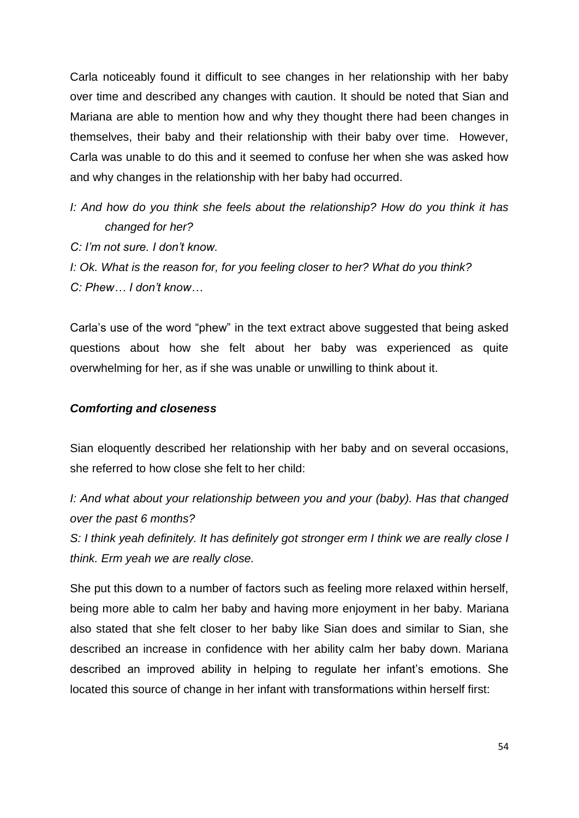Carla noticeably found it difficult to see changes in her relationship with her baby over time and described any changes with caution. It should be noted that Sian and Mariana are able to mention how and why they thought there had been changes in themselves, their baby and their relationship with their baby over time. However, Carla was unable to do this and it seemed to confuse her when she was asked how and why changes in the relationship with her baby had occurred.

- *I: And how do you think she feels about the relationship? How do you think it has changed for her?*
- *C: I'm not sure. I don't know.*

*I: Ok. What is the reason for, for you feeling closer to her? What do you think? C: Phew… I don't know…*

Carla's use of the word "phew" in the text extract above suggested that being asked questions about how she felt about her baby was experienced as quite overwhelming for her, as if she was unable or unwilling to think about it.

### *Comforting and closeness*

Sian eloquently described her relationship with her baby and on several occasions, she referred to how close she felt to her child:

*I: And what about your relationship between you and your (baby). Has that changed over the past 6 months?*

*S: I think yeah definitely. It has definitely got stronger erm I think we are really close I think. Erm yeah we are really close.*

She put this down to a number of factors such as feeling more relaxed within herself, being more able to calm her baby and having more enjoyment in her baby. Mariana also stated that she felt closer to her baby like Sian does and similar to Sian, she described an increase in confidence with her ability calm her baby down. Mariana described an improved ability in helping to regulate her infant's emotions. She located this source of change in her infant with transformations within herself first: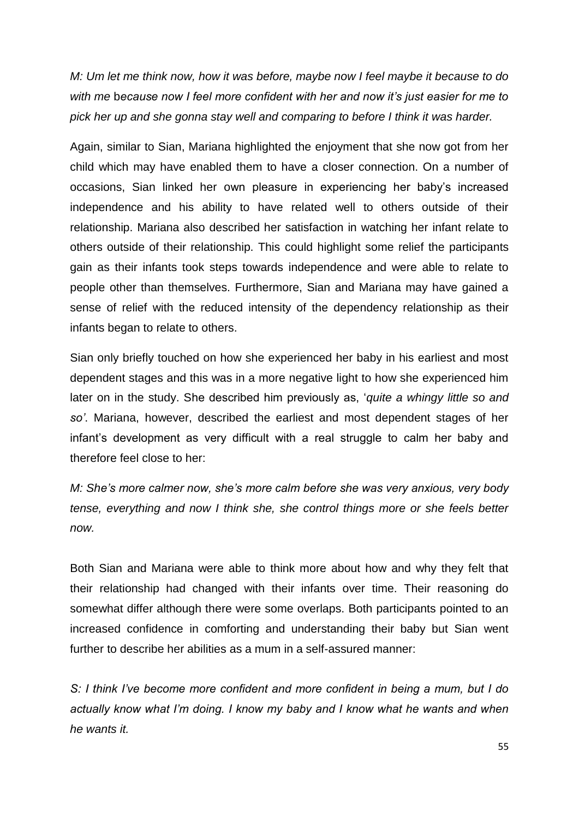*M: Um let me think now, how it was before, maybe now I feel maybe it because to do with me* b*ecause now I feel more confident with her and now it's just easier for me to pick her up and she gonna stay well and comparing to before I think it was harder.* 

Again, similar to Sian, Mariana highlighted the enjoyment that she now got from her child which may have enabled them to have a closer connection. On a number of occasions, Sian linked her own pleasure in experiencing her baby's increased independence and his ability to have related well to others outside of their relationship. Mariana also described her satisfaction in watching her infant relate to others outside of their relationship. This could highlight some relief the participants gain as their infants took steps towards independence and were able to relate to people other than themselves. Furthermore, Sian and Mariana may have gained a sense of relief with the reduced intensity of the dependency relationship as their infants began to relate to others.

Sian only briefly touched on how she experienced her baby in his earliest and most dependent stages and this was in a more negative light to how she experienced him later on in the study. She described him previously as, '*quite a whingy little so and so'*. Mariana, however, described the earliest and most dependent stages of her infant's development as very difficult with a real struggle to calm her baby and therefore feel close to her:

*M: She's more calmer now, she's more calm before she was very anxious, very body tense, everything and now I think she, she control things more or she feels better now.*

Both Sian and Mariana were able to think more about how and why they felt that their relationship had changed with their infants over time. Their reasoning do somewhat differ although there were some overlaps. Both participants pointed to an increased confidence in comforting and understanding their baby but Sian went further to describe her abilities as a mum in a self-assured manner:

*S: I think I've become more confident and more confident in being a mum, but I do actually know what I'm doing. I know my baby and I know what he wants and when he wants it.*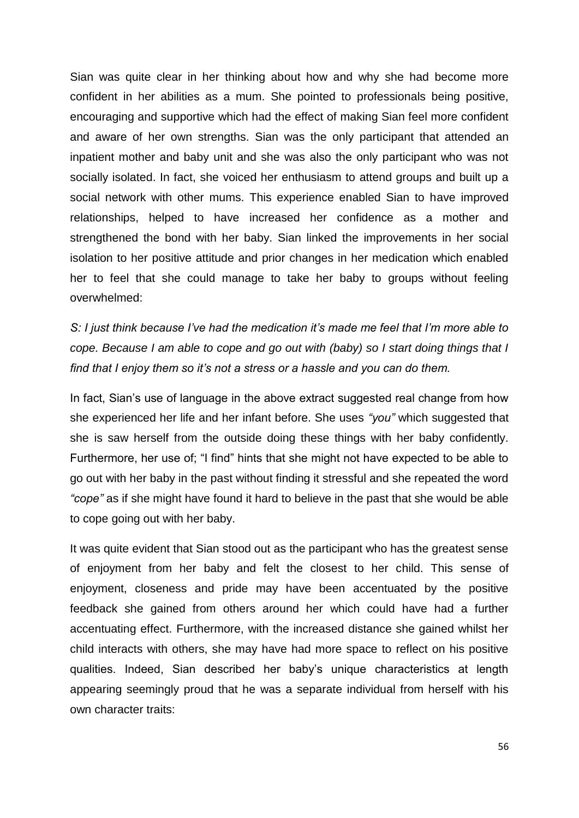Sian was quite clear in her thinking about how and why she had become more confident in her abilities as a mum. She pointed to professionals being positive, encouraging and supportive which had the effect of making Sian feel more confident and aware of her own strengths. Sian was the only participant that attended an inpatient mother and baby unit and she was also the only participant who was not socially isolated. In fact, she voiced her enthusiasm to attend groups and built up a social network with other mums. This experience enabled Sian to have improved relationships, helped to have increased her confidence as a mother and strengthened the bond with her baby. Sian linked the improvements in her social isolation to her positive attitude and prior changes in her medication which enabled her to feel that she could manage to take her baby to groups without feeling overwhelmed:

*S: I just think because I've had the medication it's made me feel that I'm more able to cope. Because I am able to cope and go out with (baby) so I start doing things that I find that I enjoy them so it's not a stress or a hassle and you can do them.*

In fact, Sian's use of language in the above extract suggested real change from how she experienced her life and her infant before. She uses *"you"* which suggested that she is saw herself from the outside doing these things with her baby confidently. Furthermore, her use of; "I find" hints that she might not have expected to be able to go out with her baby in the past without finding it stressful and she repeated the word *"cope"* as if she might have found it hard to believe in the past that she would be able to cope going out with her baby.

It was quite evident that Sian stood out as the participant who has the greatest sense of enjoyment from her baby and felt the closest to her child. This sense of enjoyment, closeness and pride may have been accentuated by the positive feedback she gained from others around her which could have had a further accentuating effect. Furthermore, with the increased distance she gained whilst her child interacts with others, she may have had more space to reflect on his positive qualities. Indeed, Sian described her baby's unique characteristics at length appearing seemingly proud that he was a separate individual from herself with his own character traits: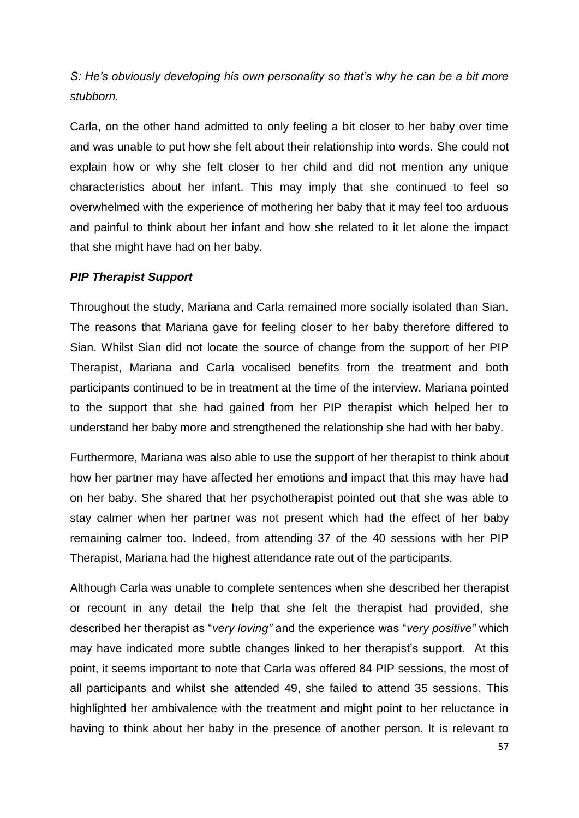*S: He's obviously developing his own personality so that's why he can be a bit more stubborn.* 

Carla, on the other hand admitted to only feeling a bit closer to her baby over time and was unable to put how she felt about their relationship into words. She could not explain how or why she felt closer to her child and did not mention any unique characteristics about her infant. This may imply that she continued to feel so overwhelmed with the experience of mothering her baby that it may feel too arduous and painful to think about her infant and how she related to it let alone the impact that she might have had on her baby.

### *PIP Therapist Support*

Throughout the study, Mariana and Carla remained more socially isolated than Sian. The reasons that Mariana gave for feeling closer to her baby therefore differed to Sian. Whilst Sian did not locate the source of change from the support of her PIP Therapist, Mariana and Carla vocalised benefits from the treatment and both participants continued to be in treatment at the time of the interview. Mariana pointed to the support that she had gained from her PIP therapist which helped her to understand her baby more and strengthened the relationship she had with her baby.

Furthermore, Mariana was also able to use the support of her therapist to think about how her partner may have affected her emotions and impact that this may have had on her baby. She shared that her psychotherapist pointed out that she was able to stay calmer when her partner was not present which had the effect of her baby remaining calmer too. Indeed, from attending 37 of the 40 sessions with her PIP Therapist, Mariana had the highest attendance rate out of the participants.

Although Carla was unable to complete sentences when she described her therapist or recount in any detail the help that she felt the therapist had provided, she described her therapist as "*very loving"* and the experience was "*very positive"* which may have indicated more subtle changes linked to her therapist's support. At this point, it seems important to note that Carla was offered 84 PIP sessions, the most of all participants and whilst she attended 49, she failed to attend 35 sessions. This highlighted her ambivalence with the treatment and might point to her reluctance in having to think about her baby in the presence of another person. It is relevant to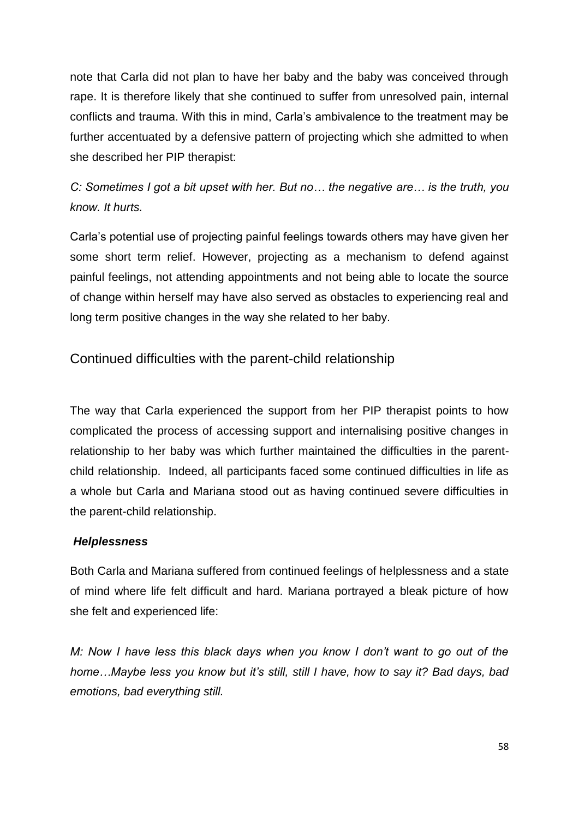note that Carla did not plan to have her baby and the baby was conceived through rape. It is therefore likely that she continued to suffer from unresolved pain, internal conflicts and trauma. With this in mind, Carla's ambivalence to the treatment may be further accentuated by a defensive pattern of projecting which she admitted to when she described her PIP therapist:

*C: Sometimes I got a bit upset with her. But no… the negative are… is the truth, you know. It hurts.*

Carla's potential use of projecting painful feelings towards others may have given her some short term relief. However, projecting as a mechanism to defend against painful feelings, not attending appointments and not being able to locate the source of change within herself may have also served as obstacles to experiencing real and long term positive changes in the way she related to her baby.

## Continued difficulties with the parent-child relationship

The way that Carla experienced the support from her PIP therapist points to how complicated the process of accessing support and internalising positive changes in relationship to her baby was which further maintained the difficulties in the parentchild relationship. Indeed, all participants faced some continued difficulties in life as a whole but Carla and Mariana stood out as having continued severe difficulties in the parent-child relationship.

### *Helplessness*

Both Carla and Mariana suffered from continued feelings of helplessness and a state of mind where life felt difficult and hard. Mariana portrayed a bleak picture of how she felt and experienced life:

*M: Now I have less this black days when you know I don't want to go out of the home…Maybe less you know but it's still, still I have, how to say it? Bad days, bad emotions, bad everything still.*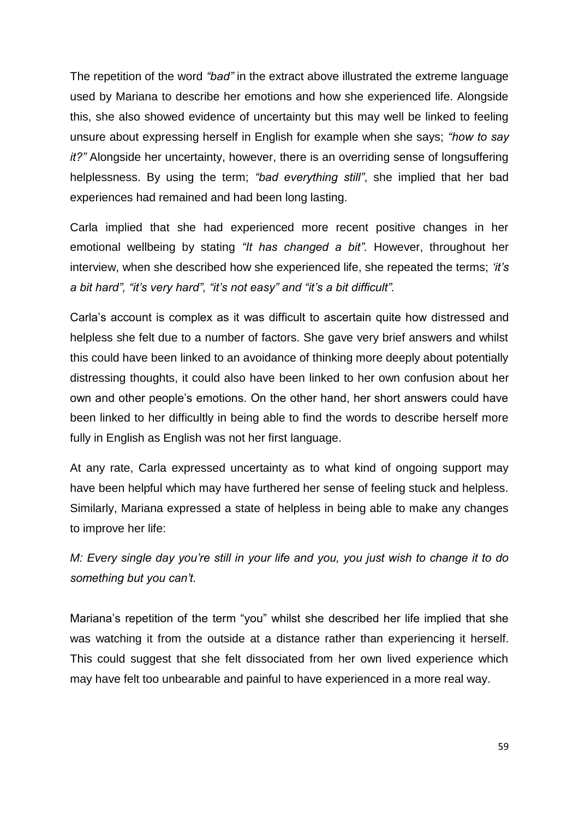The repetition of the word *"bad"* in the extract above illustrated the extreme language used by Mariana to describe her emotions and how she experienced life. Alongside this, she also showed evidence of uncertainty but this may well be linked to feeling unsure about expressing herself in English for example when she says; *"how to say it?"* Alongside her uncertainty, however, there is an overriding sense of longsuffering helplessness. By using the term; *"bad everything still"*, she implied that her bad experiences had remained and had been long lasting.

Carla implied that she had experienced more recent positive changes in her emotional wellbeing by stating *"It has changed a bit".* However, throughout her interview, when she described how she experienced life, she repeated the terms; *'it's a bit hard", "it's very hard", "it's not easy" and "it's a bit difficult".*

Carla's account is complex as it was difficult to ascertain quite how distressed and helpless she felt due to a number of factors. She gave very brief answers and whilst this could have been linked to an avoidance of thinking more deeply about potentially distressing thoughts, it could also have been linked to her own confusion about her own and other people's emotions. On the other hand, her short answers could have been linked to her difficultly in being able to find the words to describe herself more fully in English as English was not her first language.

At any rate, Carla expressed uncertainty as to what kind of ongoing support may have been helpful which may have furthered her sense of feeling stuck and helpless. Similarly, Mariana expressed a state of helpless in being able to make any changes to improve her life:

*M: Every single day you're still in your life and you, you just wish to change it to do something but you can't.*

Mariana's repetition of the term "you" whilst she described her life implied that she was watching it from the outside at a distance rather than experiencing it herself. This could suggest that she felt dissociated from her own lived experience which may have felt too unbearable and painful to have experienced in a more real way.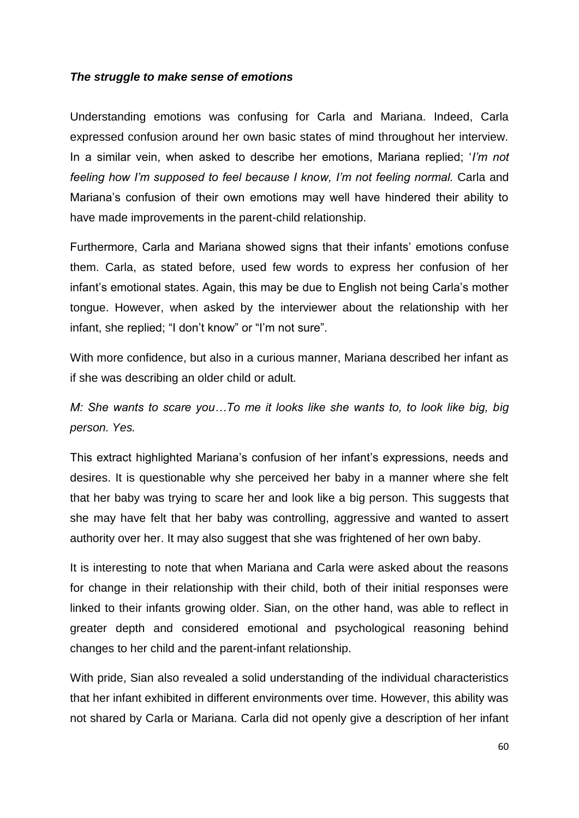### *The struggle to make sense of emotions*

Understanding emotions was confusing for Carla and Mariana. Indeed, Carla expressed confusion around her own basic states of mind throughout her interview. In a similar vein, when asked to describe her emotions, Mariana replied; '*I'm not feeling how I'm supposed to feel because I know, I'm not feeling normal.* Carla and Mariana's confusion of their own emotions may well have hindered their ability to have made improvements in the parent-child relationship.

Furthermore, Carla and Mariana showed signs that their infants' emotions confuse them. Carla, as stated before, used few words to express her confusion of her infant's emotional states. Again, this may be due to English not being Carla's mother tongue. However, when asked by the interviewer about the relationship with her infant, she replied; "I don't know" or "I'm not sure".

With more confidence, but also in a curious manner, Mariana described her infant as if she was describing an older child or adult.

*M: She wants to scare you...To me it looks like she wants to, to look like big, big person. Yes.*

This extract highlighted Mariana's confusion of her infant's expressions, needs and desires. It is questionable why she perceived her baby in a manner where she felt that her baby was trying to scare her and look like a big person. This suggests that she may have felt that her baby was controlling, aggressive and wanted to assert authority over her. It may also suggest that she was frightened of her own baby.

It is interesting to note that when Mariana and Carla were asked about the reasons for change in their relationship with their child, both of their initial responses were linked to their infants growing older. Sian, on the other hand, was able to reflect in greater depth and considered emotional and psychological reasoning behind changes to her child and the parent-infant relationship.

With pride, Sian also revealed a solid understanding of the individual characteristics that her infant exhibited in different environments over time. However, this ability was not shared by Carla or Mariana. Carla did not openly give a description of her infant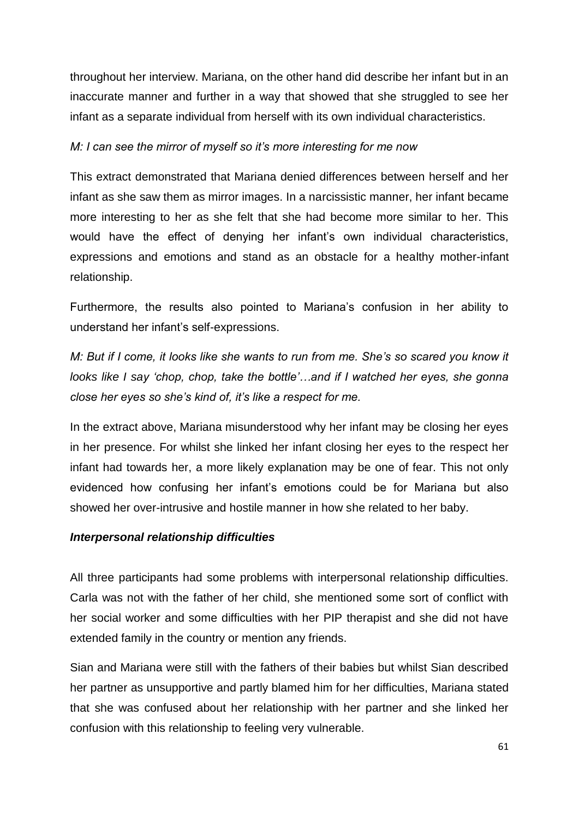throughout her interview. Mariana, on the other hand did describe her infant but in an inaccurate manner and further in a way that showed that she struggled to see her infant as a separate individual from herself with its own individual characteristics.

### *M: I can see the mirror of myself so it's more interesting for me now*

This extract demonstrated that Mariana denied differences between herself and her infant as she saw them as mirror images. In a narcissistic manner, her infant became more interesting to her as she felt that she had become more similar to her. This would have the effect of denying her infant's own individual characteristics, expressions and emotions and stand as an obstacle for a healthy mother-infant relationship.

Furthermore, the results also pointed to Mariana's confusion in her ability to understand her infant's self-expressions.

*M: But if I come, it looks like she wants to run from me. She's so scared you know it looks like I say 'chop, chop, take the bottle'...and if I watched her eyes, she gonna close her eyes so she's kind of, it's like a respect for me.*

In the extract above, Mariana misunderstood why her infant may be closing her eyes in her presence. For whilst she linked her infant closing her eyes to the respect her infant had towards her, a more likely explanation may be one of fear. This not only evidenced how confusing her infant's emotions could be for Mariana but also showed her over-intrusive and hostile manner in how she related to her baby.

#### *Interpersonal relationship difficulties*

All three participants had some problems with interpersonal relationship difficulties. Carla was not with the father of her child, she mentioned some sort of conflict with her social worker and some difficulties with her PIP therapist and she did not have extended family in the country or mention any friends.

Sian and Mariana were still with the fathers of their babies but whilst Sian described her partner as unsupportive and partly blamed him for her difficulties, Mariana stated that she was confused about her relationship with her partner and she linked her confusion with this relationship to feeling very vulnerable.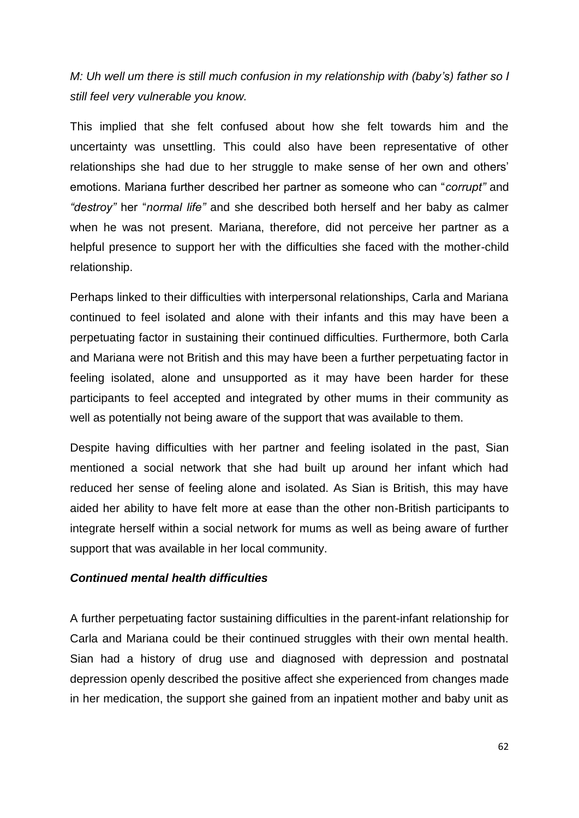*M: Uh well um there is still much confusion in my relationship with (baby's) father so I still feel very vulnerable you know.*

This implied that she felt confused about how she felt towards him and the uncertainty was unsettling. This could also have been representative of other relationships she had due to her struggle to make sense of her own and others' emotions. Mariana further described her partner as someone who can "*corrupt"* and *"destroy"* her "*normal life"* and she described both herself and her baby as calmer when he was not present. Mariana, therefore, did not perceive her partner as a helpful presence to support her with the difficulties she faced with the mother-child relationship.

Perhaps linked to their difficulties with interpersonal relationships, Carla and Mariana continued to feel isolated and alone with their infants and this may have been a perpetuating factor in sustaining their continued difficulties. Furthermore, both Carla and Mariana were not British and this may have been a further perpetuating factor in feeling isolated, alone and unsupported as it may have been harder for these participants to feel accepted and integrated by other mums in their community as well as potentially not being aware of the support that was available to them.

Despite having difficulties with her partner and feeling isolated in the past, Sian mentioned a social network that she had built up around her infant which had reduced her sense of feeling alone and isolated. As Sian is British, this may have aided her ability to have felt more at ease than the other non-British participants to integrate herself within a social network for mums as well as being aware of further support that was available in her local community.

### *Continued mental health difficulties*

A further perpetuating factor sustaining difficulties in the parent-infant relationship for Carla and Mariana could be their continued struggles with their own mental health. Sian had a history of drug use and diagnosed with depression and postnatal depression openly described the positive affect she experienced from changes made in her medication, the support she gained from an inpatient mother and baby unit as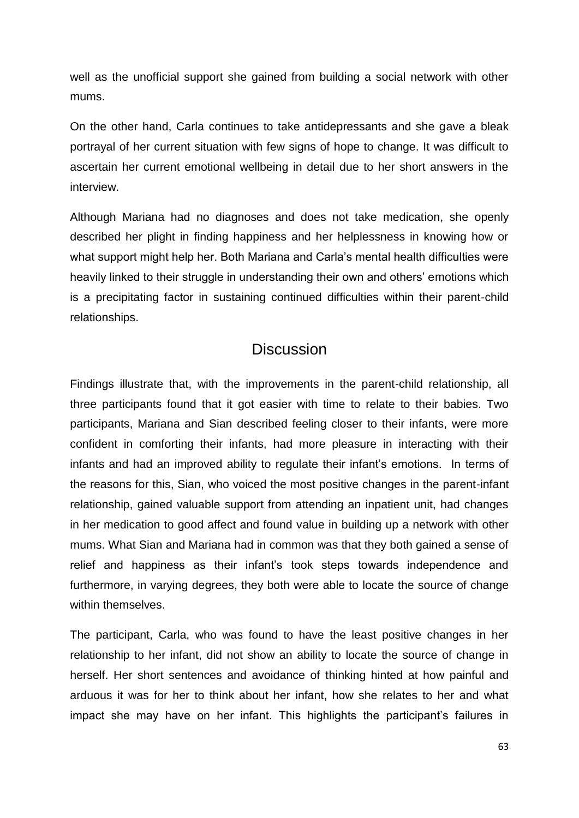well as the unofficial support she gained from building a social network with other mums.

On the other hand, Carla continues to take antidepressants and she gave a bleak portrayal of her current situation with few signs of hope to change. It was difficult to ascertain her current emotional wellbeing in detail due to her short answers in the interview.

Although Mariana had no diagnoses and does not take medication, she openly described her plight in finding happiness and her helplessness in knowing how or what support might help her. Both Mariana and Carla's mental health difficulties were heavily linked to their struggle in understanding their own and others' emotions which is a precipitating factor in sustaining continued difficulties within their parent-child relationships.

# **Discussion**

Findings illustrate that, with the improvements in the parent-child relationship, all three participants found that it got easier with time to relate to their babies. Two participants, Mariana and Sian described feeling closer to their infants, were more confident in comforting their infants, had more pleasure in interacting with their infants and had an improved ability to regulate their infant's emotions. In terms of the reasons for this, Sian, who voiced the most positive changes in the parent-infant relationship, gained valuable support from attending an inpatient unit, had changes in her medication to good affect and found value in building up a network with other mums. What Sian and Mariana had in common was that they both gained a sense of relief and happiness as their infant's took steps towards independence and furthermore, in varying degrees, they both were able to locate the source of change within themselves.

The participant, Carla, who was found to have the least positive changes in her relationship to her infant, did not show an ability to locate the source of change in herself. Her short sentences and avoidance of thinking hinted at how painful and arduous it was for her to think about her infant, how she relates to her and what impact she may have on her infant. This highlights the participant's failures in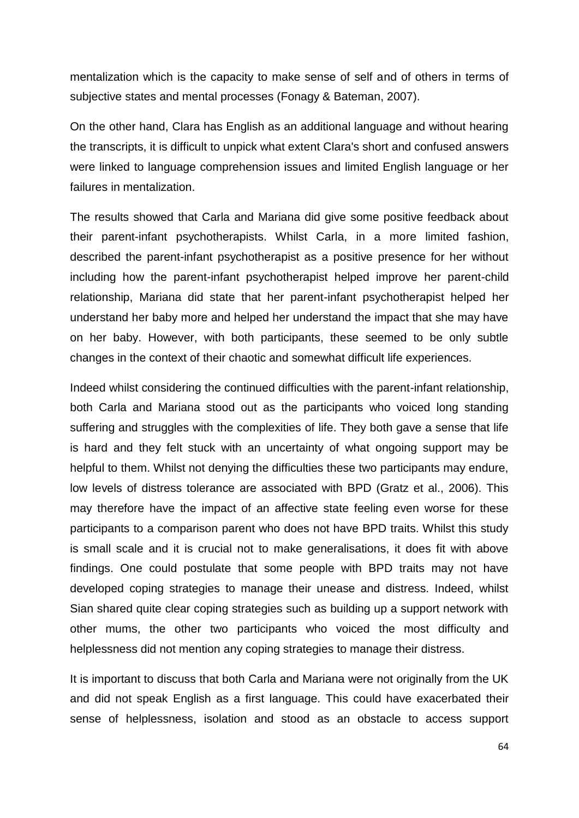mentalization which is the capacity to make sense of self and of others in terms of subjective states and mental processes (Fonagy & Bateman, 2007).

On the other hand, Clara has English as an additional language and without hearing the transcripts, it is difficult to unpick what extent Clara's short and confused answers were linked to language comprehension issues and limited English language or her failures in mentalization.

The results showed that Carla and Mariana did give some positive feedback about their parent-infant psychotherapists. Whilst Carla, in a more limited fashion, described the parent-infant psychotherapist as a positive presence for her without including how the parent-infant psychotherapist helped improve her parent-child relationship, Mariana did state that her parent-infant psychotherapist helped her understand her baby more and helped her understand the impact that she may have on her baby. However, with both participants, these seemed to be only subtle changes in the context of their chaotic and somewhat difficult life experiences.

Indeed whilst considering the continued difficulties with the parent-infant relationship, both Carla and Mariana stood out as the participants who voiced long standing suffering and struggles with the complexities of life. They both gave a sense that life is hard and they felt stuck with an uncertainty of what ongoing support may be helpful to them. Whilst not denying the difficulties these two participants may endure, low levels of distress tolerance are associated with BPD (Gratz et al., 2006). This may therefore have the impact of an affective state feeling even worse for these participants to a comparison parent who does not have BPD traits. Whilst this study is small scale and it is crucial not to make generalisations, it does fit with above findings. One could postulate that some people with BPD traits may not have developed coping strategies to manage their unease and distress. Indeed, whilst Sian shared quite clear coping strategies such as building up a support network with other mums, the other two participants who voiced the most difficulty and helplessness did not mention any coping strategies to manage their distress.

It is important to discuss that both Carla and Mariana were not originally from the UK and did not speak English as a first language. This could have exacerbated their sense of helplessness, isolation and stood as an obstacle to access support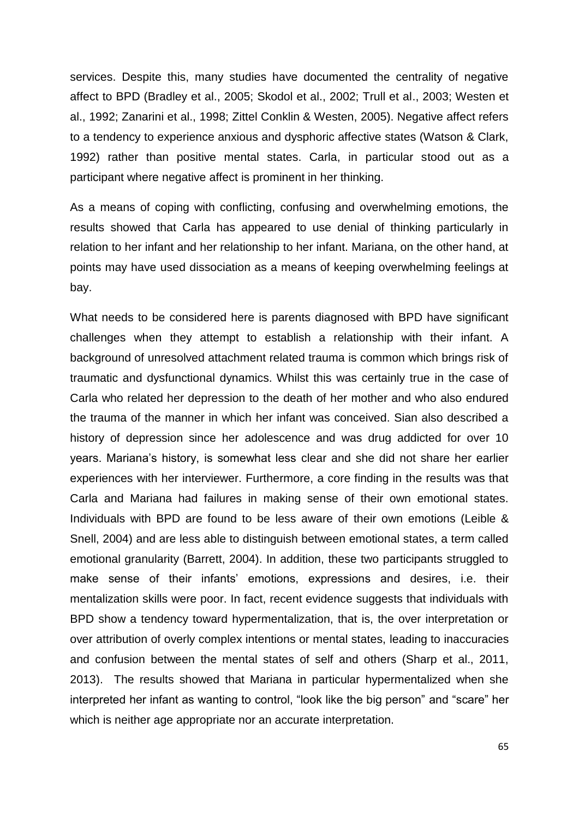services. Despite this, many studies have documented the centrality of negative affect to BPD (Bradley et al., 2005; Skodol et al., 2002; Trull et al., 2003; Westen et al., 1992; Zanarini et al., 1998; Zittel Conklin & Westen, 2005). Negative affect refers to a tendency to experience anxious and dysphoric affective states (Watson & Clark, 1992) rather than positive mental states. Carla, in particular stood out as a participant where negative affect is prominent in her thinking.

As a means of coping with conflicting, confusing and overwhelming emotions, the results showed that Carla has appeared to use denial of thinking particularly in relation to her infant and her relationship to her infant. Mariana, on the other hand, at points may have used dissociation as a means of keeping overwhelming feelings at bay.

What needs to be considered here is parents diagnosed with BPD have significant challenges when they attempt to establish a relationship with their infant. A background of unresolved attachment related trauma is common which brings risk of traumatic and dysfunctional dynamics. Whilst this was certainly true in the case of Carla who related her depression to the death of her mother and who also endured the trauma of the manner in which her infant was conceived. Sian also described a history of depression since her adolescence and was drug addicted for over 10 years. Mariana's history, is somewhat less clear and she did not share her earlier experiences with her interviewer. Furthermore, a core finding in the results was that Carla and Mariana had failures in making sense of their own emotional states. Individuals with BPD are found to be less aware of their own emotions (Leible & Snell, 2004) and are less able to distinguish between emotional states, a term called emotional granularity (Barrett, 2004). In addition, these two participants struggled to make sense of their infants' emotions, expressions and desires, i.e. their mentalization skills were poor. In fact, recent evidence suggests that individuals with BPD show a tendency toward hypermentalization, that is, the over interpretation or over attribution of overly complex intentions or mental states, leading to inaccuracies and confusion between the mental states of self and others (Sharp et al., 2011, 2013). The results showed that Mariana in particular hypermentalized when she interpreted her infant as wanting to control, "look like the big person" and "scare" her which is neither age appropriate nor an accurate interpretation.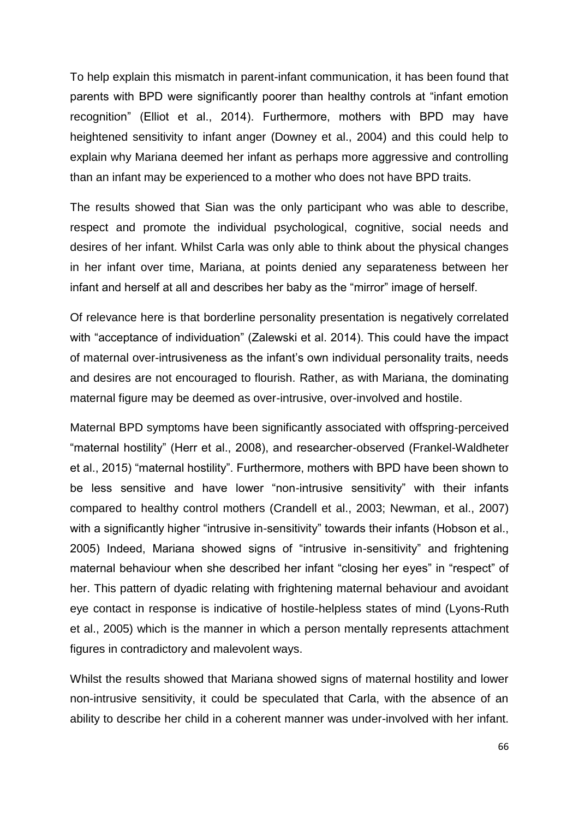To help explain this mismatch in parent-infant communication, it has been found that parents with BPD were significantly poorer than healthy controls at "infant emotion recognition" (Elliot et al., 2014). Furthermore, mothers with BPD may have heightened sensitivity to infant anger (Downey et al., 2004) and this could help to explain why Mariana deemed her infant as perhaps more aggressive and controlling than an infant may be experienced to a mother who does not have BPD traits.

The results showed that Sian was the only participant who was able to describe, respect and promote the individual psychological, cognitive, social needs and desires of her infant. Whilst Carla was only able to think about the physical changes in her infant over time, Mariana, at points denied any separateness between her infant and herself at all and describes her baby as the "mirror" image of herself.

Of relevance here is that borderline personality presentation is negatively correlated with "acceptance of individuation" (Zalewski et al. 2014). This could have the impact of maternal over-intrusiveness as the infant's own individual personality traits, needs and desires are not encouraged to flourish. Rather, as with Mariana, the dominating maternal figure may be deemed as over-intrusive, over-involved and hostile.

Maternal BPD symptoms have been significantly associated with offspring-perceived "maternal hostility" (Herr et al., 2008), and researcher-observed (Frankel-Waldheter et al., 2015) "maternal hostility". Furthermore, mothers with BPD have been shown to be less sensitive and have lower "non-intrusive sensitivity" with their infants compared to healthy control mothers (Crandell et al., 2003; Newman, et al., 2007) with a significantly higher "intrusive in-sensitivity" towards their infants (Hobson et al., 2005) Indeed, Mariana showed signs of "intrusive in-sensitivity" and frightening maternal behaviour when she described her infant "closing her eyes" in "respect" of her. This pattern of dyadic relating with frightening maternal behaviour and avoidant eye contact in response is indicative of hostile-helpless states of mind (Lyons-Ruth et al., 2005) which is the manner in which a person mentally represents attachment figures in contradictory and malevolent ways.

Whilst the results showed that Mariana showed signs of maternal hostility and lower non-intrusive sensitivity, it could be speculated that Carla, with the absence of an ability to describe her child in a coherent manner was under-involved with her infant.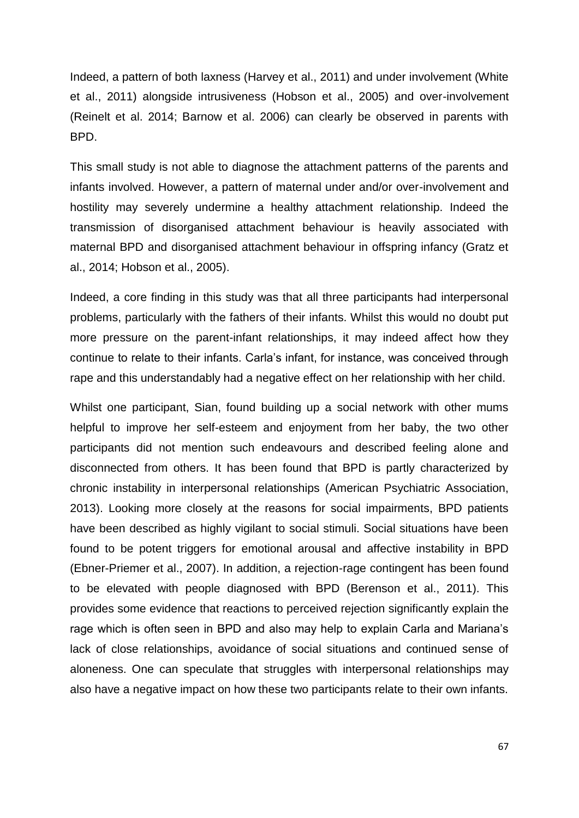Indeed, a pattern of both laxness (Harvey et al., 2011) and under involvement (White et al., 2011) alongside intrusiveness (Hobson et al., 2005) and over-involvement (Reinelt et al. 2014; Barnow et al. 2006) can clearly be observed in parents with BPD.

This small study is not able to diagnose the attachment patterns of the parents and infants involved. However, a pattern of maternal under and/or over-involvement and hostility may severely undermine a healthy attachment relationship. Indeed the transmission of disorganised attachment behaviour is heavily associated with maternal BPD and disorganised attachment behaviour in offspring infancy (Gratz et al., 2014; Hobson et al., 2005).

Indeed, a core finding in this study was that all three participants had interpersonal problems, particularly with the fathers of their infants. Whilst this would no doubt put more pressure on the parent-infant relationships, it may indeed affect how they continue to relate to their infants. Carla's infant, for instance, was conceived through rape and this understandably had a negative effect on her relationship with her child.

Whilst one participant, Sian, found building up a social network with other mums helpful to improve her self-esteem and enjoyment from her baby, the two other participants did not mention such endeavours and described feeling alone and disconnected from others. It has been found that BPD is partly characterized by chronic instability in interpersonal relationships (American Psychiatric Association, 2013). Looking more closely at the reasons for social impairments, BPD patients have been described as highly vigilant to social stimuli. Social situations have been found to be potent triggers for emotional arousal and affective instability in BPD (Ebner-Priemer et al., 2007). In addition, a rejection-rage contingent has been found to be elevated with people diagnosed with BPD (Berenson et al., 2011). This provides some evidence that reactions to perceived rejection significantly explain the rage which is often seen in BPD and also may help to explain Carla and Mariana's lack of close relationships, avoidance of social situations and continued sense of aloneness. One can speculate that struggles with interpersonal relationships may also have a negative impact on how these two participants relate to their own infants.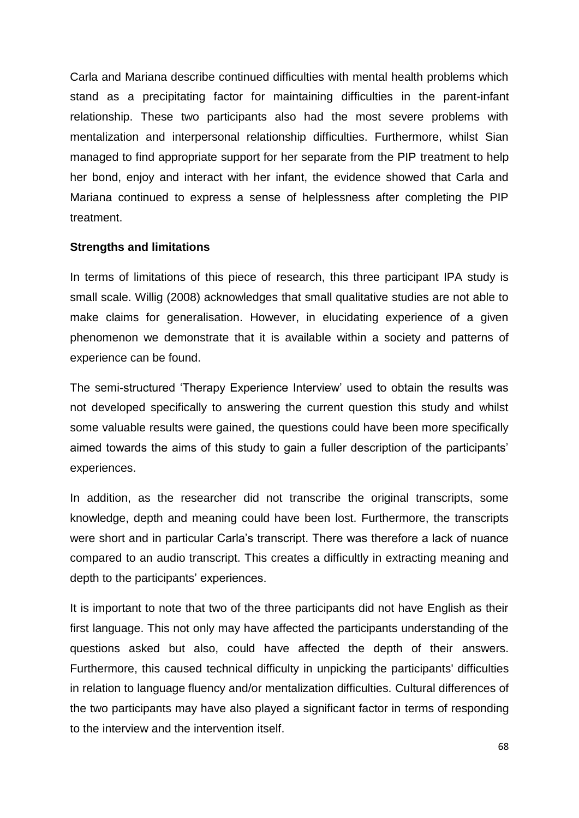Carla and Mariana describe continued difficulties with mental health problems which stand as a precipitating factor for maintaining difficulties in the parent-infant relationship. These two participants also had the most severe problems with mentalization and interpersonal relationship difficulties. Furthermore, whilst Sian managed to find appropriate support for her separate from the PIP treatment to help her bond, enjoy and interact with her infant, the evidence showed that Carla and Mariana continued to express a sense of helplessness after completing the PIP treatment.

### **Strengths and limitations**

In terms of limitations of this piece of research, this three participant IPA study is small scale. Willig (2008) acknowledges that small qualitative studies are not able to make claims for generalisation. However, in elucidating experience of a given phenomenon we demonstrate that it is available within a society and patterns of experience can be found.

The semi-structured 'Therapy Experience Interview' used to obtain the results was not developed specifically to answering the current question this study and whilst some valuable results were gained, the questions could have been more specifically aimed towards the aims of this study to gain a fuller description of the participants' experiences.

In addition, as the researcher did not transcribe the original transcripts, some knowledge, depth and meaning could have been lost. Furthermore, the transcripts were short and in particular Carla's transcript. There was therefore a lack of nuance compared to an audio transcript. This creates a difficultly in extracting meaning and depth to the participants' experiences.

It is important to note that two of the three participants did not have English as their first language. This not only may have affected the participants understanding of the questions asked but also, could have affected the depth of their answers. Furthermore, this caused technical difficulty in unpicking the participants' difficulties in relation to language fluency and/or mentalization difficulties. Cultural differences of the two participants may have also played a significant factor in terms of responding to the interview and the intervention itself.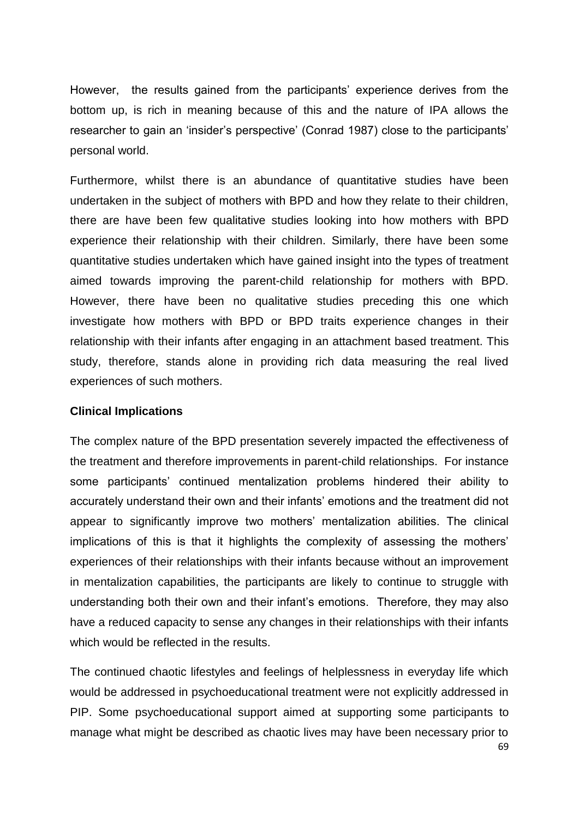However, the results gained from the participants' experience derives from the bottom up, is rich in meaning because of this and the nature of IPA allows the researcher to gain an 'insider's perspective' (Conrad 1987) close to the participants' personal world.

Furthermore, whilst there is an abundance of quantitative studies have been undertaken in the subject of mothers with BPD and how they relate to their children, there are have been few qualitative studies looking into how mothers with BPD experience their relationship with their children. Similarly, there have been some quantitative studies undertaken which have gained insight into the types of treatment aimed towards improving the parent-child relationship for mothers with BPD. However, there have been no qualitative studies preceding this one which investigate how mothers with BPD or BPD traits experience changes in their relationship with their infants after engaging in an attachment based treatment. This study, therefore, stands alone in providing rich data measuring the real lived experiences of such mothers.

#### **Clinical Implications**

The complex nature of the BPD presentation severely impacted the effectiveness of the treatment and therefore improvements in parent-child relationships. For instance some participants' continued mentalization problems hindered their ability to accurately understand their own and their infants' emotions and the treatment did not appear to significantly improve two mothers' mentalization abilities. The clinical implications of this is that it highlights the complexity of assessing the mothers' experiences of their relationships with their infants because without an improvement in mentalization capabilities, the participants are likely to continue to struggle with understanding both their own and their infant's emotions. Therefore, they may also have a reduced capacity to sense any changes in their relationships with their infants which would be reflected in the results.

The continued chaotic lifestyles and feelings of helplessness in everyday life which would be addressed in psychoeducational treatment were not explicitly addressed in PIP. Some psychoeducational support aimed at supporting some participants to manage what might be described as chaotic lives may have been necessary prior to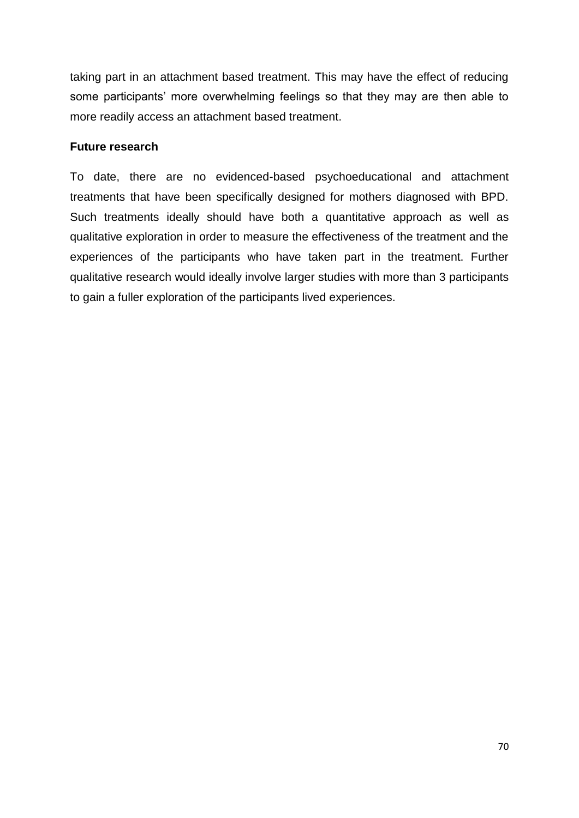taking part in an attachment based treatment. This may have the effect of reducing some participants' more overwhelming feelings so that they may are then able to more readily access an attachment based treatment.

### **Future research**

To date, there are no evidenced-based psychoeducational and attachment treatments that have been specifically designed for mothers diagnosed with BPD. Such treatments ideally should have both a quantitative approach as well as qualitative exploration in order to measure the effectiveness of the treatment and the experiences of the participants who have taken part in the treatment. Further qualitative research would ideally involve larger studies with more than 3 participants to gain a fuller exploration of the participants lived experiences.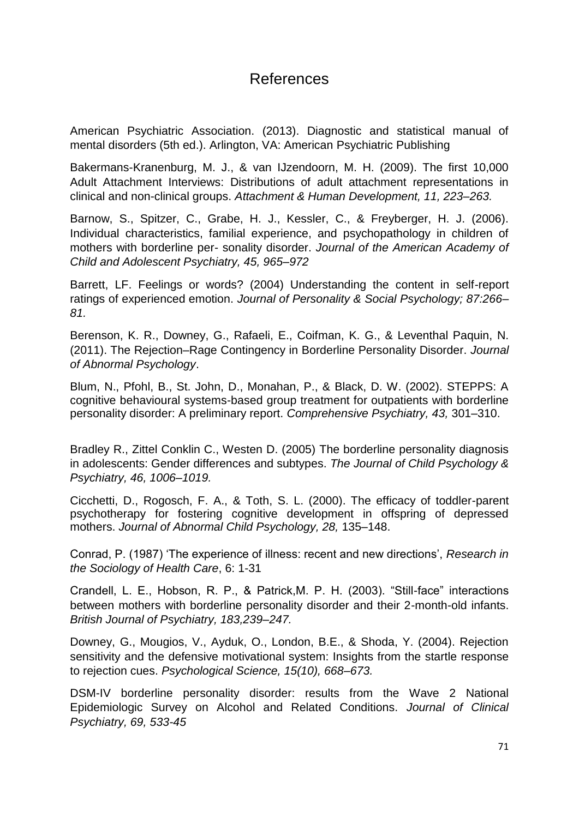# References

American Psychiatric Association. (2013). Diagnostic and statistical manual of mental disorders (5th ed.). Arlington, VA: American Psychiatric Publishing

Bakermans-Kranenburg, M. J., & van IJzendoorn, M. H. (2009). The first 10,000 Adult Attachment Interviews: Distributions of adult attachment representations in clinical and non-clinical groups. *Attachment & Human Development, 11, 223–263.*

Barnow, S., Spitzer, C., Grabe, H. J., Kessler, C., & Freyberger, H. J. (2006). Individual characteristics, familial experience, and psychopathology in children of mothers with borderline per- sonality disorder. *Journal of the American Academy of Child and Adolescent Psychiatry, 45, 965–972*

Barrett, LF. Feelings or words? (2004) Understanding the content in self-report ratings of experienced emotion. *Journal of Personality & Social Psychology; 87:266– 81.*

Berenson, K. R., Downey, G., Rafaeli, E., Coifman, K. G., & Leventhal Paquin, N. (2011). The Rejection–Rage Contingency in Borderline Personality Disorder. *Journal of Abnormal Psychology*.

Blum, N., Pfohl, B., St. John, D., Monahan, P., & Black, D. W. (2002). STEPPS: A cognitive behavioural systems-based group treatment for outpatients with borderline personality disorder: A preliminary report. *Comprehensive Psychiatry, 43,* 301–310.

Bradley R., Zittel Conklin C., Westen D. (2005) The borderline personality diagnosis in adolescents: Gender differences and subtypes. *The Journal of Child Psychology & Psychiatry, 46, 1006–1019.*

Cicchetti, D., Rogosch, F. A., & Toth, S. L. (2000). The efficacy of toddler-parent psychotherapy for fostering cognitive development in offspring of depressed mothers. *Journal of Abnormal Child Psychology, 28,* 135–148.

Conrad, P. (1987) 'The experience of illness: recent and new directions', *Research in the Sociology of Health Care*, 6: 1-31

Crandell, L. E., Hobson, R. P., & Patrick,M. P. H. (2003). "Still-face" interactions between mothers with borderline personality disorder and their 2-month-old infants. *British Journal of Psychiatry, 183,239–247.*

Downey, G., Mougios, V., Ayduk, O., London, B.E., & Shoda, Y. (2004). Rejection sensitivity and the defensive motivational system: Insights from the startle response to rejection cues. *Psychological Science, 15(10), 668–673.*

DSM-IV borderline personality disorder: results from the Wave 2 National Epidemiologic Survey on Alcohol and Related Conditions. *Journal of Clinical Psychiatry, 69, 533-45*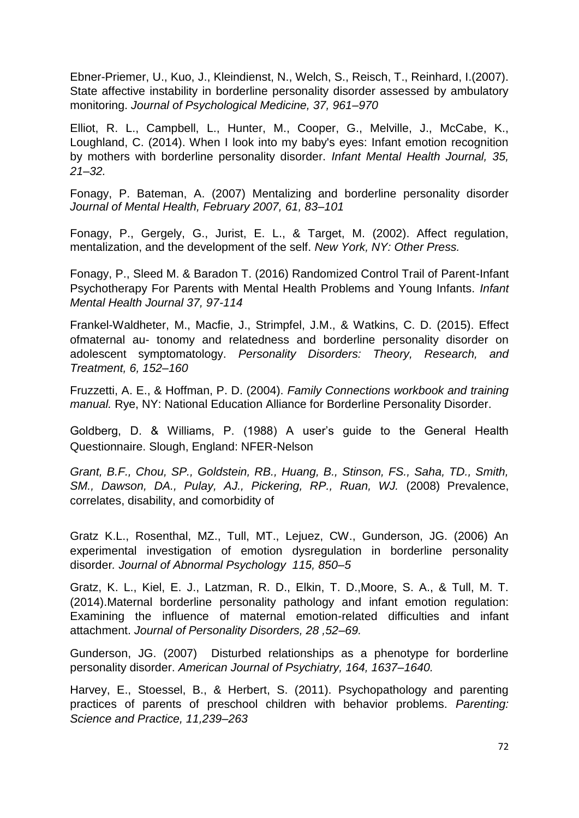Ebner-Priemer, U., Kuo, J., Kleindienst, N., Welch, S., Reisch, T., Reinhard, I.(2007). State affective instability in borderline personality disorder assessed by ambulatory monitoring. *Journal of Psychological Medicine, 37, 961–970*

Elliot, R. L., Campbell, L., Hunter, M., Cooper, G., Melville, J., McCabe, K., Loughland, C. (2014). When I look into my baby's eyes: Infant emotion recognition by mothers with borderline personality disorder. *Infant Mental Health Journal, 35, 21–32.*

Fonagy, P. Bateman, A. (2007) Mentalizing and borderline personality disorder *Journal of Mental Health, February 2007, 61, 83–101*

Fonagy, P., Gergely, G., Jurist, E. L., & Target, M. (2002). Affect regulation, mentalization, and the development of the self. *New York, NY: Other Press.*

Fonagy, P., Sleed M. & Baradon T. (2016) Randomized Control Trail of Parent-Infant Psychotherapy For Parents with Mental Health Problems and Young Infants. *Infant Mental Health Journal 37, 97-114*

Frankel-Waldheter, M., Macfie, J., Strimpfel, J.M., & Watkins, C. D. (2015). Effect ofmaternal au- tonomy and relatedness and borderline personality disorder on adolescent symptomatology. *Personality Disorders: Theory, Research, and Treatment, 6, 152–160*

Fruzzetti, A. E., & Hoffman, P. D. (2004). *Family Connections workbook and training manual.* Rye, NY: National Education Alliance for Borderline Personality Disorder.

Goldberg, D. & Williams, P. (1988) A user's guide to the General Health Questionnaire. Slough, England: NFER-Nelson

*Grant, B.F., Chou, SP., Goldstein, RB., Huang, B., Stinson, FS., Saha, TD., Smith, SM., Dawson, DA., Pulay, AJ., Pickering, RP., Ruan, WJ.* (2008) Prevalence, correlates, disability, and comorbidity of

Gratz K.L., Rosenthal, MZ., Tull, MT., Lejuez, CW., Gunderson, JG. (2006) An experimental investigation of emotion dysregulation in borderline personality disorder*. Journal of Abnormal Psychology 115, 850–5*

Gratz, K. L., Kiel, E. J., Latzman, R. D., Elkin, T. D.,Moore, S. A., & Tull, M. T. (2014).Maternal borderline personality pathology and infant emotion regulation: Examining the influence of maternal emotion-related difficulties and infant attachment. *Journal of Personality Disorders, 28 ,52–69.*

Gunderson, JG. (2007) Disturbed relationships as a phenotype for borderline personality disorder. *American Journal of Psychiatry, 164, 1637–1640.*

Harvey, E., Stoessel, B., & Herbert, S. (2011). Psychopathology and parenting practices of parents of preschool children with behavior problems. *Parenting: Science and Practice, 11,239–263*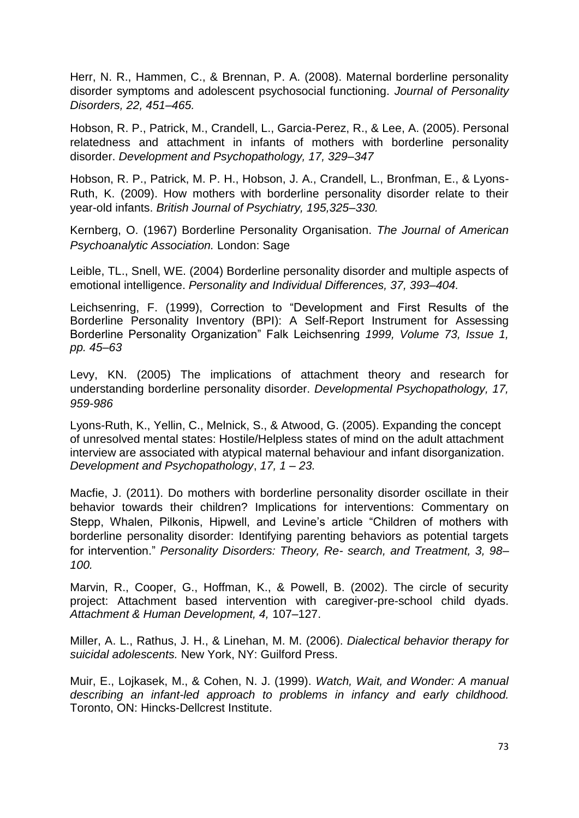Herr, N. R., Hammen, C., & Brennan, P. A. (2008). Maternal borderline personality disorder symptoms and adolescent psychosocial functioning. *Journal of Personality Disorders, 22, 451–465.*

Hobson, R. P., Patrick, M., Crandell, L., Garcia-Perez, R., & Lee, A. (2005). Personal relatedness and attachment in infants of mothers with borderline personality disorder. *Development and Psychopathology, 17, 329–347*

Hobson, R. P., Patrick, M. P. H., Hobson, J. A., Crandell, L., Bronfman, E., & Lyons-Ruth, K. (2009). How mothers with borderline personality disorder relate to their year-old infants. *British Journal of Psychiatry, 195,325–330.*

Kernberg, O. (1967) Borderline Personality Organisation. *The Journal of American Psychoanalytic Association.* London: Sage

Leible, TL., Snell, WE. (2004) Borderline personality disorder and multiple aspects of emotional intelligence. *Personality and Individual Differences, 37, 393–404.*

Leichsenring, F. (1999), Correction to "Development and First Results of the Borderline Personality Inventory (BPI): A Self-Report Instrument for Assessing Borderline Personality Organization" Falk Leichsenring *1999, Volume 73, Issue 1, pp. 45–63*

Levy, KN. (2005) The implications of attachment theory and research for understanding borderline personality disorder. *Developmental Psychopathology, 17, 959-986*

Lyons-Ruth, K., Yellin, C., Melnick, S., & Atwood, G. (2005). Expanding the concept of unresolved mental states: Hostile/Helpless states of mind on the adult attachment interview are associated with atypical maternal behaviour and infant disorganization. *Development and Psychopathology*, *17, 1 – 23.*

Macfie, J. (2011). Do mothers with borderline personality disorder oscillate in their behavior towards their children? Implications for interventions: Commentary on Stepp, Whalen, Pilkonis, Hipwell, and Levine's article "Children of mothers with borderline personality disorder: Identifying parenting behaviors as potential targets for intervention." *Personality Disorders: Theory, Re- search, and Treatment, 3, 98– 100.*

Marvin, R., Cooper, G., Hoffman, K., & Powell, B. (2002). The circle of security project: Attachment based intervention with caregiver-pre-school child dyads. *Attachment & Human Development, 4,* 107–127.

Miller, A. L., Rathus, J. H., & Linehan, M. M. (2006). *Dialectical behavior therapy for suicidal adolescents.* New York, NY: Guilford Press.

Muir, E., Lojkasek, M., & Cohen, N. J. (1999). *Watch, Wait, and Wonder: A manual describing an infant-led approach to problems in infancy and early childhood.*  Toronto, ON: Hincks-Dellcrest Institute.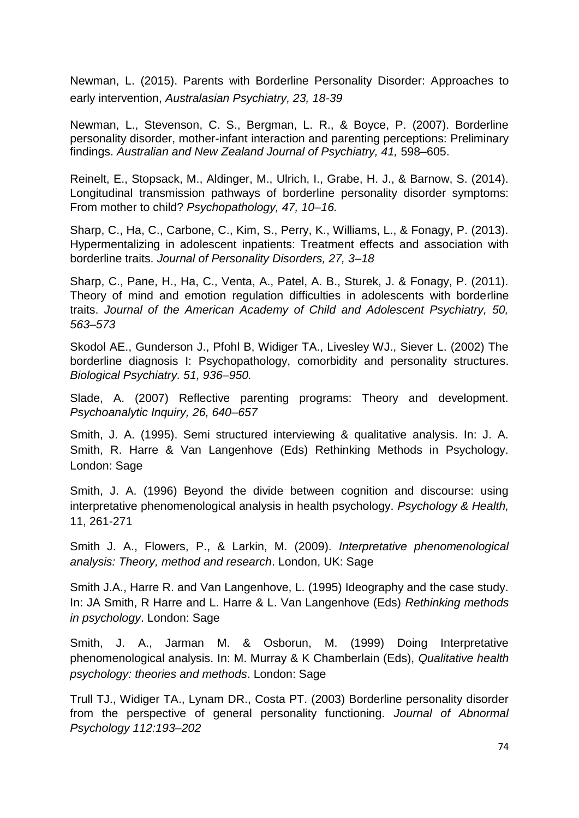Newman, L. (2015). Parents with Borderline Personality Disorder: Approaches to early intervention, *Australasian Psychiatry, 23, 18-39*

Newman, L., Stevenson, C. S., Bergman, L. R., & Boyce, P. (2007). Borderline personality disorder, mother-infant interaction and parenting perceptions: Preliminary findings. *Australian and New Zealand Journal of Psychiatry, 41,* 598–605.

Reinelt, E., Stopsack, M., Aldinger, M., Ulrich, I., Grabe, H. J., & Barnow, S. (2014). Longitudinal transmission pathways of borderline personality disorder symptoms: From mother to child? *Psychopathology, 47, 10–16.*

Sharp, C., Ha, C., Carbone, C., Kim, S., Perry, K., Williams, L., & Fonagy, P. (2013). Hypermentalizing in adolescent inpatients: Treatment effects and association with borderline traits. *Journal of Personality Disorders, 27, 3–18*

Sharp, C., Pane, H., Ha, C., Venta, A., Patel, A. B., Sturek, J. & Fonagy, P. (2011). Theory of mind and emotion regulation difficulties in adolescents with borderline traits. *Journal of the American Academy of Child and Adolescent Psychiatry, 50, 563–573* 

Skodol AE., Gunderson J., Pfohl B, Widiger TA., Livesley WJ., Siever L. (2002) The borderline diagnosis I: Psychopathology, comorbidity and personality structures. *Biological Psychiatry. 51, 936–950.*

Slade, A. (2007) Reflective parenting programs: Theory and development. *Psychoanalytic Inquiry, 26, 640–657*

Smith, J. A. (1995). Semi structured interviewing & qualitative analysis. In: J. A. Smith, R. Harre & Van Langenhove (Eds) Rethinking Methods in Psychology. London: Sage

Smith, J. A. (1996) Beyond the divide between cognition and discourse: using interpretative phenomenological analysis in health psychology. *Psychology & Health,* 11, 261-271

Smith J. A., Flowers, P., & Larkin, M. (2009). *Interpretative phenomenological analysis: Theory, method and research*. London, UK: Sage

Smith J.A., Harre R. and Van Langenhove, L. (1995) Ideography and the case study. In: JA Smith, R Harre and L. Harre & L. Van Langenhove (Eds) *Rethinking methods in psychology*. London: Sage

Smith, J. A., Jarman M. & Osborun, M. (1999) Doing Interpretative phenomenological analysis. In: M. Murray & K Chamberlain (Eds), *Qualitative health psychology: theories and methods*. London: Sage

Trull TJ., Widiger TA., Lynam DR., Costa PT. (2003) Borderline personality disorder from the perspective of general personality functioning. *Journal of Abnormal Psychology 112:193–202*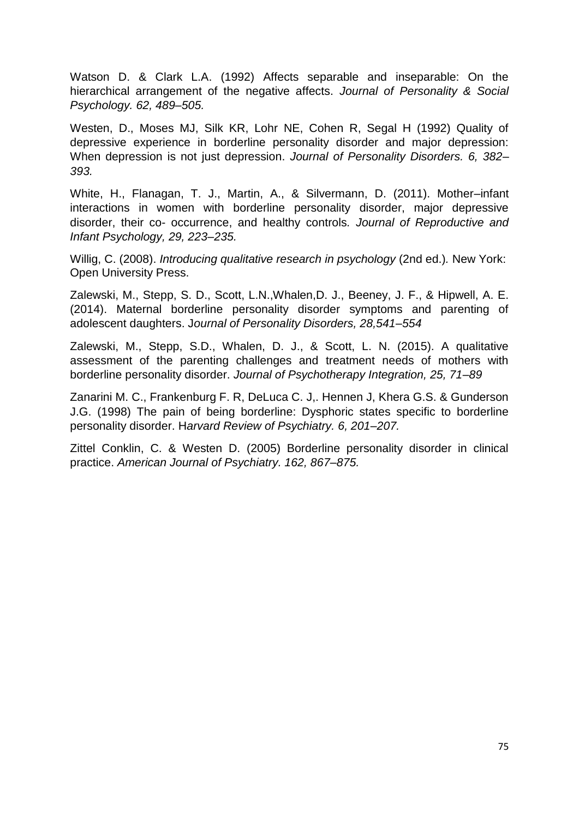Watson D. & Clark L.A. (1992) Affects separable and inseparable: On the hierarchical arrangement of the negative affects. *Journal of Personality & Social Psychology. 62, 489–505.*

Westen, D., Moses MJ, Silk KR, Lohr NE, Cohen R, Segal H (1992) Quality of depressive experience in borderline personality disorder and major depression: When depression is not just depression. *Journal of Personality Disorders. 6, 382– 393.*

White, H., Flanagan, T. J., Martin, A., & Silvermann, D. (2011). Mother–infant interactions in women with borderline personality disorder, major depressive disorder, their co- occurrence, and healthy controls*. Journal of Reproductive and Infant Psychology, 29, 223–235.*

Willig, C. (2008). *Introducing qualitative research in psychology* (2nd ed.)*.* New York: Open University Press.

Zalewski, M., Stepp, S. D., Scott, L.N.,Whalen,D. J., Beeney, J. F., & Hipwell, A. E. (2014). Maternal borderline personality disorder symptoms and parenting of adolescent daughters. J*ournal of Personality Disorders, 28,541–554*

Zalewski, M., Stepp, S.D., Whalen, D. J., & Scott, L. N. (2015). A qualitative assessment of the parenting challenges and treatment needs of mothers with borderline personality disorder. *Journal of Psychotherapy Integration, 25, 71–89*

Zanarini M. C., Frankenburg F. R, DeLuca C. J,. Hennen J, Khera G.S. & Gunderson J.G. (1998) The pain of being borderline: Dysphoric states specific to borderline personality disorder. H*arvard Review of Psychiatry. 6, 201–207.*

Zittel Conklin, C. & Westen D. (2005) Borderline personality disorder in clinical practice. *American Journal of Psychiatry. 162, 867–875.*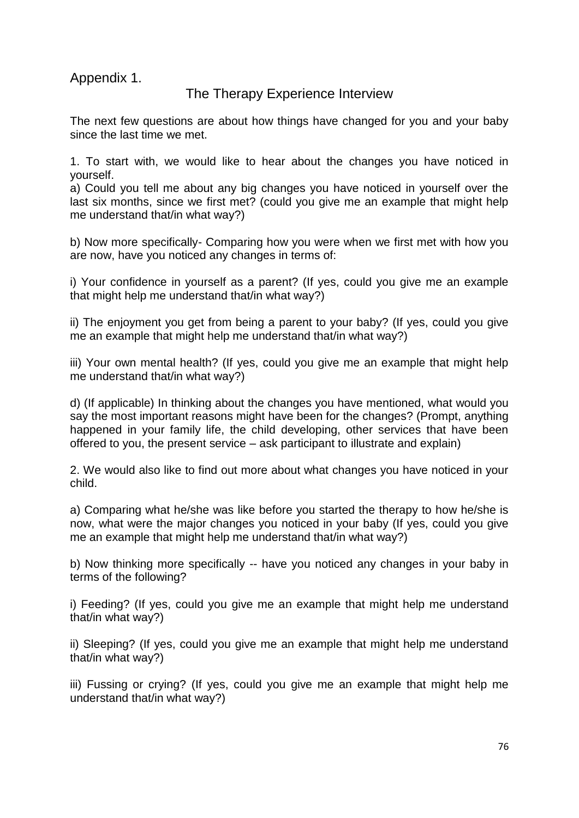Appendix 1.

## The Therapy Experience Interview

The next few questions are about how things have changed for you and your baby since the last time we met.

1. To start with, we would like to hear about the changes you have noticed in yourself.

a) Could you tell me about any big changes you have noticed in yourself over the last six months, since we first met? (could you give me an example that might help me understand that/in what way?)

b) Now more specifically- Comparing how you were when we first met with how you are now, have you noticed any changes in terms of:

i) Your confidence in yourself as a parent? (If yes, could you give me an example that might help me understand that/in what way?)

ii) The enjoyment you get from being a parent to your baby? (If yes, could you give me an example that might help me understand that/in what way?)

iii) Your own mental health? (If yes, could you give me an example that might help me understand that/in what way?)

d) (If applicable) In thinking about the changes you have mentioned, what would you say the most important reasons might have been for the changes? (Prompt, anything happened in your family life, the child developing, other services that have been offered to you, the present service – ask participant to illustrate and explain)

2. We would also like to find out more about what changes you have noticed in your child.

a) Comparing what he/she was like before you started the therapy to how he/she is now, what were the major changes you noticed in your baby (If yes, could you give me an example that might help me understand that/in what way?)

b) Now thinking more specifically -- have you noticed any changes in your baby in terms of the following?

i) Feeding? (If yes, could you give me an example that might help me understand that/in what way?)

ii) Sleeping? (If yes, could you give me an example that might help me understand that/in what way?)

iii) Fussing or crying? (If yes, could you give me an example that might help me understand that/in what way?)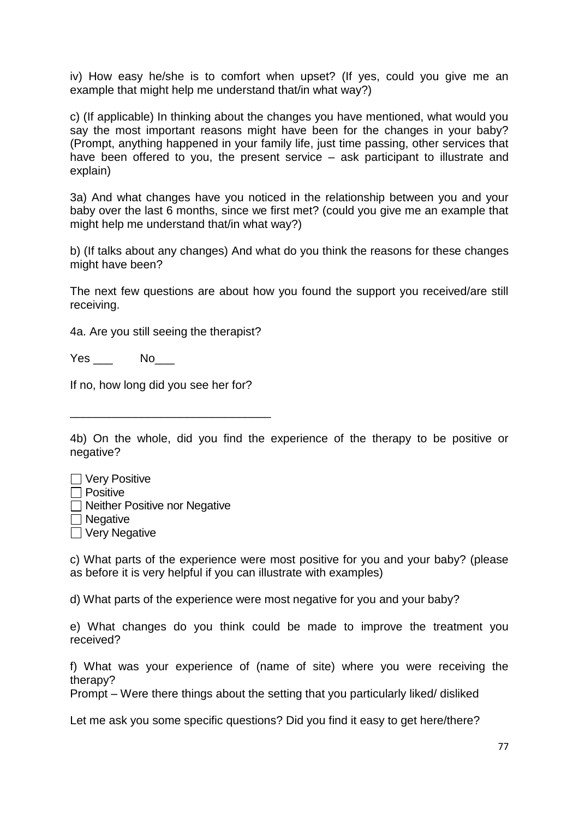iv) How easy he/she is to comfort when upset? (If yes, could you give me an example that might help me understand that/in what way?)

c) (If applicable) In thinking about the changes you have mentioned, what would you say the most important reasons might have been for the changes in your baby? (Prompt, anything happened in your family life, just time passing, other services that have been offered to you, the present service – ask participant to illustrate and explain)

3a) And what changes have you noticed in the relationship between you and your baby over the last 6 months, since we first met? (could you give me an example that might help me understand that/in what way?)

b) (If talks about any changes) And what do you think the reasons for these changes might have been?

The next few questions are about how you found the support you received/are still receiving.

4a. Are you still seeing the therapist?

Yes No

If no, how long did you see her for?

\_\_\_\_\_\_\_\_\_\_\_\_\_\_\_\_\_\_\_\_\_\_\_\_\_\_\_\_\_\_\_

4b) On the whole, did you find the experience of the therapy to be positive or negative?

| $\Box$ Very Positive                 |
|--------------------------------------|
| $\Box$ Positive                      |
| $\Box$ Neither Positive nor Negative |
| $\Box$ Negative                      |
| $\Box$ Very Negative                 |

c) What parts of the experience were most positive for you and your baby? (please as before it is very helpful if you can illustrate with examples)

d) What parts of the experience were most negative for you and your baby?

e) What changes do you think could be made to improve the treatment you received?

f) What was your experience of (name of site) where you were receiving the therapy?

Prompt – Were there things about the setting that you particularly liked/ disliked

Let me ask you some specific questions? Did you find it easy to get here/there?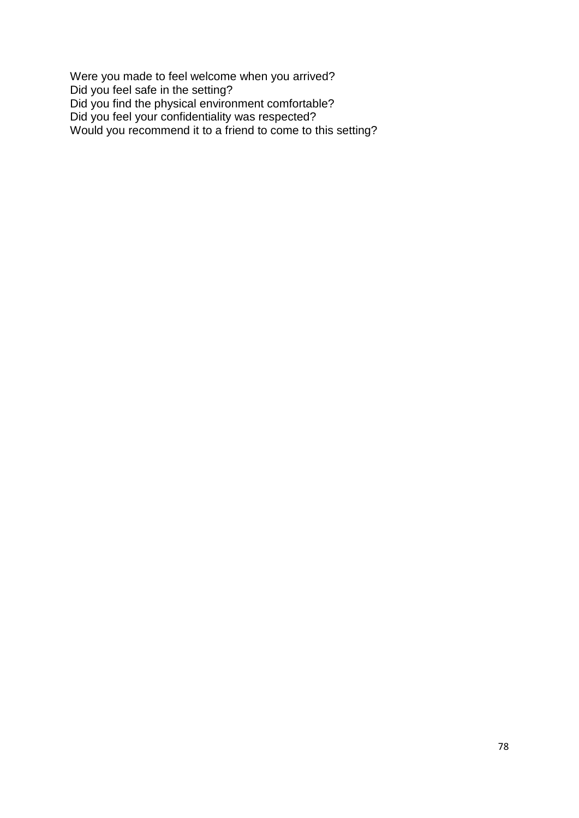Were you made to feel welcome when you arrived? Did you feel safe in the setting? Did you find the physical environment comfortable? Did you feel your confidentiality was respected? Would you recommend it to a friend to come to this setting?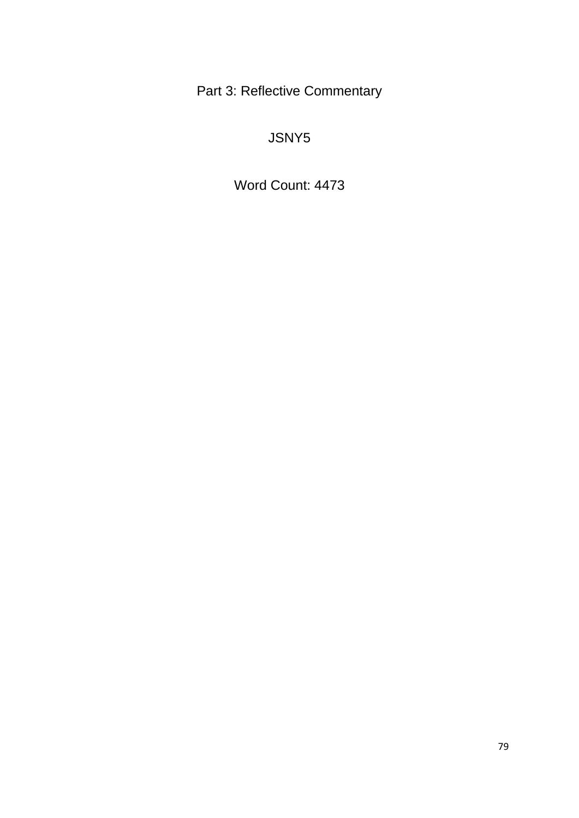Part 3: Reflective Commentary

JSNY5

Word Count: 4473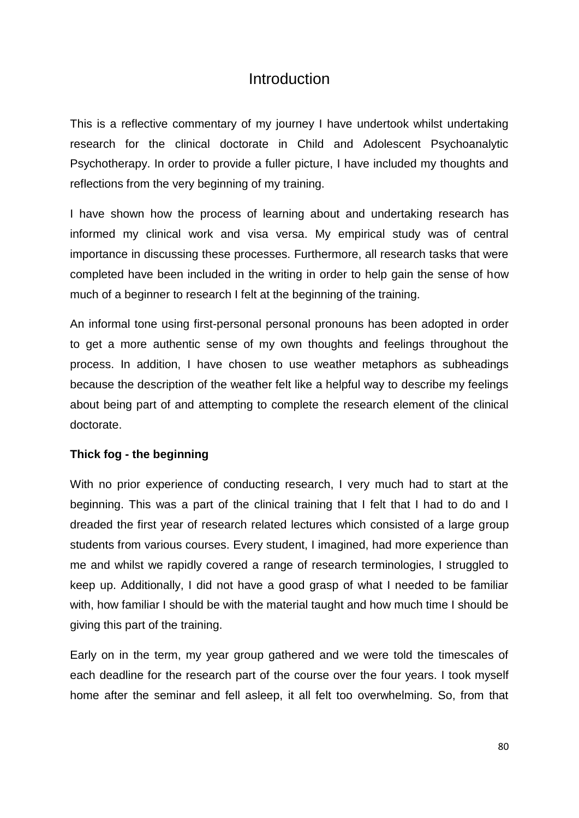## Introduction

This is a reflective commentary of my journey I have undertook whilst undertaking research for the clinical doctorate in Child and Adolescent Psychoanalytic Psychotherapy. In order to provide a fuller picture, I have included my thoughts and reflections from the very beginning of my training.

I have shown how the process of learning about and undertaking research has informed my clinical work and visa versa. My empirical study was of central importance in discussing these processes. Furthermore, all research tasks that were completed have been included in the writing in order to help gain the sense of how much of a beginner to research I felt at the beginning of the training.

An informal tone using first-personal personal pronouns has been adopted in order to get a more authentic sense of my own thoughts and feelings throughout the process. In addition, I have chosen to use weather metaphors as subheadings because the description of the weather felt like a helpful way to describe my feelings about being part of and attempting to complete the research element of the clinical doctorate.

### **Thick fog - the beginning**

With no prior experience of conducting research, I very much had to start at the beginning. This was a part of the clinical training that I felt that I had to do and I dreaded the first year of research related lectures which consisted of a large group students from various courses. Every student, I imagined, had more experience than me and whilst we rapidly covered a range of research terminologies, I struggled to keep up. Additionally, I did not have a good grasp of what I needed to be familiar with, how familiar I should be with the material taught and how much time I should be giving this part of the training.

Early on in the term, my year group gathered and we were told the timescales of each deadline for the research part of the course over the four years. I took myself home after the seminar and fell asleep, it all felt too overwhelming. So, from that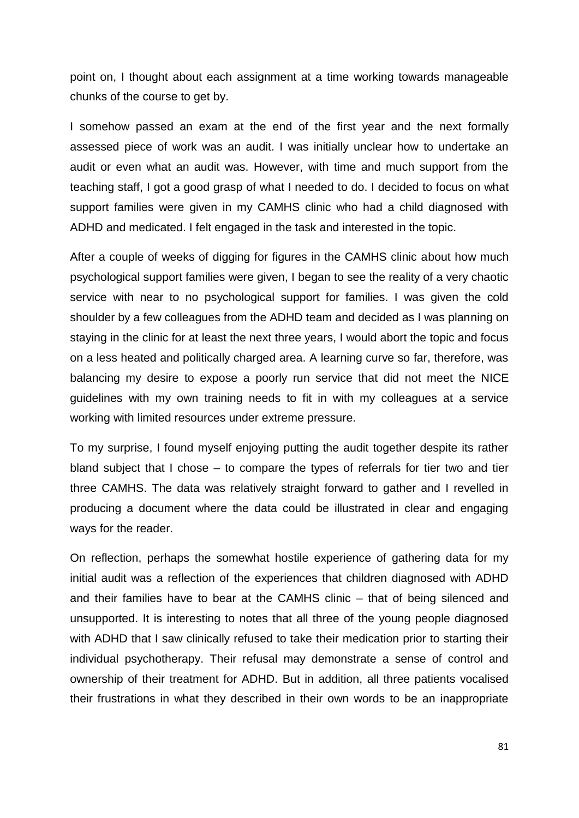point on, I thought about each assignment at a time working towards manageable chunks of the course to get by.

I somehow passed an exam at the end of the first year and the next formally assessed piece of work was an audit. I was initially unclear how to undertake an audit or even what an audit was. However, with time and much support from the teaching staff, I got a good grasp of what I needed to do. I decided to focus on what support families were given in my CAMHS clinic who had a child diagnosed with ADHD and medicated. I felt engaged in the task and interested in the topic.

After a couple of weeks of digging for figures in the CAMHS clinic about how much psychological support families were given, I began to see the reality of a very chaotic service with near to no psychological support for families. I was given the cold shoulder by a few colleagues from the ADHD team and decided as I was planning on staying in the clinic for at least the next three years, I would abort the topic and focus on a less heated and politically charged area. A learning curve so far, therefore, was balancing my desire to expose a poorly run service that did not meet the NICE guidelines with my own training needs to fit in with my colleagues at a service working with limited resources under extreme pressure.

To my surprise, I found myself enjoying putting the audit together despite its rather bland subject that I chose – to compare the types of referrals for tier two and tier three CAMHS. The data was relatively straight forward to gather and I revelled in producing a document where the data could be illustrated in clear and engaging ways for the reader.

On reflection, perhaps the somewhat hostile experience of gathering data for my initial audit was a reflection of the experiences that children diagnosed with ADHD and their families have to bear at the CAMHS clinic – that of being silenced and unsupported. It is interesting to notes that all three of the young people diagnosed with ADHD that I saw clinically refused to take their medication prior to starting their individual psychotherapy. Their refusal may demonstrate a sense of control and ownership of their treatment for ADHD. But in addition, all three patients vocalised their frustrations in what they described in their own words to be an inappropriate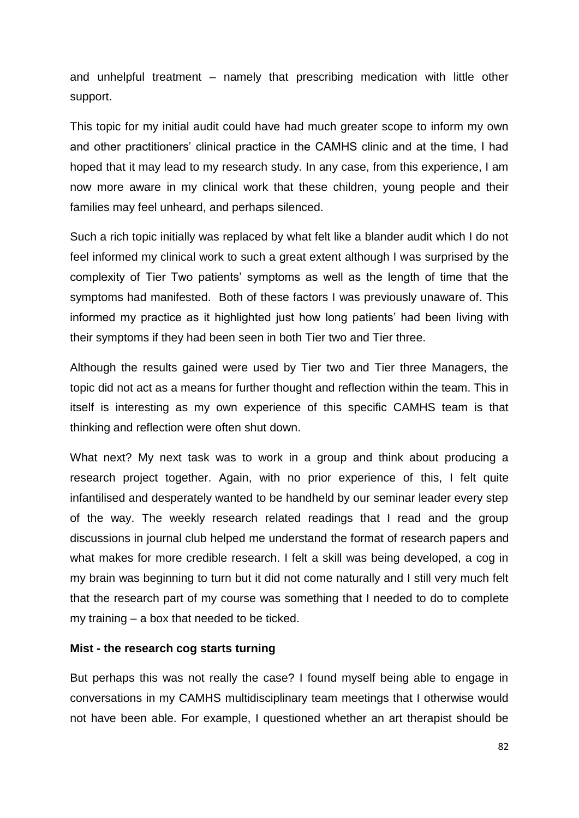and unhelpful treatment – namely that prescribing medication with little other support.

This topic for my initial audit could have had much greater scope to inform my own and other practitioners' clinical practice in the CAMHS clinic and at the time, I had hoped that it may lead to my research study. In any case, from this experience, I am now more aware in my clinical work that these children, young people and their families may feel unheard, and perhaps silenced.

Such a rich topic initially was replaced by what felt like a blander audit which I do not feel informed my clinical work to such a great extent although I was surprised by the complexity of Tier Two patients' symptoms as well as the length of time that the symptoms had manifested. Both of these factors I was previously unaware of. This informed my practice as it highlighted just how long patients' had been living with their symptoms if they had been seen in both Tier two and Tier three.

Although the results gained were used by Tier two and Tier three Managers, the topic did not act as a means for further thought and reflection within the team. This in itself is interesting as my own experience of this specific CAMHS team is that thinking and reflection were often shut down.

What next? My next task was to work in a group and think about producing a research project together. Again, with no prior experience of this, I felt quite infantilised and desperately wanted to be handheld by our seminar leader every step of the way. The weekly research related readings that I read and the group discussions in journal club helped me understand the format of research papers and what makes for more credible research. I felt a skill was being developed, a cog in my brain was beginning to turn but it did not come naturally and I still very much felt that the research part of my course was something that I needed to do to complete my training – a box that needed to be ticked.

#### **Mist - the research cog starts turning**

But perhaps this was not really the case? I found myself being able to engage in conversations in my CAMHS multidisciplinary team meetings that I otherwise would not have been able. For example, I questioned whether an art therapist should be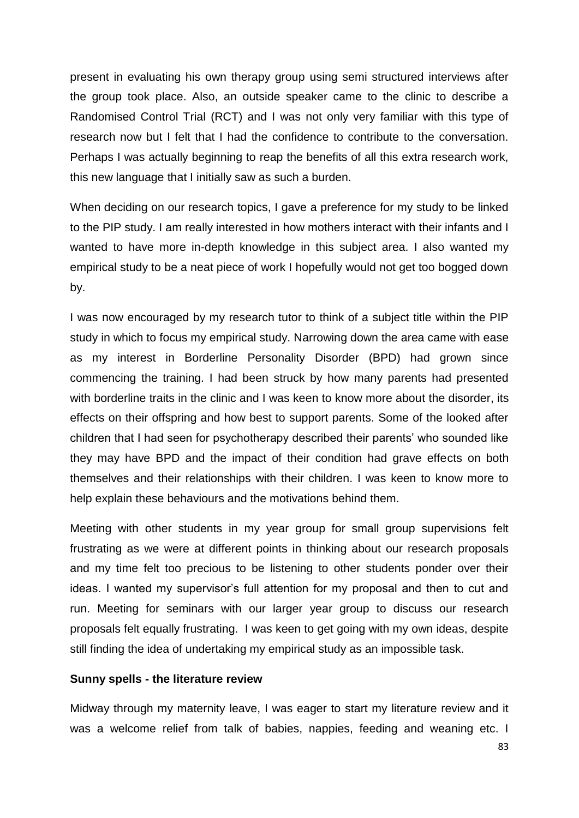present in evaluating his own therapy group using semi structured interviews after the group took place. Also, an outside speaker came to the clinic to describe a Randomised Control Trial (RCT) and I was not only very familiar with this type of research now but I felt that I had the confidence to contribute to the conversation. Perhaps I was actually beginning to reap the benefits of all this extra research work, this new language that I initially saw as such a burden.

When deciding on our research topics, I gave a preference for my study to be linked to the PIP study. I am really interested in how mothers interact with their infants and I wanted to have more in-depth knowledge in this subject area. I also wanted my empirical study to be a neat piece of work I hopefully would not get too bogged down by.

I was now encouraged by my research tutor to think of a subject title within the PIP study in which to focus my empirical study. Narrowing down the area came with ease as my interest in Borderline Personality Disorder (BPD) had grown since commencing the training. I had been struck by how many parents had presented with borderline traits in the clinic and I was keen to know more about the disorder, its effects on their offspring and how best to support parents. Some of the looked after children that I had seen for psychotherapy described their parents' who sounded like they may have BPD and the impact of their condition had grave effects on both themselves and their relationships with their children. I was keen to know more to help explain these behaviours and the motivations behind them.

Meeting with other students in my year group for small group supervisions felt frustrating as we were at different points in thinking about our research proposals and my time felt too precious to be listening to other students ponder over their ideas. I wanted my supervisor's full attention for my proposal and then to cut and run. Meeting for seminars with our larger year group to discuss our research proposals felt equally frustrating. I was keen to get going with my own ideas, despite still finding the idea of undertaking my empirical study as an impossible task.

#### **Sunny spells - the literature review**

Midway through my maternity leave, I was eager to start my literature review and it was a welcome relief from talk of babies, nappies, feeding and weaning etc. I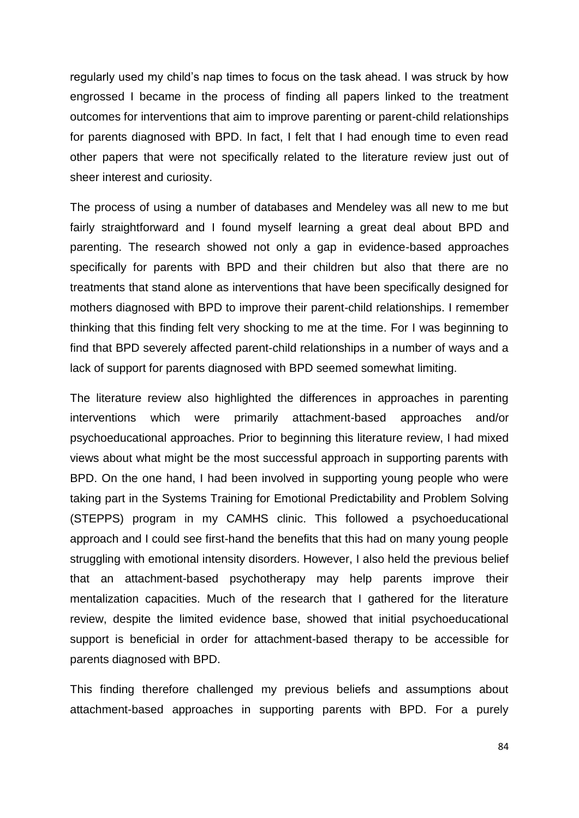regularly used my child's nap times to focus on the task ahead. I was struck by how engrossed I became in the process of finding all papers linked to the treatment outcomes for interventions that aim to improve parenting or parent-child relationships for parents diagnosed with BPD. In fact, I felt that I had enough time to even read other papers that were not specifically related to the literature review just out of sheer interest and curiosity.

The process of using a number of databases and Mendeley was all new to me but fairly straightforward and I found myself learning a great deal about BPD and parenting. The research showed not only a gap in evidence-based approaches specifically for parents with BPD and their children but also that there are no treatments that stand alone as interventions that have been specifically designed for mothers diagnosed with BPD to improve their parent-child relationships. I remember thinking that this finding felt very shocking to me at the time. For I was beginning to find that BPD severely affected parent-child relationships in a number of ways and a lack of support for parents diagnosed with BPD seemed somewhat limiting.

The literature review also highlighted the differences in approaches in parenting interventions which were primarily attachment-based approaches and/or psychoeducational approaches. Prior to beginning this literature review, I had mixed views about what might be the most successful approach in supporting parents with BPD. On the one hand, I had been involved in supporting young people who were taking part in the Systems Training for Emotional Predictability and Problem Solving (STEPPS) program in my CAMHS clinic. This followed a psychoeducational approach and I could see first-hand the benefits that this had on many young people struggling with emotional intensity disorders. However, I also held the previous belief that an attachment-based psychotherapy may help parents improve their mentalization capacities. Much of the research that I gathered for the literature review, despite the limited evidence base, showed that initial psychoeducational support is beneficial in order for attachment-based therapy to be accessible for parents diagnosed with BPD.

This finding therefore challenged my previous beliefs and assumptions about attachment-based approaches in supporting parents with BPD. For a purely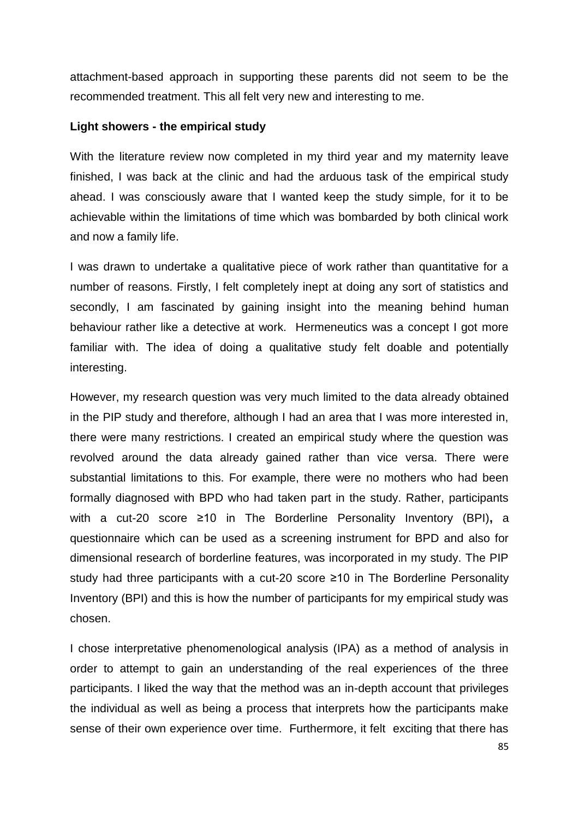attachment-based approach in supporting these parents did not seem to be the recommended treatment. This all felt very new and interesting to me.

#### **Light showers - the empirical study**

With the literature review now completed in my third year and my maternity leave finished, I was back at the clinic and had the arduous task of the empirical study ahead. I was consciously aware that I wanted keep the study simple, for it to be achievable within the limitations of time which was bombarded by both clinical work and now a family life.

I was drawn to undertake a qualitative piece of work rather than quantitative for a number of reasons. Firstly, I felt completely inept at doing any sort of statistics and secondly, I am fascinated by gaining insight into the meaning behind human behaviour rather like a detective at work. Hermeneutics was a concept I got more familiar with. The idea of doing a qualitative study felt doable and potentially interesting.

However, my research question was very much limited to the data already obtained in the PIP study and therefore, although I had an area that I was more interested in, there were many restrictions. I created an empirical study where the question was revolved around the data already gained rather than vice versa. There were substantial limitations to this. For example, there were no mothers who had been formally diagnosed with BPD who had taken part in the study. Rather, participants with a cut-20 score ≥10 in The Borderline Personality Inventory (BPI)**,** a questionnaire which can be used as a screening instrument for BPD and also for dimensional research of borderline features, was incorporated in my study. The PIP study had three participants with a cut-20 score ≥10 in The Borderline Personality Inventory (BPI) and this is how the number of participants for my empirical study was chosen.

I chose interpretative phenomenological analysis (IPA) as a method of analysis in order to attempt to gain an understanding of the real experiences of the three participants. I liked the way that the method was an in-depth account that privileges the individual as well as being a process that interprets how the participants make sense of their own experience over time. Furthermore, it felt exciting that there has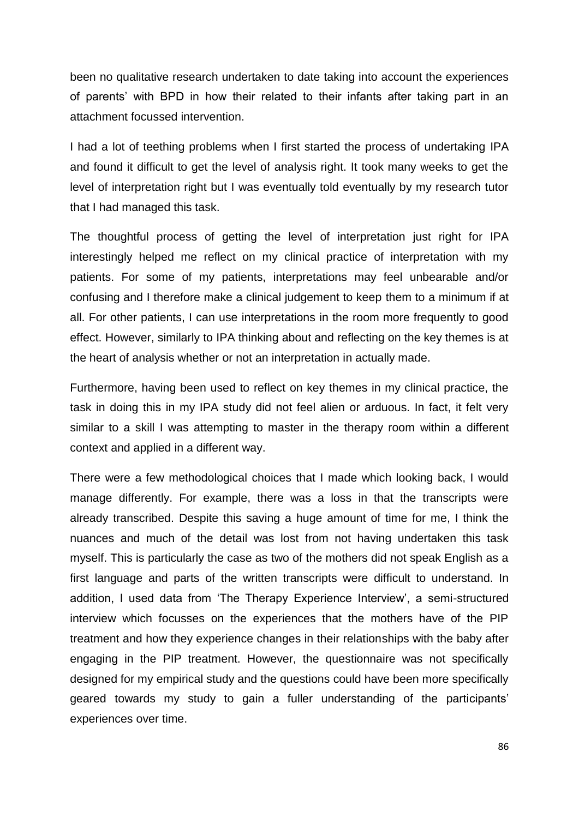been no qualitative research undertaken to date taking into account the experiences of parents' with BPD in how their related to their infants after taking part in an attachment focussed intervention.

I had a lot of teething problems when I first started the process of undertaking IPA and found it difficult to get the level of analysis right. It took many weeks to get the level of interpretation right but I was eventually told eventually by my research tutor that I had managed this task.

The thoughtful process of getting the level of interpretation just right for IPA interestingly helped me reflect on my clinical practice of interpretation with my patients. For some of my patients, interpretations may feel unbearable and/or confusing and I therefore make a clinical judgement to keep them to a minimum if at all. For other patients, I can use interpretations in the room more frequently to good effect. However, similarly to IPA thinking about and reflecting on the key themes is at the heart of analysis whether or not an interpretation in actually made.

Furthermore, having been used to reflect on key themes in my clinical practice, the task in doing this in my IPA study did not feel alien or arduous. In fact, it felt very similar to a skill I was attempting to master in the therapy room within a different context and applied in a different way.

There were a few methodological choices that I made which looking back, I would manage differently. For example, there was a loss in that the transcripts were already transcribed. Despite this saving a huge amount of time for me, I think the nuances and much of the detail was lost from not having undertaken this task myself. This is particularly the case as two of the mothers did not speak English as a first language and parts of the written transcripts were difficult to understand. In addition, I used data from 'The Therapy Experience Interview', a semi-structured interview which focusses on the experiences that the mothers have of the PIP treatment and how they experience changes in their relationships with the baby after engaging in the PIP treatment. However, the questionnaire was not specifically designed for my empirical study and the questions could have been more specifically geared towards my study to gain a fuller understanding of the participants' experiences over time.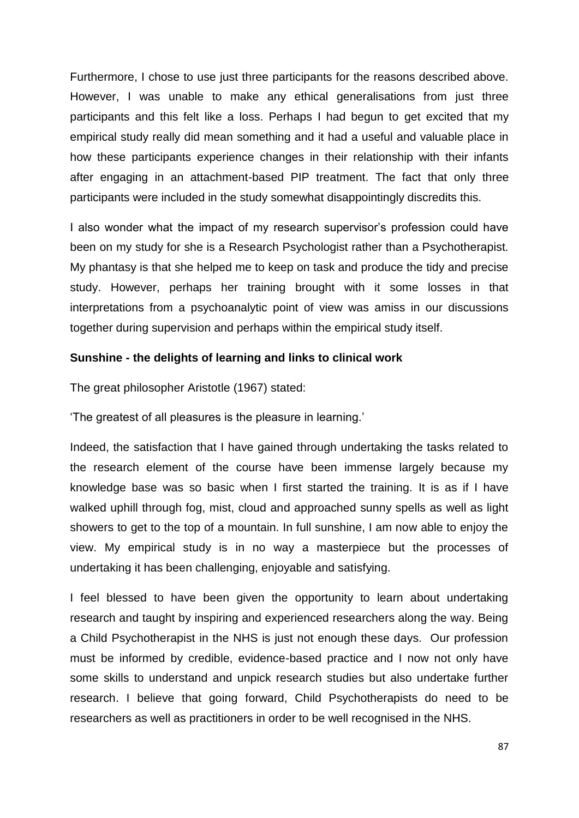Furthermore, I chose to use just three participants for the reasons described above. However, I was unable to make any ethical generalisations from just three participants and this felt like a loss. Perhaps I had begun to get excited that my empirical study really did mean something and it had a useful and valuable place in how these participants experience changes in their relationship with their infants after engaging in an attachment-based PIP treatment. The fact that only three participants were included in the study somewhat disappointingly discredits this.

I also wonder what the impact of my research supervisor's profession could have been on my study for she is a Research Psychologist rather than a Psychotherapist. My phantasy is that she helped me to keep on task and produce the tidy and precise study. However, perhaps her training brought with it some losses in that interpretations from a psychoanalytic point of view was amiss in our discussions together during supervision and perhaps within the empirical study itself.

### **Sunshine - the delights of learning and links to clinical work**

The great philosopher Aristotle (1967) stated:

'The greatest of all pleasures is the pleasure in learning.'

Indeed, the satisfaction that I have gained through undertaking the tasks related to the research element of the course have been immense largely because my knowledge base was so basic when I first started the training. It is as if I have walked uphill through fog, mist, cloud and approached sunny spells as well as light showers to get to the top of a mountain. In full sunshine, I am now able to enjoy the view. My empirical study is in no way a masterpiece but the processes of undertaking it has been challenging, enjoyable and satisfying.

I feel blessed to have been given the opportunity to learn about undertaking research and taught by inspiring and experienced researchers along the way. Being a Child Psychotherapist in the NHS is just not enough these days. Our profession must be informed by credible, evidence-based practice and I now not only have some skills to understand and unpick research studies but also undertake further research. I believe that going forward, Child Psychotherapists do need to be researchers as well as practitioners in order to be well recognised in the NHS.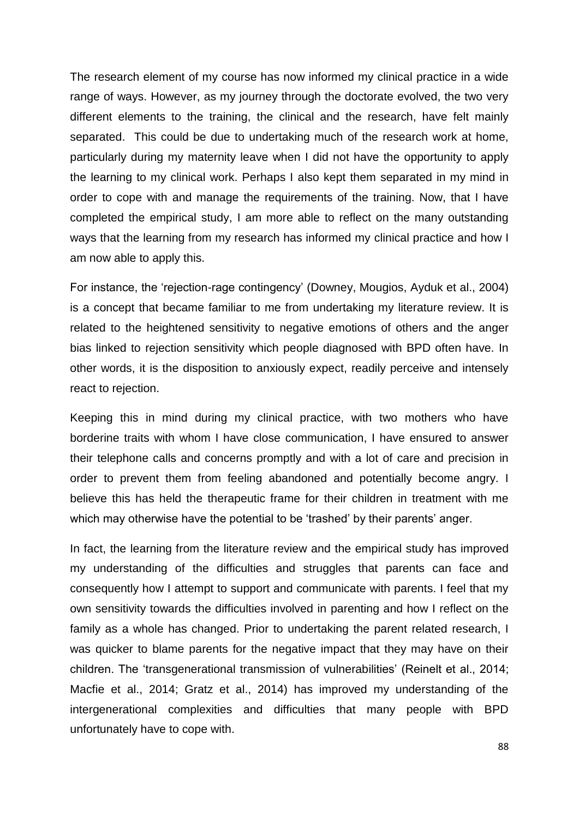The research element of my course has now informed my clinical practice in a wide range of ways. However, as my journey through the doctorate evolved, the two very different elements to the training, the clinical and the research, have felt mainly separated. This could be due to undertaking much of the research work at home, particularly during my maternity leave when I did not have the opportunity to apply the learning to my clinical work. Perhaps I also kept them separated in my mind in order to cope with and manage the requirements of the training. Now, that I have completed the empirical study, I am more able to reflect on the many outstanding ways that the learning from my research has informed my clinical practice and how I am now able to apply this.

For instance, the 'rejection-rage contingency' (Downey, Mougios, Ayduk et al., 2004) is a concept that became familiar to me from undertaking my literature review. It is related to the heightened sensitivity to negative emotions of others and the anger bias linked to rejection sensitivity which people diagnosed with BPD often have. In other words, it is the disposition to anxiously expect, readily perceive and intensely react to rejection.

Keeping this in mind during my clinical practice, with two mothers who have borderine traits with whom I have close communication, I have ensured to answer their telephone calls and concerns promptly and with a lot of care and precision in order to prevent them from feeling abandoned and potentially become angry. I believe this has held the therapeutic frame for their children in treatment with me which may otherwise have the potential to be 'trashed' by their parents' anger.

In fact, the learning from the literature review and the empirical study has improved my understanding of the difficulties and struggles that parents can face and consequently how I attempt to support and communicate with parents. I feel that my own sensitivity towards the difficulties involved in parenting and how I reflect on the family as a whole has changed. Prior to undertaking the parent related research, I was quicker to blame parents for the negative impact that they may have on their children. The 'transgenerational transmission of vulnerabilities' (Reinelt et al., 2014; Macfie et al., 2014; Gratz et al., 2014) has improved my understanding of the intergenerational complexities and difficulties that many people with BPD unfortunately have to cope with.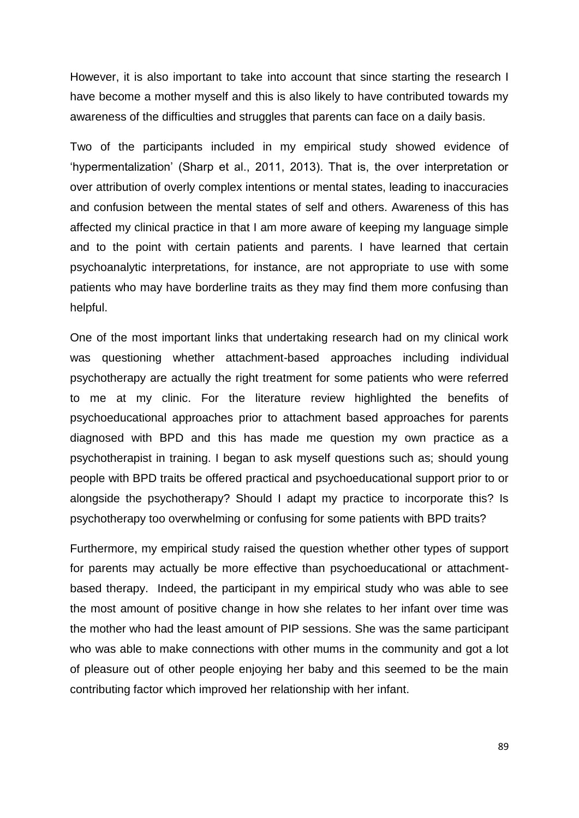However, it is also important to take into account that since starting the research I have become a mother myself and this is also likely to have contributed towards my awareness of the difficulties and struggles that parents can face on a daily basis.

Two of the participants included in my empirical study showed evidence of 'hypermentalization' (Sharp et al., 2011, 2013). That is, the over interpretation or over attribution of overly complex intentions or mental states, leading to inaccuracies and confusion between the mental states of self and others. Awareness of this has affected my clinical practice in that I am more aware of keeping my language simple and to the point with certain patients and parents. I have learned that certain psychoanalytic interpretations, for instance, are not appropriate to use with some patients who may have borderline traits as they may find them more confusing than helpful.

One of the most important links that undertaking research had on my clinical work was questioning whether attachment-based approaches including individual psychotherapy are actually the right treatment for some patients who were referred to me at my clinic. For the literature review highlighted the benefits of psychoeducational approaches prior to attachment based approaches for parents diagnosed with BPD and this has made me question my own practice as a psychotherapist in training. I began to ask myself questions such as; should young people with BPD traits be offered practical and psychoeducational support prior to or alongside the psychotherapy? Should I adapt my practice to incorporate this? Is psychotherapy too overwhelming or confusing for some patients with BPD traits?

Furthermore, my empirical study raised the question whether other types of support for parents may actually be more effective than psychoeducational or attachmentbased therapy. Indeed, the participant in my empirical study who was able to see the most amount of positive change in how she relates to her infant over time was the mother who had the least amount of PIP sessions. She was the same participant who was able to make connections with other mums in the community and got a lot of pleasure out of other people enjoying her baby and this seemed to be the main contributing factor which improved her relationship with her infant.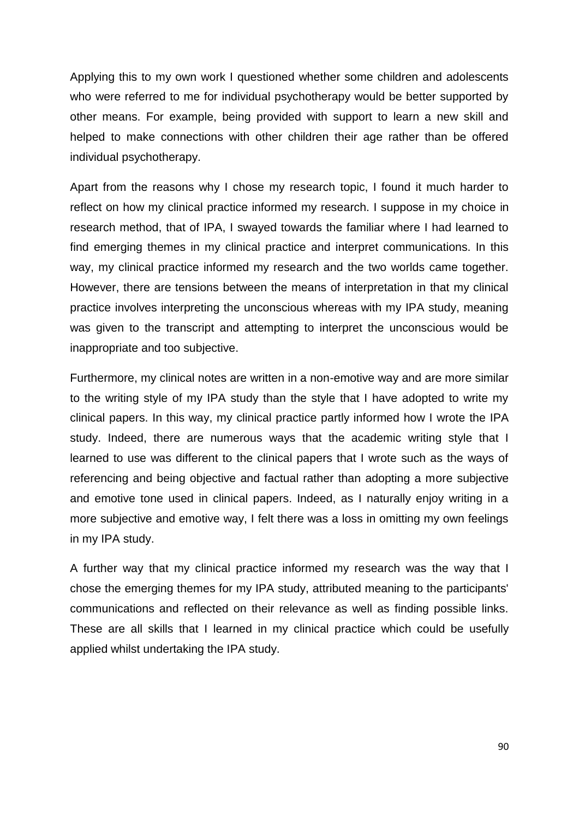Applying this to my own work I questioned whether some children and adolescents who were referred to me for individual psychotherapy would be better supported by other means. For example, being provided with support to learn a new skill and helped to make connections with other children their age rather than be offered individual psychotherapy.

Apart from the reasons why I chose my research topic, I found it much harder to reflect on how my clinical practice informed my research. I suppose in my choice in research method, that of IPA, I swayed towards the familiar where I had learned to find emerging themes in my clinical practice and interpret communications. In this way, my clinical practice informed my research and the two worlds came together. However, there are tensions between the means of interpretation in that my clinical practice involves interpreting the unconscious whereas with my IPA study, meaning was given to the transcript and attempting to interpret the unconscious would be inappropriate and too subjective.

Furthermore, my clinical notes are written in a non-emotive way and are more similar to the writing style of my IPA study than the style that I have adopted to write my clinical papers. In this way, my clinical practice partly informed how I wrote the IPA study. Indeed, there are numerous ways that the academic writing style that I learned to use was different to the clinical papers that I wrote such as the ways of referencing and being objective and factual rather than adopting a more subjective and emotive tone used in clinical papers. Indeed, as I naturally enjoy writing in a more subjective and emotive way, I felt there was a loss in omitting my own feelings in my IPA study.

A further way that my clinical practice informed my research was the way that I chose the emerging themes for my IPA study, attributed meaning to the participants' communications and reflected on their relevance as well as finding possible links. These are all skills that I learned in my clinical practice which could be usefully applied whilst undertaking the IPA study.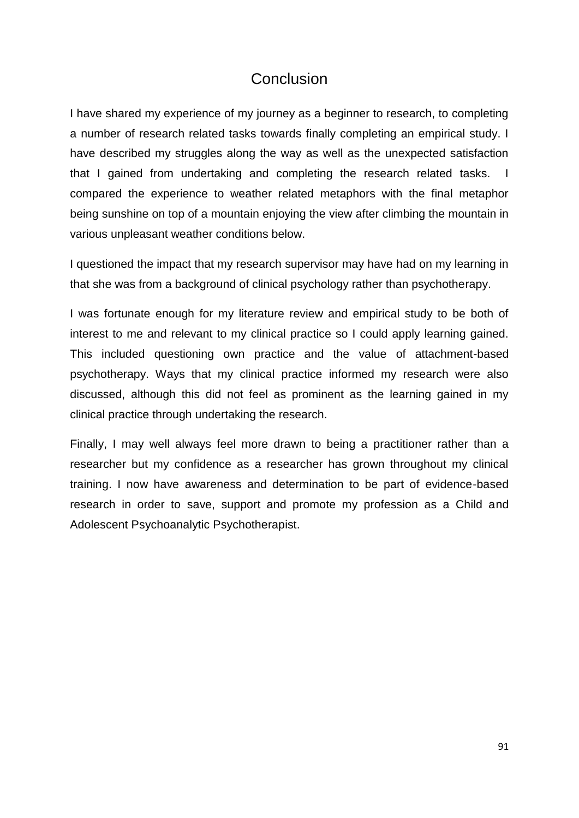# **Conclusion**

I have shared my experience of my journey as a beginner to research, to completing a number of research related tasks towards finally completing an empirical study. I have described my struggles along the way as well as the unexpected satisfaction that I gained from undertaking and completing the research related tasks. I compared the experience to weather related metaphors with the final metaphor being sunshine on top of a mountain enjoying the view after climbing the mountain in various unpleasant weather conditions below.

I questioned the impact that my research supervisor may have had on my learning in that she was from a background of clinical psychology rather than psychotherapy.

I was fortunate enough for my literature review and empirical study to be both of interest to me and relevant to my clinical practice so I could apply learning gained. This included questioning own practice and the value of attachment-based psychotherapy. Ways that my clinical practice informed my research were also discussed, although this did not feel as prominent as the learning gained in my clinical practice through undertaking the research.

Finally, I may well always feel more drawn to being a practitioner rather than a researcher but my confidence as a researcher has grown throughout my clinical training. I now have awareness and determination to be part of evidence-based research in order to save, support and promote my profession as a Child and Adolescent Psychoanalytic Psychotherapist.